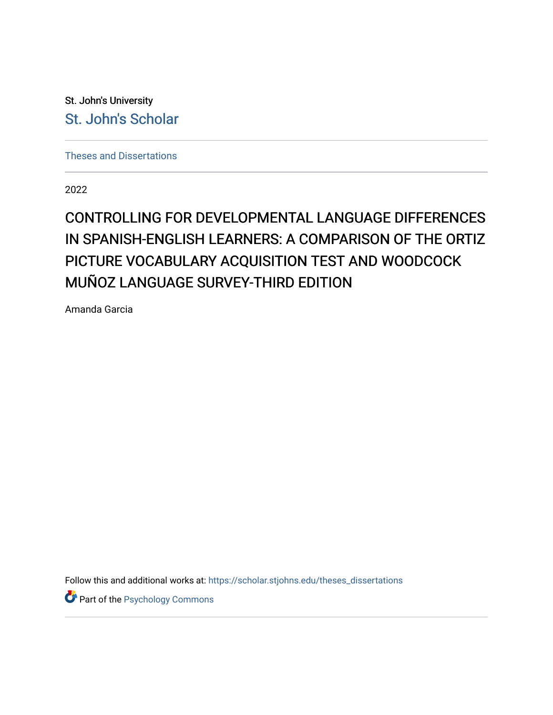St. John's University [St. John's Scholar](https://scholar.stjohns.edu/) 

[Theses and Dissertations](https://scholar.stjohns.edu/theses_dissertations)

2022

# CONTROLLING FOR DEVELOPMENTAL LANGUAGE DIFFERENCES IN SPANISH-ENGLISH LEARNERS: A COMPARISON OF THE ORTIZ PICTURE VOCABULARY ACQUISITION TEST AND WOODCOCK MUÑOZ LANGUAGE SURVEY-THIRD EDITION

Amanda Garcia

Follow this and additional works at: [https://scholar.stjohns.edu/theses\\_dissertations](https://scholar.stjohns.edu/theses_dissertations?utm_source=scholar.stjohns.edu%2Ftheses_dissertations%2F414&utm_medium=PDF&utm_campaign=PDFCoverPages)

**Part of the Psychology Commons**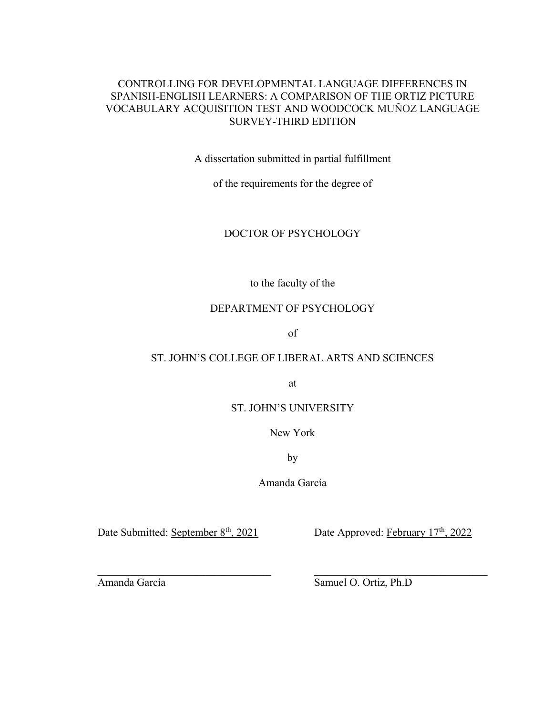# CONTROLLING FOR DEVELOPMENTAL LANGUAGE DIFFERENCES IN SPANISH-ENGLISH LEARNERS: A COMPARISON OF THE ORTIZ PICTURE VOCABULARY ACQUISITION TEST AND WOODCOCK MUÑOZ LANGUAGE SURVEY-THIRD EDITION

A dissertation submitted in partial fulfillment

of the requirements for the degree of

# DOCTOR OF PSYCHOLOGY

to the faculty of the

### DEPARTMENT OF PSYCHOLOGY

of

# ST. JOHN'S COLLEGE OF LIBERAL ARTS AND SCIENCES

at

### ST. JOHN'S UNIVERSITY

New York

by

Amanda García

Date Submitted: September  $8<sup>th</sup>$ , 2021 Date Approved: February  $17<sup>th</sup>$ , 2022

Amanda García Samuel O. Ortiz, Ph.D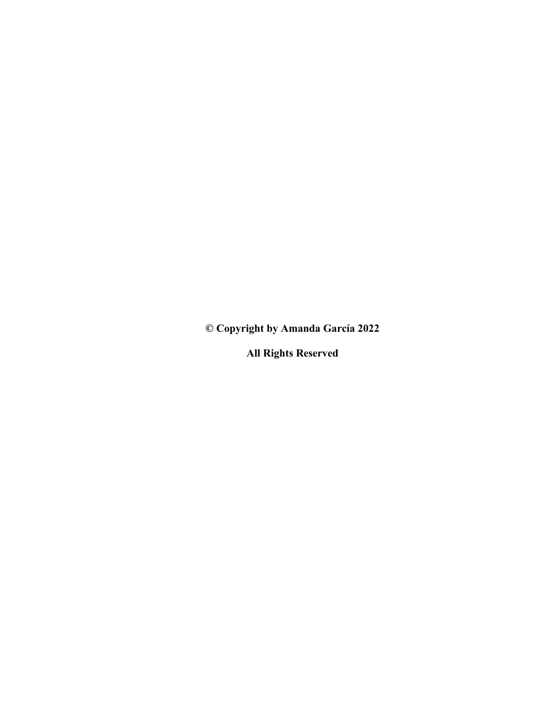**© Copyright by Amanda García 2022**

**All Rights Reserved**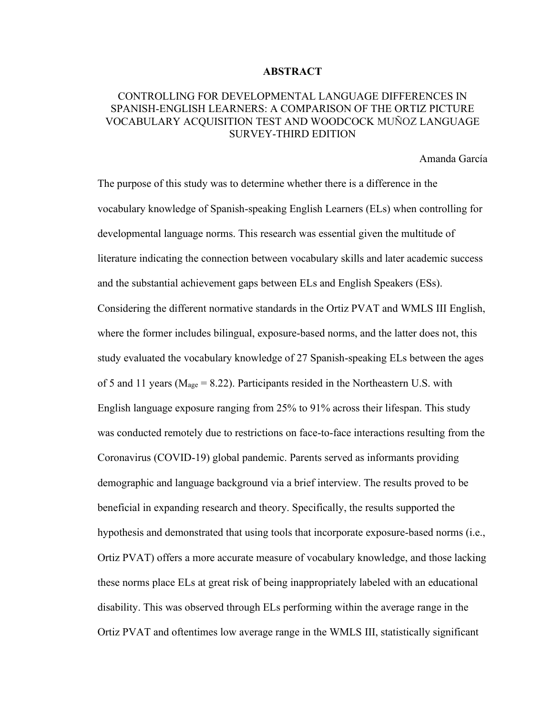#### **ABSTRACT**

# CONTROLLING FOR DEVELOPMENTAL LANGUAGE DIFFERENCES IN SPANISH-ENGLISH LEARNERS: A COMPARISON OF THE ORTIZ PICTURE VOCABULARY ACQUISITION TEST AND WOODCOCK MUÑOZ LANGUAGE SURVEY-THIRD EDITION

Amanda García

The purpose of this study was to determine whether there is a difference in the vocabulary knowledge of Spanish-speaking English Learners (ELs) when controlling for developmental language norms. This research was essential given the multitude of literature indicating the connection between vocabulary skills and later academic success and the substantial achievement gaps between ELs and English Speakers (ESs). Considering the different normative standards in the Ortiz PVAT and WMLS III English, where the former includes bilingual, exposure-based norms, and the latter does not, this study evaluated the vocabulary knowledge of 27 Spanish-speaking ELs between the ages of 5 and 11 years ( $M_{\text{age}} = 8.22$ ). Participants resided in the Northeastern U.S. with English language exposure ranging from 25% to 91% across their lifespan. This study was conducted remotely due to restrictions on face-to-face interactions resulting from the Coronavirus (COVID-19) global pandemic. Parents served as informants providing demographic and language background via a brief interview. The results proved to be beneficial in expanding research and theory. Specifically, the results supported the hypothesis and demonstrated that using tools that incorporate exposure-based norms (i.e., Ortiz PVAT) offers a more accurate measure of vocabulary knowledge, and those lacking these norms place ELs at great risk of being inappropriately labeled with an educational disability. This was observed through ELs performing within the average range in the Ortiz PVAT and oftentimes low average range in the WMLS III, statistically significant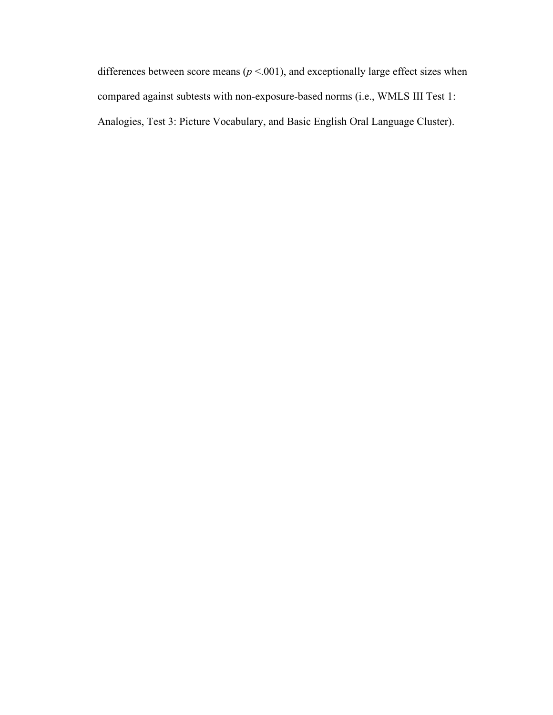differences between score means  $(p < .001)$ , and exceptionally large effect sizes when compared against subtests with non-exposure-based norms (i.e., WMLS III Test 1: Analogies, Test 3: Picture Vocabulary, and Basic English Oral Language Cluster).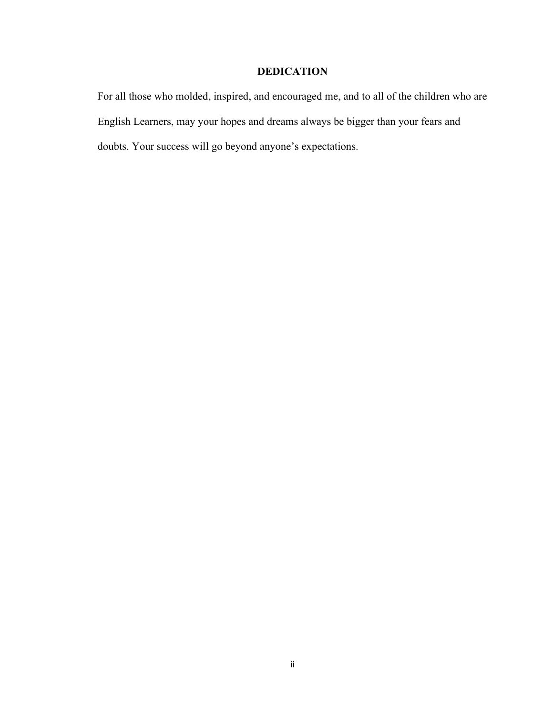# **DEDICATION**

For all those who molded, inspired, and encouraged me, and to all of the children who are English Learners, may your hopes and dreams always be bigger than your fears and doubts. Your success will go beyond anyone's expectations.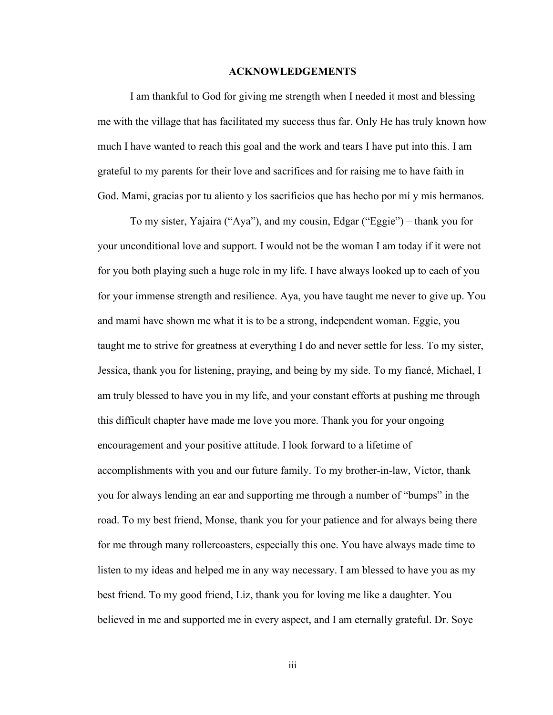#### **ACKNOWLEDGEMENTS**

I am thankful to God for giving me strength when I needed it most and blessing me with the village that has facilitated my success thus far. Only He has truly known how much I have wanted to reach this goal and the work and tears I have put into this. I am grateful to my parents for their love and sacrifices and for raising me to have faith in God. Mami, gracias por tu aliento y los sacrificios que has hecho por mí y mis hermanos.

To my sister, Yajaira ("Aya"), and my cousin, Edgar ("Eggie") – thank you for your unconditional love and support. I would not be the woman I am today if it were not for you both playing such a huge role in my life. I have always looked up to each of you for your immense strength and resilience. Aya, you have taught me never to give up. You and mami have shown me what it is to be a strong, independent woman. Eggie, you taught me to strive for greatness at everything I do and never settle for less. To my sister, Jessica, thank you for listening, praying, and being by my side. To my fiancé, Michael, I am truly blessed to have you in my life, and your constant efforts at pushing me through this difficult chapter have made me love you more. Thank you for your ongoing encouragement and your positive attitude. I look forward to a lifetime of accomplishments with you and our future family. To my brother-in-law, Victor, thank you for always lending an ear and supporting me through a number of "bumps" in the road. To my best friend, Monse, thank you for your patience and for always being there for me through many rollercoasters, especially this one. You have always made time to listen to my ideas and helped me in any way necessary. I am blessed to have you as my best friend. To my good friend, Liz, thank you for loving me like a daughter. You believed in me and supported me in every aspect, and I am eternally grateful. Dr. Soye

iii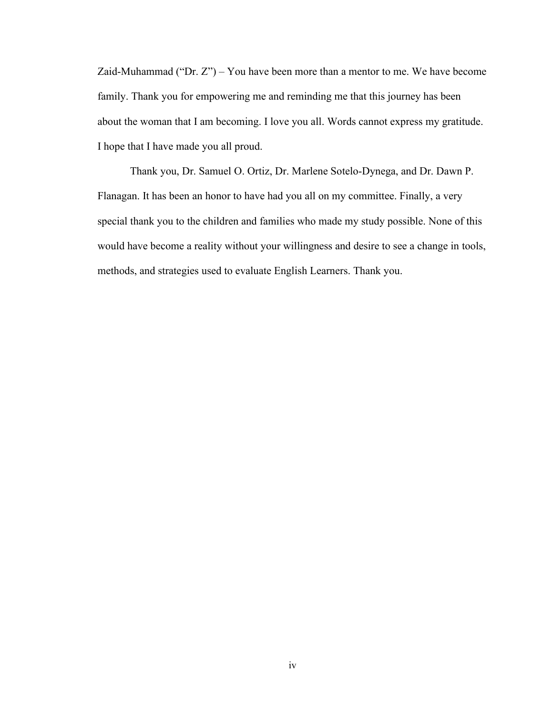Zaid-Muhammad ("Dr.  $Z$ ") – You have been more than a mentor to me. We have become family. Thank you for empowering me and reminding me that this journey has been about the woman that I am becoming. I love you all. Words cannot express my gratitude. I hope that I have made you all proud.

Thank you, Dr. Samuel O. Ortiz, Dr. Marlene Sotelo-Dynega, and Dr. Dawn P. Flanagan. It has been an honor to have had you all on my committee. Finally, a very special thank you to the children and families who made my study possible. None of this would have become a reality without your willingness and desire to see a change in tools, methods, and strategies used to evaluate English Learners. Thank you.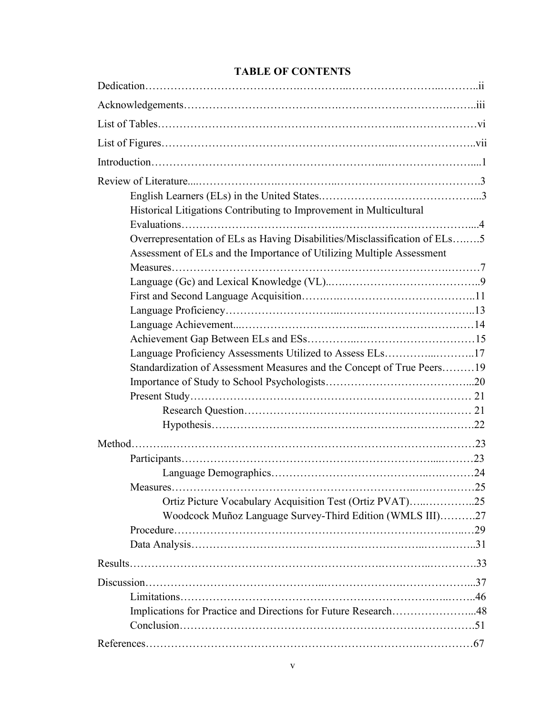# **TABLE OF CONTENTS**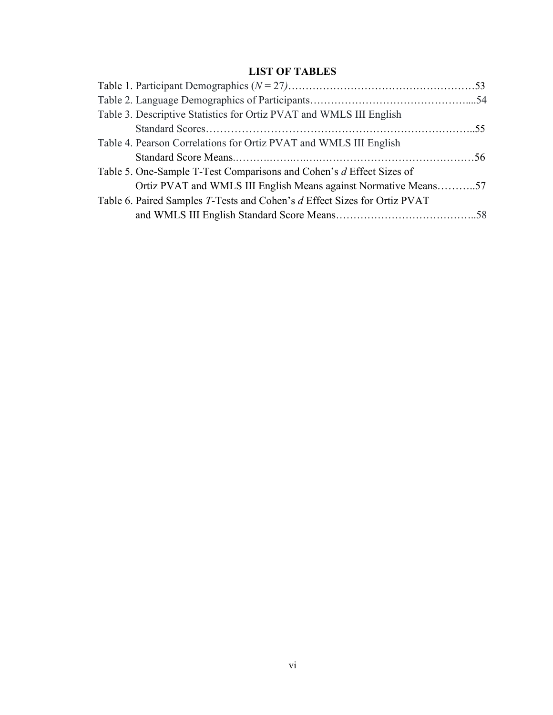# **LIST OF TABLES**

| Table 3. Descriptive Statistics for Ortiz PVAT and WMLS III English       |  |
|---------------------------------------------------------------------------|--|
|                                                                           |  |
| Table 4. Pearson Correlations for Ortiz PVAT and WMLS III English         |  |
|                                                                           |  |
| Table 5. One-Sample T-Test Comparisons and Cohen's d Effect Sizes of      |  |
| Ortiz PVAT and WMLS III English Means against Normative Means57           |  |
| Table 6. Paired Samples T-Tests and Cohen's d Effect Sizes for Ortiz PVAT |  |
|                                                                           |  |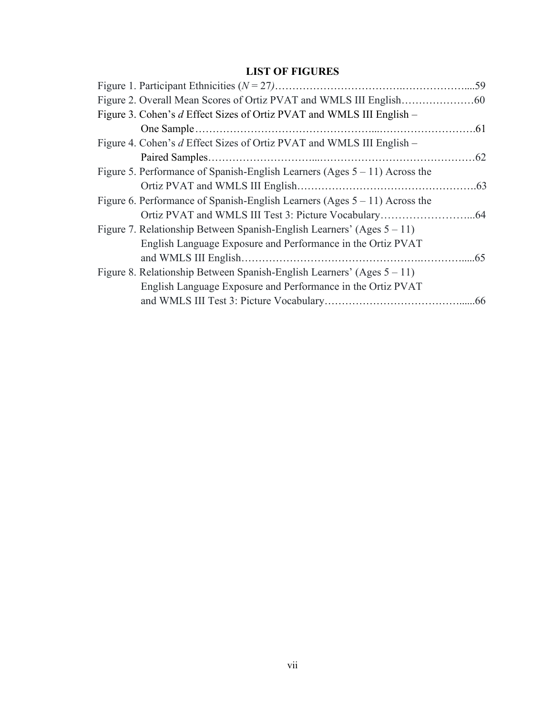# **LIST OF FIGURES**

| Figure 3. Cohen's d Effect Sizes of Ortiz PVAT and WMLS III English -         |  |
|-------------------------------------------------------------------------------|--|
|                                                                               |  |
| Figure 4. Cohen's d Effect Sizes of Ortiz PVAT and WMLS III English -         |  |
|                                                                               |  |
| Figure 5. Performance of Spanish-English Learners (Ages $5 - 11$ ) Across the |  |
|                                                                               |  |
| Figure 6. Performance of Spanish-English Learners (Ages $5 - 11$ ) Across the |  |
|                                                                               |  |
| Figure 7. Relationship Between Spanish-English Learners' (Ages $5 - 11$ )     |  |
| English Language Exposure and Performance in the Ortiz PVAT                   |  |
|                                                                               |  |
| Figure 8. Relationship Between Spanish-English Learners' (Ages $5 - 11$ )     |  |
| English Language Exposure and Performance in the Ortiz PVAT                   |  |
|                                                                               |  |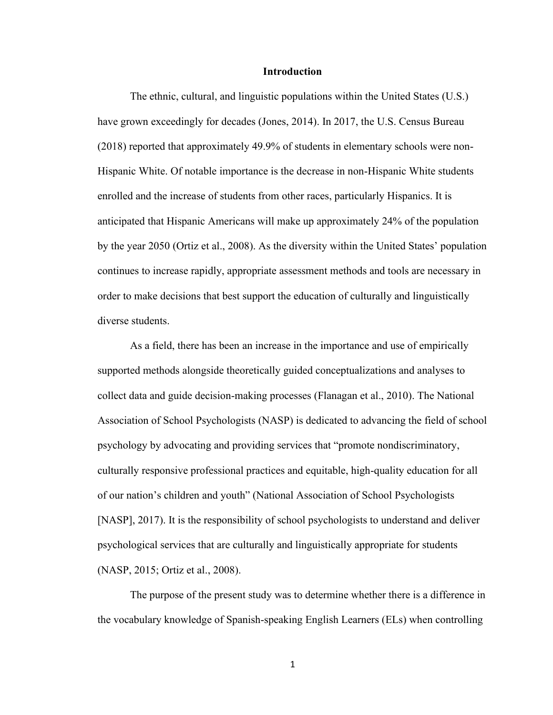#### **Introduction**

The ethnic, cultural, and linguistic populations within the United States (U.S.) have grown exceedingly for decades (Jones, 2014). In 2017, the U.S. Census Bureau (2018) reported that approximately 49.9% of students in elementary schools were non-Hispanic White. Of notable importance is the decrease in non-Hispanic White students enrolled and the increase of students from other races, particularly Hispanics. It is anticipated that Hispanic Americans will make up approximately 24% of the population by the year 2050 (Ortiz et al., 2008). As the diversity within the United States' population continues to increase rapidly, appropriate assessment methods and tools are necessary in order to make decisions that best support the education of culturally and linguistically diverse students.

As a field, there has been an increase in the importance and use of empirically supported methods alongside theoretically guided conceptualizations and analyses to collect data and guide decision-making processes (Flanagan et al., 2010). The National Association of School Psychologists (NASP) is dedicated to advancing the field of school psychology by advocating and providing services that "promote nondiscriminatory, culturally responsive professional practices and equitable, high-quality education for all of our nation's children and youth" (National Association of School Psychologists [NASP], 2017). It is the responsibility of school psychologists to understand and deliver psychological services that are culturally and linguistically appropriate for students (NASP, 2015; Ortiz et al., 2008).

The purpose of the present study was to determine whether there is a difference in the vocabulary knowledge of Spanish-speaking English Learners (ELs) when controlling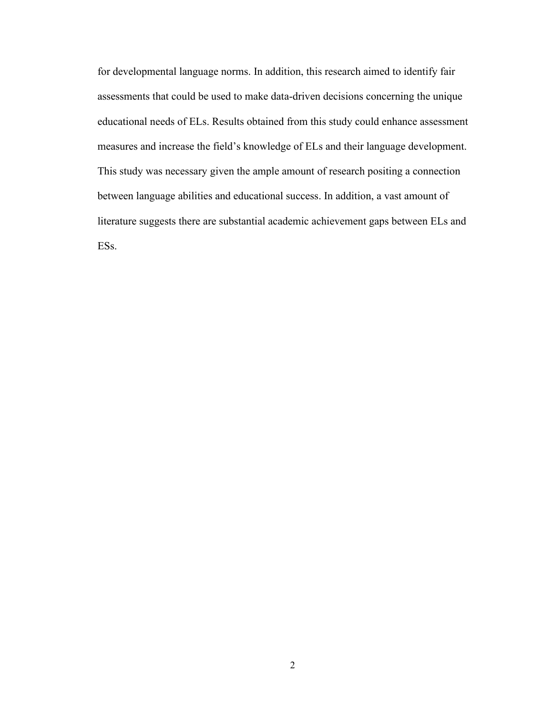for developmental language norms. In addition, this research aimed to identify fair assessments that could be used to make data-driven decisions concerning the unique educational needs of ELs. Results obtained from this study could enhance assessment measures and increase the field's knowledge of ELs and their language development. This study was necessary given the ample amount of research positing a connection between language abilities and educational success. In addition, a vast amount of literature suggests there are substantial academic achievement gaps between ELs and ESs.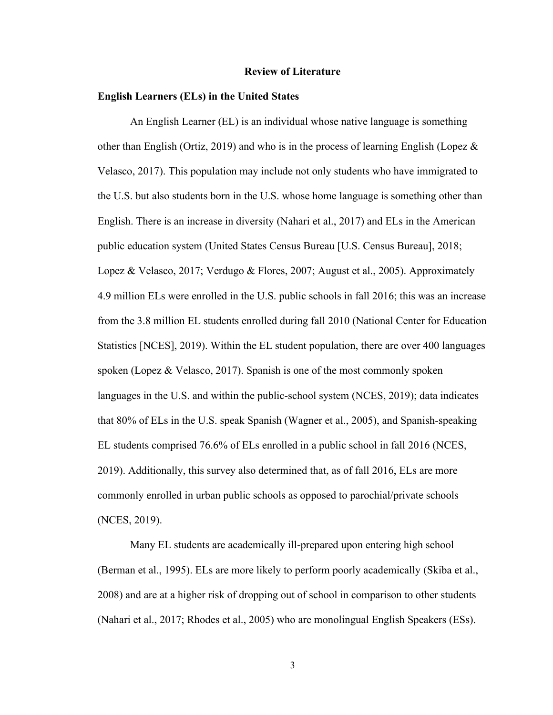#### **Review of Literature**

#### **English Learners (ELs) in the United States**

An English Learner (EL) is an individual whose native language is something other than English (Ortiz, 2019) and who is in the process of learning English (Lopez  $\&$ Velasco, 2017). This population may include not only students who have immigrated to the U.S. but also students born in the U.S. whose home language is something other than English. There is an increase in diversity (Nahari et al., 2017) and ELs in the American public education system (United States Census Bureau [U.S. Census Bureau], 2018; Lopez & Velasco, 2017; Verdugo & Flores, 2007; August et al., 2005). Approximately 4.9 million ELs were enrolled in the U.S. public schools in fall 2016; this was an increase from the 3.8 million EL students enrolled during fall 2010 (National Center for Education Statistics [NCES], 2019). Within the EL student population, there are over 400 languages spoken (Lopez & Velasco, 2017). Spanish is one of the most commonly spoken languages in the U.S. and within the public-school system (NCES, 2019); data indicates that 80% of ELs in the U.S. speak Spanish (Wagner et al., 2005), and Spanish-speaking EL students comprised 76.6% of ELs enrolled in a public school in fall 2016 (NCES, 2019). Additionally, this survey also determined that, as of fall 2016, ELs are more commonly enrolled in urban public schools as opposed to parochial/private schools (NCES, 2019).

Many EL students are academically ill-prepared upon entering high school (Berman et al., 1995). ELs are more likely to perform poorly academically (Skiba et al., 2008) and are at a higher risk of dropping out of school in comparison to other students (Nahari et al., 2017; Rhodes et al., 2005) who are monolingual English Speakers (ESs).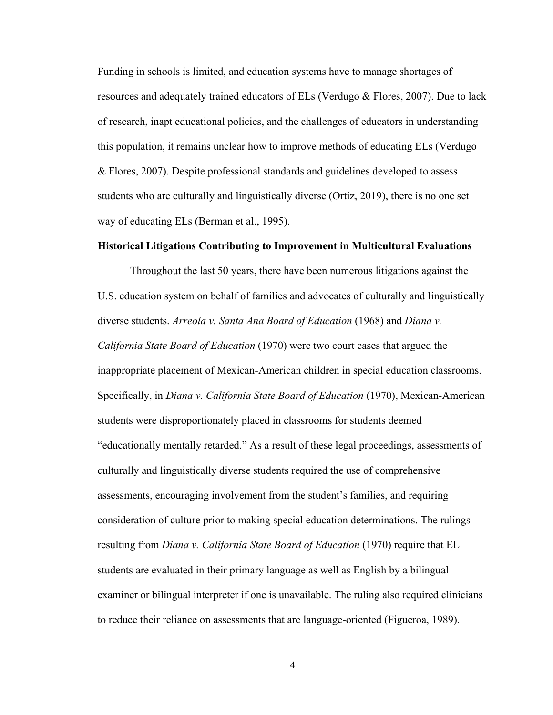Funding in schools is limited, and education systems have to manage shortages of resources and adequately trained educators of ELs (Verdugo & Flores, 2007). Due to lack of research, inapt educational policies, and the challenges of educators in understanding this population, it remains unclear how to improve methods of educating ELs (Verdugo & Flores, 2007). Despite professional standards and guidelines developed to assess students who are culturally and linguistically diverse (Ortiz, 2019), there is no one set way of educating ELs (Berman et al., 1995).

#### **Historical Litigations Contributing to Improvement in Multicultural Evaluations**

Throughout the last 50 years, there have been numerous litigations against the U.S. education system on behalf of families and advocates of culturally and linguistically diverse students. *Arreola v. Santa Ana Board of Education* (1968) and *Diana v. California State Board of Education* (1970) were two court cases that argued the inappropriate placement of Mexican-American children in special education classrooms. Specifically, in *Diana v. California State Board of Education* (1970), Mexican-American students were disproportionately placed in classrooms for students deemed "educationally mentally retarded." As a result of these legal proceedings, assessments of culturally and linguistically diverse students required the use of comprehensive assessments, encouraging involvement from the student's families, and requiring consideration of culture prior to making special education determinations. The rulings resulting from *Diana v. California State Board of Education* (1970) require that EL students are evaluated in their primary language as well as English by a bilingual examiner or bilingual interpreter if one is unavailable. The ruling also required clinicians to reduce their reliance on assessments that are language-oriented (Figueroa, 1989).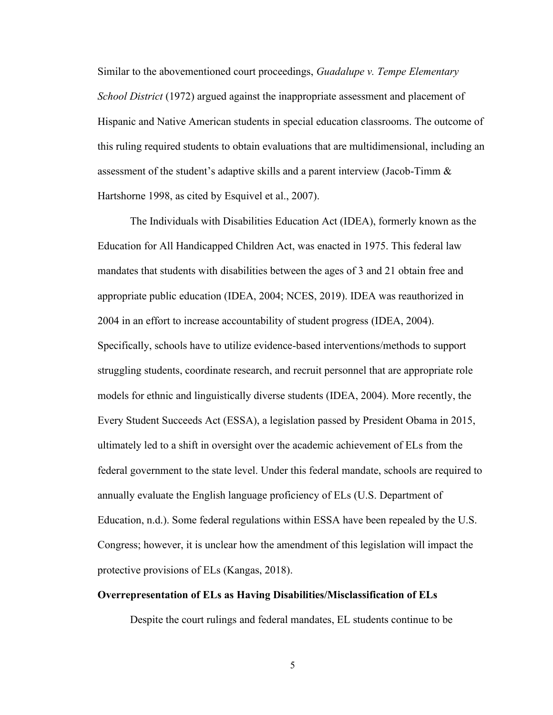Similar to the abovementioned court proceedings, *Guadalupe v. Tempe Elementary School District* (1972) argued against the inappropriate assessment and placement of Hispanic and Native American students in special education classrooms. The outcome of this ruling required students to obtain evaluations that are multidimensional, including an assessment of the student's adaptive skills and a parent interview (Jacob-Timm & Hartshorne 1998, as cited by Esquivel et al., 2007).

The Individuals with Disabilities Education Act (IDEA), formerly known as the Education for All Handicapped Children Act, was enacted in 1975. This federal law mandates that students with disabilities between the ages of 3 and 21 obtain free and appropriate public education (IDEA, 2004; NCES, 2019). IDEA was reauthorized in 2004 in an effort to increase accountability of student progress (IDEA, 2004). Specifically, schools have to utilize evidence-based interventions/methods to support struggling students, coordinate research, and recruit personnel that are appropriate role models for ethnic and linguistically diverse students (IDEA, 2004). More recently, the Every Student Succeeds Act (ESSA), a legislation passed by President Obama in 2015, ultimately led to a shift in oversight over the academic achievement of ELs from the federal government to the state level. Under this federal mandate, schools are required to annually evaluate the English language proficiency of ELs (U.S. Department of Education, n.d.). Some federal regulations within ESSA have been repealed by the U.S. Congress; however, it is unclear how the amendment of this legislation will impact the protective provisions of ELs (Kangas, 2018).

### **Overrepresentation of ELs as Having Disabilities/Misclassification of ELs**

Despite the court rulings and federal mandates, EL students continue to be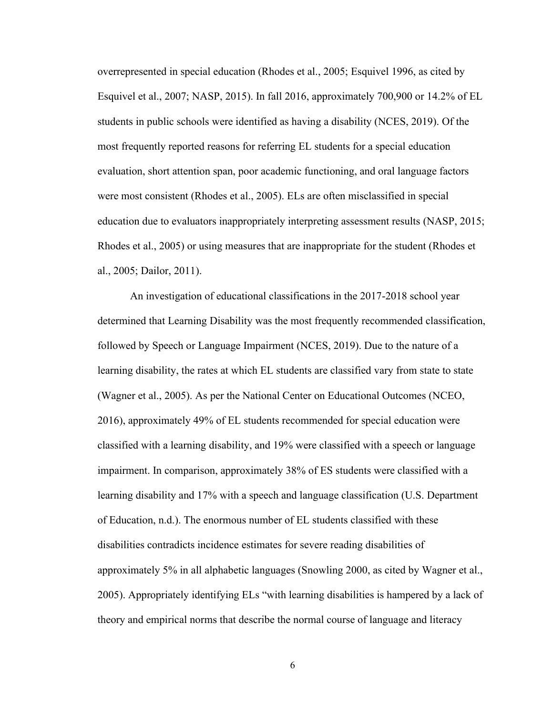overrepresented in special education (Rhodes et al., 2005; Esquivel 1996, as cited by Esquivel et al., 2007; NASP, 2015). In fall 2016, approximately 700,900 or 14.2% of EL students in public schools were identified as having a disability (NCES, 2019). Of the most frequently reported reasons for referring EL students for a special education evaluation, short attention span, poor academic functioning, and oral language factors were most consistent (Rhodes et al., 2005). ELs are often misclassified in special education due to evaluators inappropriately interpreting assessment results (NASP, 2015; Rhodes et al., 2005) or using measures that are inappropriate for the student (Rhodes et al., 2005; Dailor, 2011).

An investigation of educational classifications in the 2017-2018 school year determined that Learning Disability was the most frequently recommended classification, followed by Speech or Language Impairment (NCES, 2019). Due to the nature of a learning disability, the rates at which EL students are classified vary from state to state (Wagner et al., 2005). As per the National Center on Educational Outcomes (NCEO, 2016), approximately 49% of EL students recommended for special education were classified with a learning disability, and 19% were classified with a speech or language impairment. In comparison, approximately 38% of ES students were classified with a learning disability and 17% with a speech and language classification (U.S. Department of Education, n.d.). The enormous number of EL students classified with these disabilities contradicts incidence estimates for severe reading disabilities of approximately 5% in all alphabetic languages (Snowling 2000, as cited by Wagner et al., 2005). Appropriately identifying ELs "with learning disabilities is hampered by a lack of theory and empirical norms that describe the normal course of language and literacy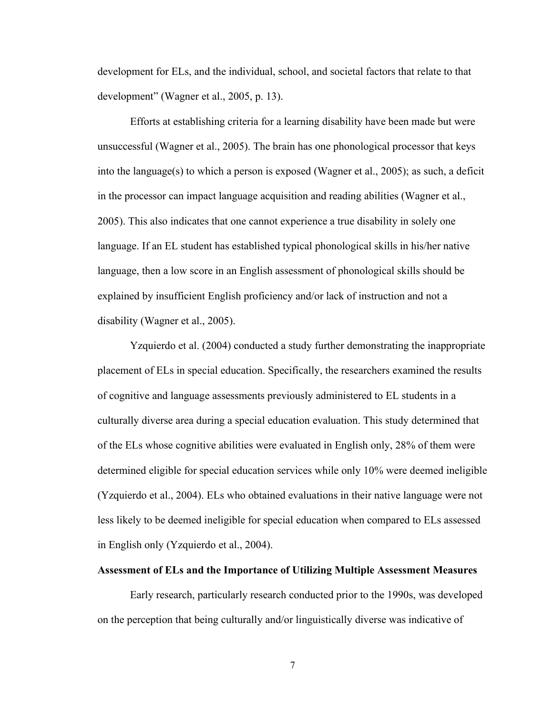development for ELs, and the individual, school, and societal factors that relate to that development" (Wagner et al., 2005, p. 13).

Efforts at establishing criteria for a learning disability have been made but were unsuccessful (Wagner et al., 2005). The brain has one phonological processor that keys into the language(s) to which a person is exposed (Wagner et al., 2005); as such, a deficit in the processor can impact language acquisition and reading abilities (Wagner et al., 2005). This also indicates that one cannot experience a true disability in solely one language. If an EL student has established typical phonological skills in his/her native language, then a low score in an English assessment of phonological skills should be explained by insufficient English proficiency and/or lack of instruction and not a disability (Wagner et al., 2005).

Yzquierdo et al. (2004) conducted a study further demonstrating the inappropriate placement of ELs in special education. Specifically, the researchers examined the results of cognitive and language assessments previously administered to EL students in a culturally diverse area during a special education evaluation. This study determined that of the ELs whose cognitive abilities were evaluated in English only, 28% of them were determined eligible for special education services while only 10% were deemed ineligible (Yzquierdo et al., 2004). ELs who obtained evaluations in their native language were not less likely to be deemed ineligible for special education when compared to ELs assessed in English only (Yzquierdo et al., 2004).

#### **Assessment of ELs and the Importance of Utilizing Multiple Assessment Measures**

Early research, particularly research conducted prior to the 1990s, was developed on the perception that being culturally and/or linguistically diverse was indicative of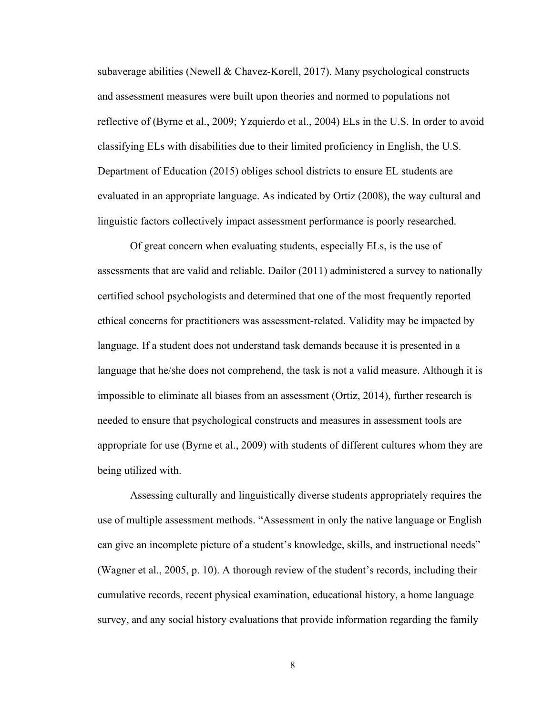subaverage abilities (Newell & Chavez-Korell, 2017). Many psychological constructs and assessment measures were built upon theories and normed to populations not reflective of (Byrne et al., 2009; Yzquierdo et al., 2004) ELs in the U.S. In order to avoid classifying ELs with disabilities due to their limited proficiency in English, the U.S. Department of Education (2015) obliges school districts to ensure EL students are evaluated in an appropriate language. As indicated by Ortiz (2008), the way cultural and linguistic factors collectively impact assessment performance is poorly researched.

Of great concern when evaluating students, especially ELs, is the use of assessments that are valid and reliable. Dailor (2011) administered a survey to nationally certified school psychologists and determined that one of the most frequently reported ethical concerns for practitioners was assessment-related. Validity may be impacted by language. If a student does not understand task demands because it is presented in a language that he/she does not comprehend, the task is not a valid measure. Although it is impossible to eliminate all biases from an assessment (Ortiz, 2014), further research is needed to ensure that psychological constructs and measures in assessment tools are appropriate for use (Byrne et al., 2009) with students of different cultures whom they are being utilized with.

Assessing culturally and linguistically diverse students appropriately requires the use of multiple assessment methods. "Assessment in only the native language or English can give an incomplete picture of a student's knowledge, skills, and instructional needs" (Wagner et al., 2005, p. 10). A thorough review of the student's records, including their cumulative records, recent physical examination, educational history, a home language survey, and any social history evaluations that provide information regarding the family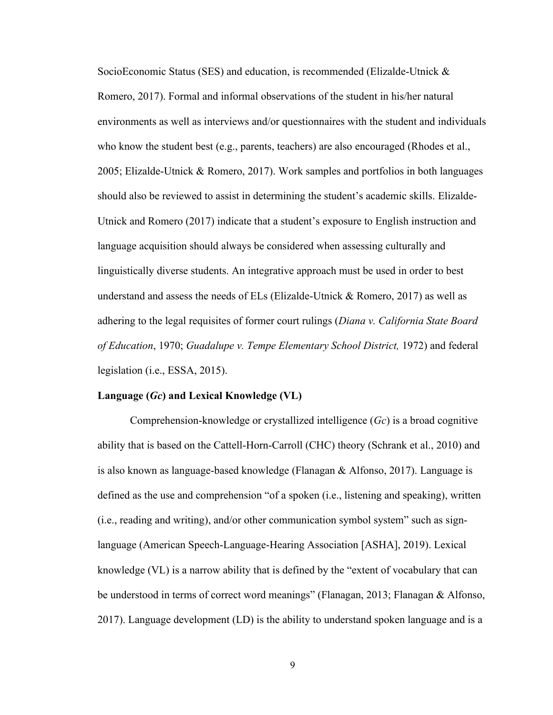SocioEconomic Status (SES) and education, is recommended (Elizalde-Utnick & Romero, 2017). Formal and informal observations of the student in his/her natural environments as well as interviews and/or questionnaires with the student and individuals who know the student best (e.g., parents, teachers) are also encouraged (Rhodes et al., 2005; Elizalde-Utnick & Romero, 2017). Work samples and portfolios in both languages should also be reviewed to assist in determining the student's academic skills. Elizalde-Utnick and Romero (2017) indicate that a student's exposure to English instruction and language acquisition should always be considered when assessing culturally and linguistically diverse students. An integrative approach must be used in order to best understand and assess the needs of ELs (Elizalde-Utnick & Romero, 2017) as well as adhering to the legal requisites of former court rulings (*Diana v. California State Board of Education*, 1970; *Guadalupe v. Tempe Elementary School District,* 1972) and federal legislation (i.e., ESSA, 2015).

#### **Language (***Gc***) and Lexical Knowledge (VL)**

Comprehension-knowledge or crystallized intelligence (*Gc*) is a broad cognitive ability that is based on the Cattell-Horn-Carroll (CHC) theory (Schrank et al., 2010) and is also known as language-based knowledge (Flanagan & Alfonso, 2017). Language is defined as the use and comprehension "of a spoken (i.e., listening and speaking), written (i.e., reading and writing), and/or other communication symbol system" such as signlanguage (American Speech-Language-Hearing Association [ASHA], 2019). Lexical knowledge (VL) is a narrow ability that is defined by the "extent of vocabulary that can be understood in terms of correct word meanings" (Flanagan, 2013; Flanagan & Alfonso, 2017). Language development (LD) is the ability to understand spoken language and is a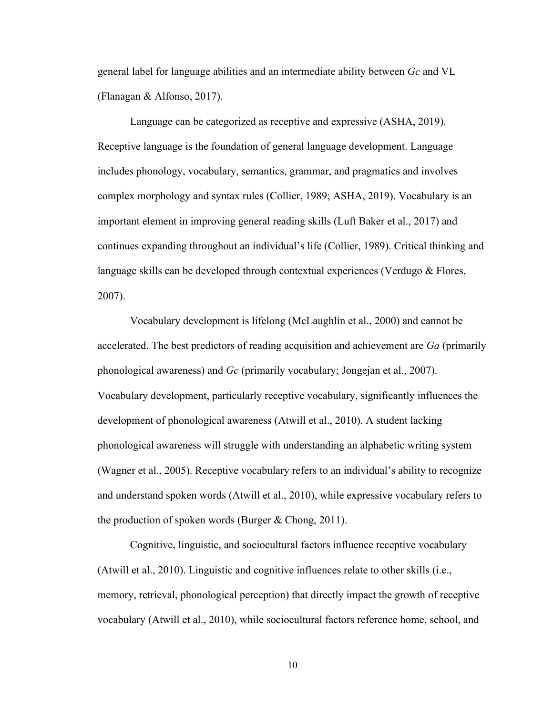general label for language abilities and an intermediate ability between *Gc* and VL (Flanagan & Alfonso, 2017).

Language can be categorized as receptive and expressive (ASHA, 2019). Receptive language is the foundation of general language development. Language includes phonology, vocabulary, semantics, grammar, and pragmatics and involves complex morphology and syntax rules (Collier, 1989; ASHA, 2019). Vocabulary is an important element in improving general reading skills (Luft Baker et al., 2017) and continues expanding throughout an individual's life (Collier, 1989). Critical thinking and language skills can be developed through contextual experiences (Verdugo & Flores, 2007).

Vocabulary development is lifelong (McLaughlin et al., 2000) and cannot be accelerated. The best predictors of reading acquisition and achievement are *Ga* (primarily phonological awareness) and *Gc* (primarily vocabulary; Jongejan et al., 2007). Vocabulary development, particularly receptive vocabulary, significantly influences the development of phonological awareness (Atwill et al., 2010). A student lacking phonological awareness will struggle with understanding an alphabetic writing system (Wagner et al., 2005). Receptive vocabulary refers to an individual's ability to recognize and understand spoken words (Atwill et al., 2010), while expressive vocabulary refers to the production of spoken words (Burger  $&$  Chong, 2011).

Cognitive, linguistic, and sociocultural factors influence receptive vocabulary (Atwill et al., 2010). Linguistic and cognitive influences relate to other skills (i.e., memory, retrieval, phonological perception) that directly impact the growth of receptive vocabulary (Atwill et al., 2010), while sociocultural factors reference home, school, and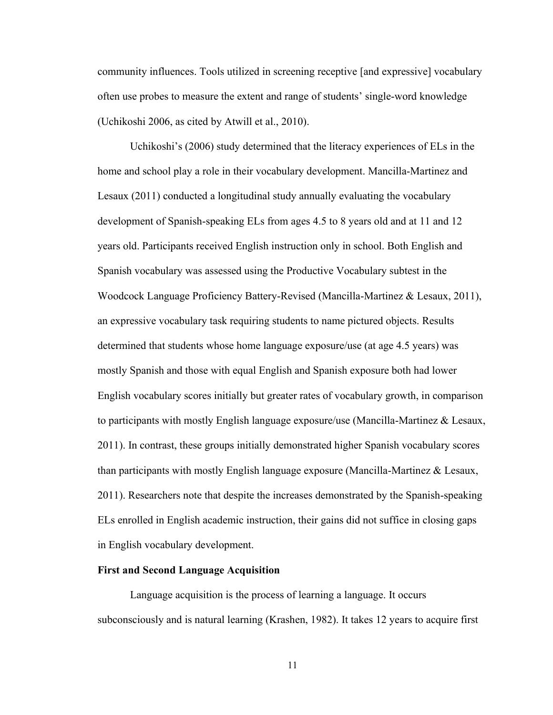community influences. Tools utilized in screening receptive [and expressive] vocabulary often use probes to measure the extent and range of students' single-word knowledge (Uchikoshi 2006, as cited by Atwill et al., 2010).

Uchikoshi's (2006) study determined that the literacy experiences of ELs in the home and school play a role in their vocabulary development. Mancilla-Martinez and Lesaux (2011) conducted a longitudinal study annually evaluating the vocabulary development of Spanish-speaking ELs from ages 4.5 to 8 years old and at 11 and 12 years old. Participants received English instruction only in school. Both English and Spanish vocabulary was assessed using the Productive Vocabulary subtest in the Woodcock Language Proficiency Battery-Revised (Mancilla-Martinez & Lesaux, 2011), an expressive vocabulary task requiring students to name pictured objects. Results determined that students whose home language exposure/use (at age 4.5 years) was mostly Spanish and those with equal English and Spanish exposure both had lower English vocabulary scores initially but greater rates of vocabulary growth, in comparison to participants with mostly English language exposure/use (Mancilla-Martinez & Lesaux, 2011). In contrast, these groups initially demonstrated higher Spanish vocabulary scores than participants with mostly English language exposure (Mancilla-Martinez & Lesaux, 2011). Researchers note that despite the increases demonstrated by the Spanish-speaking ELs enrolled in English academic instruction, their gains did not suffice in closing gaps in English vocabulary development.

#### **First and Second Language Acquisition**

Language acquisition is the process of learning a language. It occurs subconsciously and is natural learning (Krashen, 1982). It takes 12 years to acquire first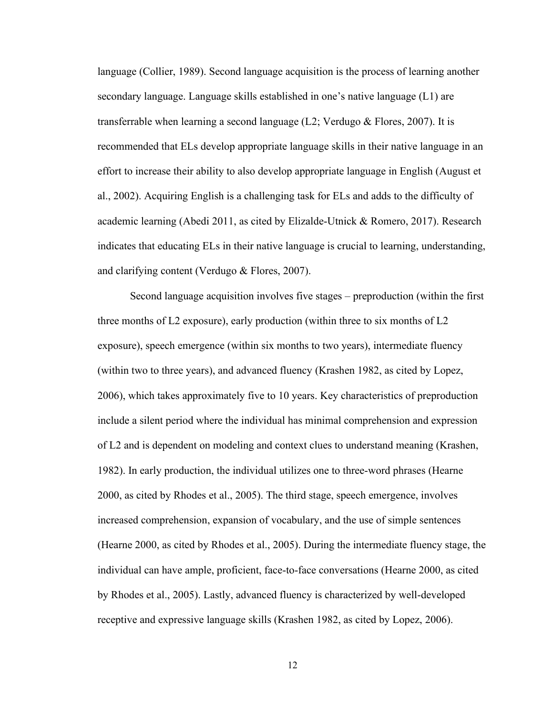language (Collier, 1989). Second language acquisition is the process of learning another secondary language. Language skills established in one's native language (L1) are transferrable when learning a second language  $(L2; Verdugo \&\text{ Flores}, 2007)$ . It is recommended that ELs develop appropriate language skills in their native language in an effort to increase their ability to also develop appropriate language in English (August et al., 2002). Acquiring English is a challenging task for ELs and adds to the difficulty of academic learning (Abedi 2011, as cited by Elizalde-Utnick & Romero, 2017). Research indicates that educating ELs in their native language is crucial to learning, understanding, and clarifying content (Verdugo & Flores, 2007).

Second language acquisition involves five stages – preproduction (within the first three months of L2 exposure), early production (within three to six months of L2 exposure), speech emergence (within six months to two years), intermediate fluency (within two to three years), and advanced fluency (Krashen 1982, as cited by Lopez, 2006), which takes approximately five to 10 years. Key characteristics of preproduction include a silent period where the individual has minimal comprehension and expression of L2 and is dependent on modeling and context clues to understand meaning (Krashen, 1982). In early production, the individual utilizes one to three-word phrases (Hearne 2000, as cited by Rhodes et al., 2005). The third stage, speech emergence, involves increased comprehension, expansion of vocabulary, and the use of simple sentences (Hearne 2000, as cited by Rhodes et al., 2005). During the intermediate fluency stage, the individual can have ample, proficient, face-to-face conversations (Hearne 2000, as cited by Rhodes et al., 2005). Lastly, advanced fluency is characterized by well-developed receptive and expressive language skills (Krashen 1982, as cited by Lopez, 2006).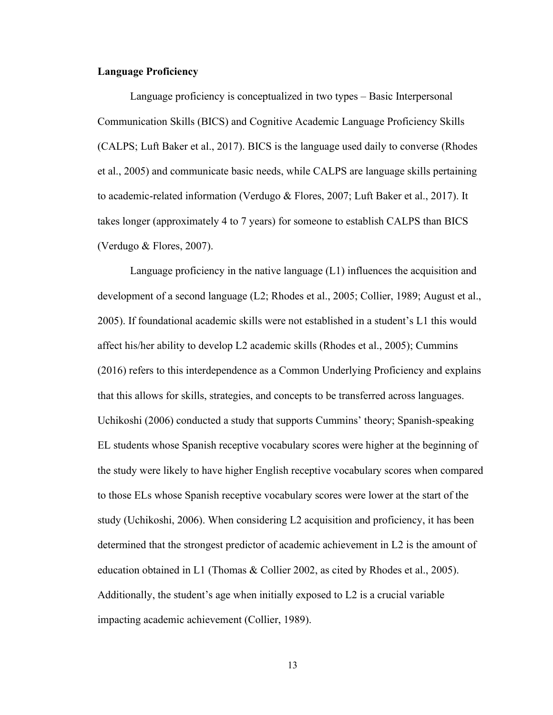### **Language Proficiency**

Language proficiency is conceptualized in two types – Basic Interpersonal Communication Skills (BICS) and Cognitive Academic Language Proficiency Skills (CALPS; Luft Baker et al., 2017). BICS is the language used daily to converse (Rhodes et al., 2005) and communicate basic needs, while CALPS are language skills pertaining to academic-related information (Verdugo & Flores, 2007; Luft Baker et al., 2017). It takes longer (approximately 4 to 7 years) for someone to establish CALPS than BICS (Verdugo & Flores, 2007).

Language proficiency in the native language (L1) influences the acquisition and development of a second language (L2; Rhodes et al., 2005; Collier, 1989; August et al., 2005). If foundational academic skills were not established in a student's L1 this would affect his/her ability to develop L2 academic skills (Rhodes et al., 2005); Cummins (2016) refers to this interdependence as a Common Underlying Proficiency and explains that this allows for skills, strategies, and concepts to be transferred across languages. Uchikoshi (2006) conducted a study that supports Cummins' theory; Spanish-speaking EL students whose Spanish receptive vocabulary scores were higher at the beginning of the study were likely to have higher English receptive vocabulary scores when compared to those ELs whose Spanish receptive vocabulary scores were lower at the start of the study (Uchikoshi, 2006). When considering L2 acquisition and proficiency, it has been determined that the strongest predictor of academic achievement in L2 is the amount of education obtained in L1 (Thomas & Collier 2002, as cited by Rhodes et al., 2005). Additionally, the student's age when initially exposed to L2 is a crucial variable impacting academic achievement (Collier, 1989).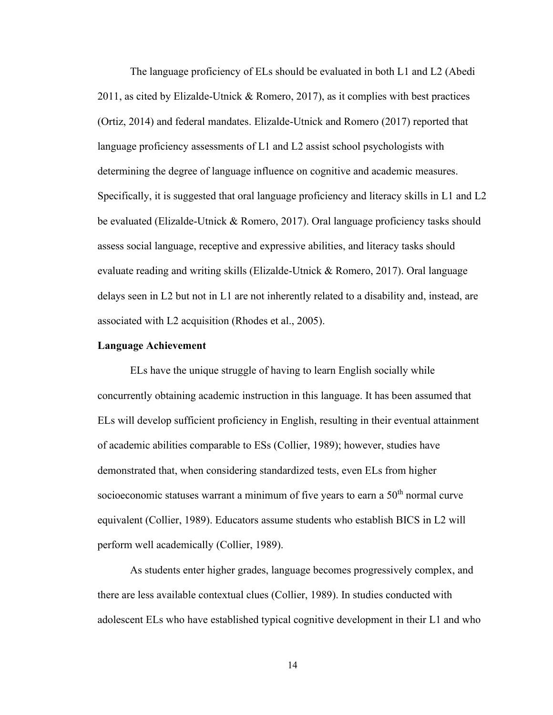The language proficiency of ELs should be evaluated in both L1 and L2 (Abedi 2011, as cited by Elizalde-Utnick & Romero, 2017), as it complies with best practices (Ortiz, 2014) and federal mandates. Elizalde-Utnick and Romero (2017) reported that language proficiency assessments of L1 and L2 assist school psychologists with determining the degree of language influence on cognitive and academic measures. Specifically, it is suggested that oral language proficiency and literacy skills in L1 and L2 be evaluated (Elizalde-Utnick & Romero, 2017). Oral language proficiency tasks should assess social language, receptive and expressive abilities, and literacy tasks should evaluate reading and writing skills (Elizalde-Utnick & Romero, 2017). Oral language delays seen in L2 but not in L1 are not inherently related to a disability and, instead, are associated with L2 acquisition (Rhodes et al., 2005).

#### **Language Achievement**

ELs have the unique struggle of having to learn English socially while concurrently obtaining academic instruction in this language. It has been assumed that ELs will develop sufficient proficiency in English, resulting in their eventual attainment of academic abilities comparable to ESs (Collier, 1989); however, studies have demonstrated that, when considering standardized tests, even ELs from higher socioeconomic statuses warrant a minimum of five years to earn a  $50<sup>th</sup>$  normal curve equivalent (Collier, 1989). Educators assume students who establish BICS in L2 will perform well academically (Collier, 1989).

As students enter higher grades, language becomes progressively complex, and there are less available contextual clues (Collier, 1989). In studies conducted with adolescent ELs who have established typical cognitive development in their L1 and who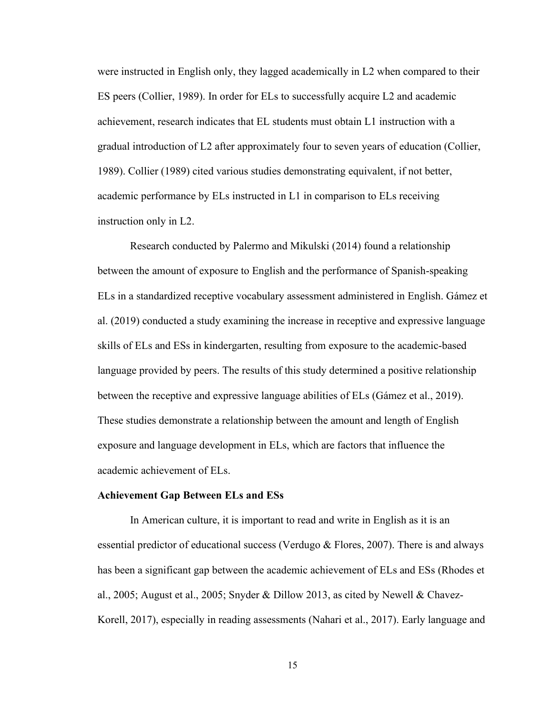were instructed in English only, they lagged academically in L2 when compared to their ES peers (Collier, 1989). In order for ELs to successfully acquire L2 and academic achievement, research indicates that EL students must obtain L1 instruction with a gradual introduction of L2 after approximately four to seven years of education (Collier, 1989). Collier (1989) cited various studies demonstrating equivalent, if not better, academic performance by ELs instructed in L1 in comparison to ELs receiving instruction only in L2.

Research conducted by Palermo and Mikulski (2014) found a relationship between the amount of exposure to English and the performance of Spanish-speaking ELs in a standardized receptive vocabulary assessment administered in English. Gámez et al. (2019) conducted a study examining the increase in receptive and expressive language skills of ELs and ESs in kindergarten, resulting from exposure to the academic-based language provided by peers. The results of this study determined a positive relationship between the receptive and expressive language abilities of ELs (Gámez et al., 2019). These studies demonstrate a relationship between the amount and length of English exposure and language development in ELs, which are factors that influence the academic achievement of ELs.

#### **Achievement Gap Between ELs and ESs**

In American culture, it is important to read and write in English as it is an essential predictor of educational success (Verdugo & Flores, 2007). There is and always has been a significant gap between the academic achievement of ELs and ESs (Rhodes et al., 2005; August et al., 2005; Snyder & Dillow 2013, as cited by Newell & Chavez-Korell, 2017), especially in reading assessments (Nahari et al., 2017). Early language and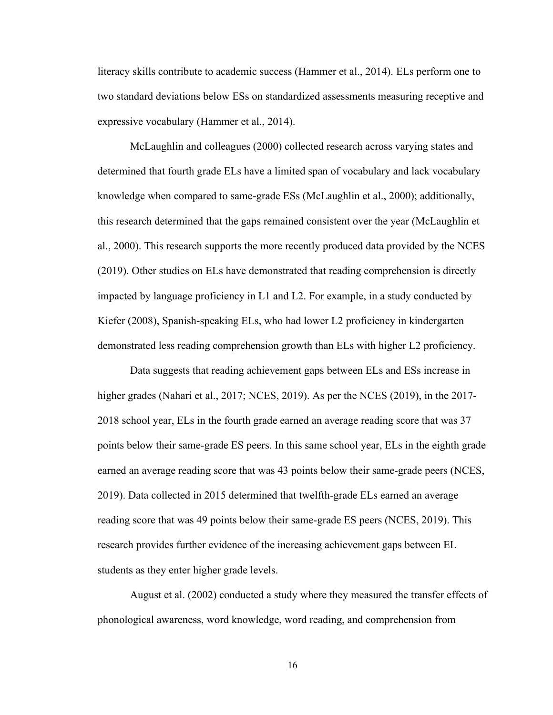literacy skills contribute to academic success (Hammer et al., 2014). ELs perform one to two standard deviations below ESs on standardized assessments measuring receptive and expressive vocabulary (Hammer et al., 2014).

McLaughlin and colleagues (2000) collected research across varying states and determined that fourth grade ELs have a limited span of vocabulary and lack vocabulary knowledge when compared to same-grade ESs (McLaughlin et al., 2000); additionally, this research determined that the gaps remained consistent over the year (McLaughlin et al., 2000). This research supports the more recently produced data provided by the NCES (2019). Other studies on ELs have demonstrated that reading comprehension is directly impacted by language proficiency in L1 and L2. For example, in a study conducted by Kiefer (2008), Spanish-speaking ELs, who had lower L2 proficiency in kindergarten demonstrated less reading comprehension growth than ELs with higher L2 proficiency.

Data suggests that reading achievement gaps between ELs and ESs increase in higher grades (Nahari et al., 2017; NCES, 2019). As per the NCES (2019), in the 2017-2018 school year, ELs in the fourth grade earned an average reading score that was 37 points below their same-grade ES peers. In this same school year, ELs in the eighth grade earned an average reading score that was 43 points below their same-grade peers (NCES, 2019). Data collected in 2015 determined that twelfth-grade ELs earned an average reading score that was 49 points below their same-grade ES peers (NCES, 2019). This research provides further evidence of the increasing achievement gaps between EL students as they enter higher grade levels.

August et al. (2002) conducted a study where they measured the transfer effects of phonological awareness, word knowledge, word reading, and comprehension from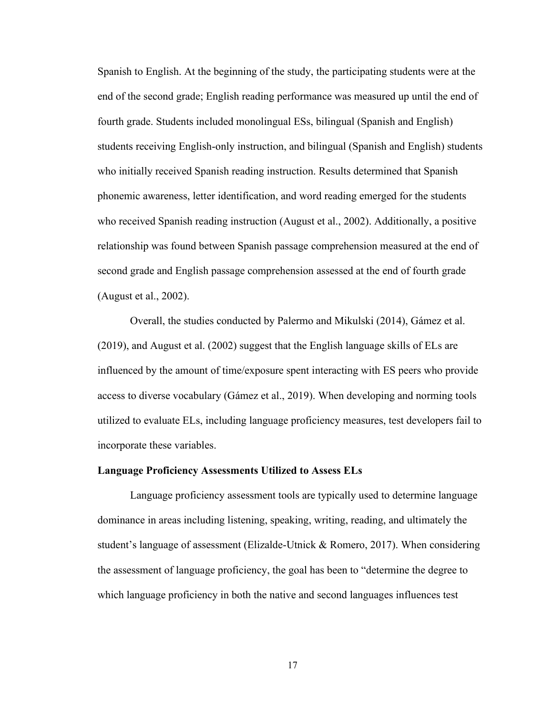Spanish to English. At the beginning of the study, the participating students were at the end of the second grade; English reading performance was measured up until the end of fourth grade. Students included monolingual ESs, bilingual (Spanish and English) students receiving English-only instruction, and bilingual (Spanish and English) students who initially received Spanish reading instruction. Results determined that Spanish phonemic awareness, letter identification, and word reading emerged for the students who received Spanish reading instruction (August et al., 2002). Additionally, a positive relationship was found between Spanish passage comprehension measured at the end of second grade and English passage comprehension assessed at the end of fourth grade (August et al., 2002).

Overall, the studies conducted by Palermo and Mikulski (2014), Gámez et al. (2019), and August et al. (2002) suggest that the English language skills of ELs are influenced by the amount of time/exposure spent interacting with ES peers who provide access to diverse vocabulary (Gámez et al., 2019). When developing and norming tools utilized to evaluate ELs, including language proficiency measures, test developers fail to incorporate these variables.

#### **Language Proficiency Assessments Utilized to Assess ELs**

Language proficiency assessment tools are typically used to determine language dominance in areas including listening, speaking, writing, reading, and ultimately the student's language of assessment (Elizalde-Utnick & Romero, 2017). When considering the assessment of language proficiency, the goal has been to "determine the degree to which language proficiency in both the native and second languages influences test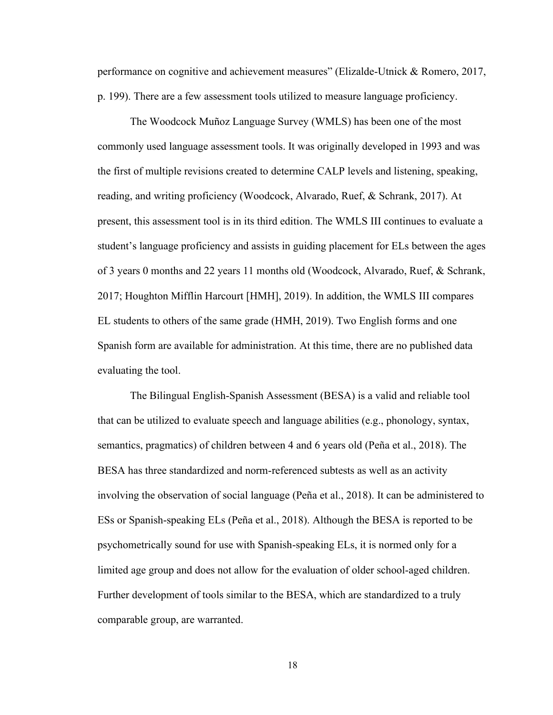performance on cognitive and achievement measures" (Elizalde-Utnick & Romero, 2017, p. 199). There are a few assessment tools utilized to measure language proficiency.

The Woodcock Muñoz Language Survey (WMLS) has been one of the most commonly used language assessment tools. It was originally developed in 1993 and was the first of multiple revisions created to determine CALP levels and listening, speaking, reading, and writing proficiency (Woodcock, Alvarado, Ruef, & Schrank, 2017). At present, this assessment tool is in its third edition. The WMLS III continues to evaluate a student's language proficiency and assists in guiding placement for ELs between the ages of 3 years 0 months and 22 years 11 months old (Woodcock, Alvarado, Ruef, & Schrank, 2017; Houghton Mifflin Harcourt [HMH], 2019). In addition, the WMLS III compares EL students to others of the same grade (HMH, 2019). Two English forms and one Spanish form are available for administration. At this time, there are no published data evaluating the tool.

The Bilingual English-Spanish Assessment (BESA) is a valid and reliable tool that can be utilized to evaluate speech and language abilities (e.g., phonology, syntax, semantics, pragmatics) of children between 4 and 6 years old (Peña et al., 2018). The BESA has three standardized and norm-referenced subtests as well as an activity involving the observation of social language (Peña et al., 2018). It can be administered to ESs or Spanish-speaking ELs (Peña et al., 2018). Although the BESA is reported to be psychometrically sound for use with Spanish-speaking ELs, it is normed only for a limited age group and does not allow for the evaluation of older school-aged children. Further development of tools similar to the BESA, which are standardized to a truly comparable group, are warranted.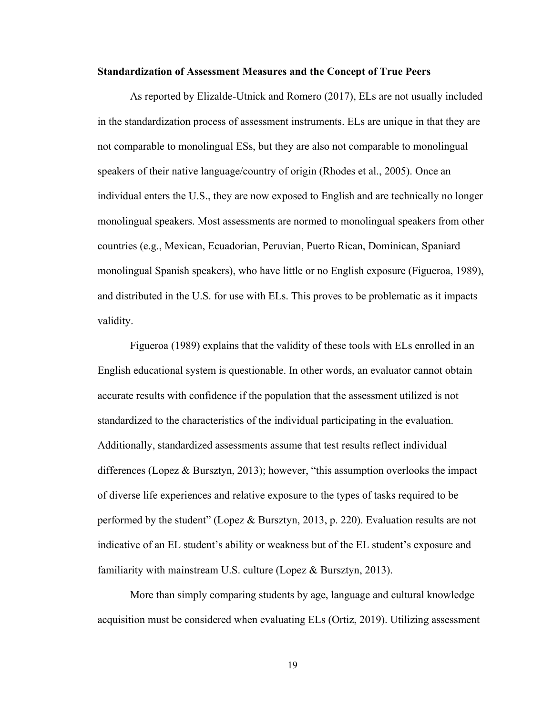#### **Standardization of Assessment Measures and the Concept of True Peers**

As reported by Elizalde-Utnick and Romero (2017), ELs are not usually included in the standardization process of assessment instruments. ELs are unique in that they are not comparable to monolingual ESs, but they are also not comparable to monolingual speakers of their native language/country of origin (Rhodes et al., 2005). Once an individual enters the U.S., they are now exposed to English and are technically no longer monolingual speakers. Most assessments are normed to monolingual speakers from other countries (e.g., Mexican, Ecuadorian, Peruvian, Puerto Rican, Dominican, Spaniard monolingual Spanish speakers), who have little or no English exposure (Figueroa, 1989), and distributed in the U.S. for use with ELs. This proves to be problematic as it impacts validity.

Figueroa (1989) explains that the validity of these tools with ELs enrolled in an English educational system is questionable. In other words, an evaluator cannot obtain accurate results with confidence if the population that the assessment utilized is not standardized to the characteristics of the individual participating in the evaluation. Additionally, standardized assessments assume that test results reflect individual differences (Lopez & Bursztyn, 2013); however, "this assumption overlooks the impact of diverse life experiences and relative exposure to the types of tasks required to be performed by the student" (Lopez & Bursztyn, 2013, p. 220). Evaluation results are not indicative of an EL student's ability or weakness but of the EL student's exposure and familiarity with mainstream U.S. culture (Lopez & Bursztyn, 2013).

More than simply comparing students by age, language and cultural knowledge acquisition must be considered when evaluating ELs (Ortiz, 2019). Utilizing assessment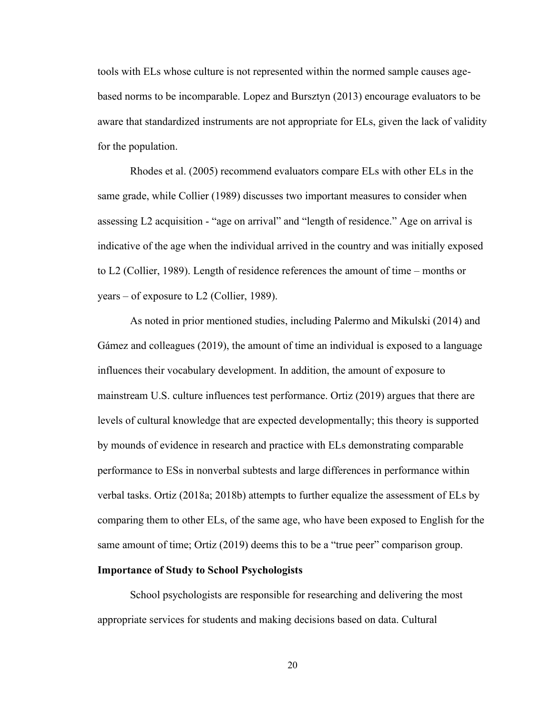tools with ELs whose culture is not represented within the normed sample causes agebased norms to be incomparable. Lopez and Bursztyn (2013) encourage evaluators to be aware that standardized instruments are not appropriate for ELs, given the lack of validity for the population.

Rhodes et al. (2005) recommend evaluators compare ELs with other ELs in the same grade, while Collier (1989) discusses two important measures to consider when assessing L2 acquisition - "age on arrival" and "length of residence." Age on arrival is indicative of the age when the individual arrived in the country and was initially exposed to L2 (Collier, 1989). Length of residence references the amount of time – months or years – of exposure to L2 (Collier, 1989).

As noted in prior mentioned studies, including Palermo and Mikulski (2014) and Gámez and colleagues (2019), the amount of time an individual is exposed to a language influences their vocabulary development. In addition, the amount of exposure to mainstream U.S. culture influences test performance. Ortiz (2019) argues that there are levels of cultural knowledge that are expected developmentally; this theory is supported by mounds of evidence in research and practice with ELs demonstrating comparable performance to ESs in nonverbal subtests and large differences in performance within verbal tasks. Ortiz (2018a; 2018b) attempts to further equalize the assessment of ELs by comparing them to other ELs, of the same age, who have been exposed to English for the same amount of time; Ortiz (2019) deems this to be a "true peer" comparison group.

#### **Importance of Study to School Psychologists**

School psychologists are responsible for researching and delivering the most appropriate services for students and making decisions based on data. Cultural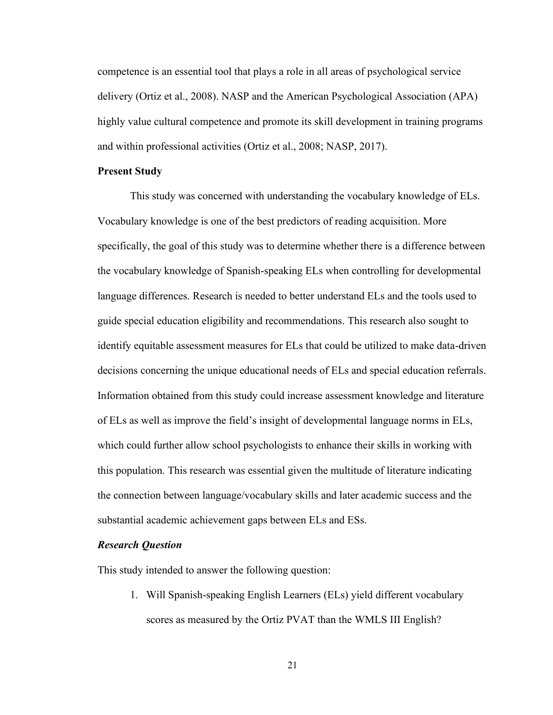competence is an essential tool that plays a role in all areas of psychological service delivery (Ortiz et al., 2008). NASP and the American Psychological Association (APA) highly value cultural competence and promote its skill development in training programs and within professional activities (Ortiz et al., 2008; NASP, 2017).

#### **Present Study**

This study was concerned with understanding the vocabulary knowledge of ELs. Vocabulary knowledge is one of the best predictors of reading acquisition. More specifically, the goal of this study was to determine whether there is a difference between the vocabulary knowledge of Spanish-speaking ELs when controlling for developmental language differences. Research is needed to better understand ELs and the tools used to guide special education eligibility and recommendations. This research also sought to identify equitable assessment measures for ELs that could be utilized to make data-driven decisions concerning the unique educational needs of ELs and special education referrals. Information obtained from this study could increase assessment knowledge and literature of ELs as well as improve the field's insight of developmental language norms in ELs, which could further allow school psychologists to enhance their skills in working with this population. This research was essential given the multitude of literature indicating the connection between language/vocabulary skills and later academic success and the substantial academic achievement gaps between ELs and ESs.

#### *Research Question*

This study intended to answer the following question:

1. Will Spanish-speaking English Learners (ELs) yield different vocabulary scores as measured by the Ortiz PVAT than the WMLS III English?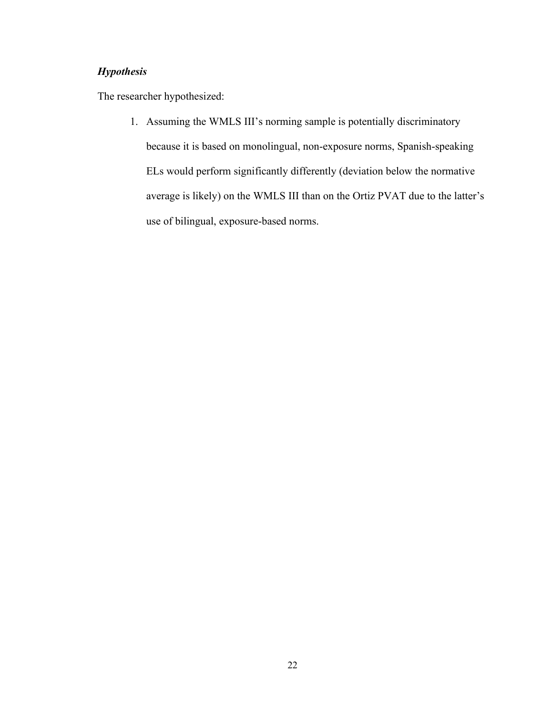# *Hypothesis*

The researcher hypothesized:

1. Assuming the WMLS III's norming sample is potentially discriminatory because it is based on monolingual, non-exposure norms, Spanish-speaking ELs would perform significantly differently (deviation below the normative average is likely) on the WMLS III than on the Ortiz PVAT due to the latter's use of bilingual, exposure-based norms.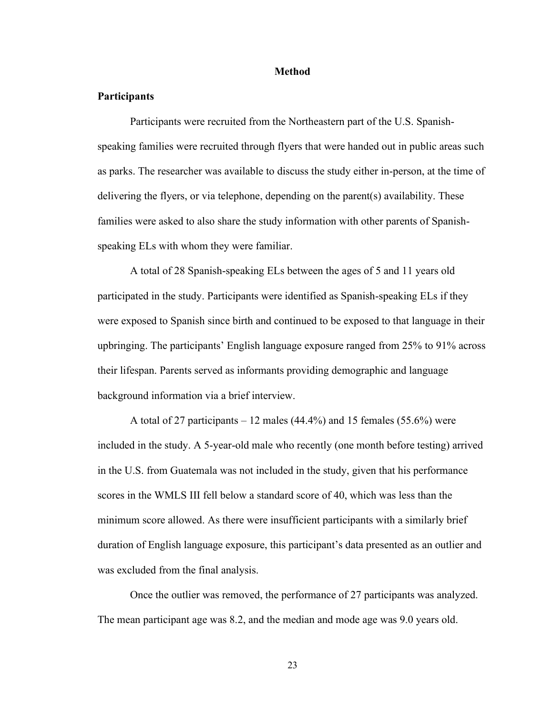#### **Method**

### **Participants**

Participants were recruited from the Northeastern part of the U.S. Spanishspeaking families were recruited through flyers that were handed out in public areas such as parks. The researcher was available to discuss the study either in-person, at the time of delivering the flyers, or via telephone, depending on the parent(s) availability. These families were asked to also share the study information with other parents of Spanishspeaking ELs with whom they were familiar.

A total of 28 Spanish-speaking ELs between the ages of 5 and 11 years old participated in the study. Participants were identified as Spanish-speaking ELs if they were exposed to Spanish since birth and continued to be exposed to that language in their upbringing. The participants' English language exposure ranged from 25% to 91% across their lifespan. Parents served as informants providing demographic and language background information via a brief interview.

A total of 27 participants – 12 males  $(44.4\%)$  and 15 females  $(55.6\%)$  were included in the study. A 5-year-old male who recently (one month before testing) arrived in the U.S. from Guatemala was not included in the study, given that his performance scores in the WMLS III fell below a standard score of 40, which was less than the minimum score allowed. As there were insufficient participants with a similarly brief duration of English language exposure, this participant's data presented as an outlier and was excluded from the final analysis.

Once the outlier was removed, the performance of 27 participants was analyzed. The mean participant age was 8.2, and the median and mode age was 9.0 years old.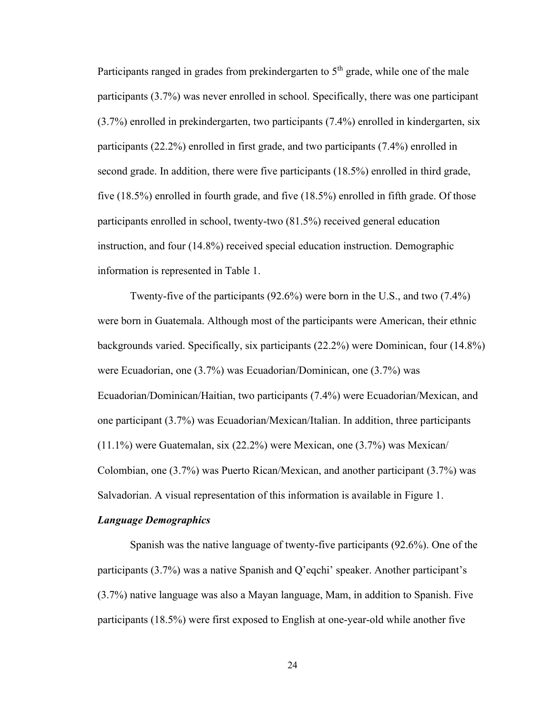Participants ranged in grades from prekindergarten to  $5<sup>th</sup>$  grade, while one of the male participants (3.7%) was never enrolled in school. Specifically, there was one participant (3.7%) enrolled in prekindergarten, two participants (7.4%) enrolled in kindergarten, six participants (22.2%) enrolled in first grade, and two participants (7.4%) enrolled in second grade. In addition, there were five participants (18.5%) enrolled in third grade, five (18.5%) enrolled in fourth grade, and five (18.5%) enrolled in fifth grade. Of those participants enrolled in school, twenty-two (81.5%) received general education instruction, and four (14.8%) received special education instruction. Demographic information is represented in Table 1.

Twenty-five of the participants (92.6%) were born in the U.S., and two (7.4%) were born in Guatemala. Although most of the participants were American, their ethnic backgrounds varied. Specifically, six participants (22.2%) were Dominican, four (14.8%) were Ecuadorian, one (3.7%) was Ecuadorian/Dominican, one (3.7%) was Ecuadorian/Dominican/Haitian, two participants (7.4%) were Ecuadorian/Mexican, and one participant (3.7%) was Ecuadorian/Mexican/Italian. In addition, three participants (11.1%) were Guatemalan, six (22.2%) were Mexican, one (3.7%) was Mexican/ Colombian, one (3.7%) was Puerto Rican/Mexican, and another participant (3.7%) was Salvadorian. A visual representation of this information is available in Figure 1.

#### *Language Demographics*

Spanish was the native language of twenty-five participants (92.6%). One of the participants (3.7%) was a native Spanish and Q'eqchi' speaker. Another participant's (3.7%) native language was also a Mayan language, Mam, in addition to Spanish. Five participants (18.5%) were first exposed to English at one-year-old while another five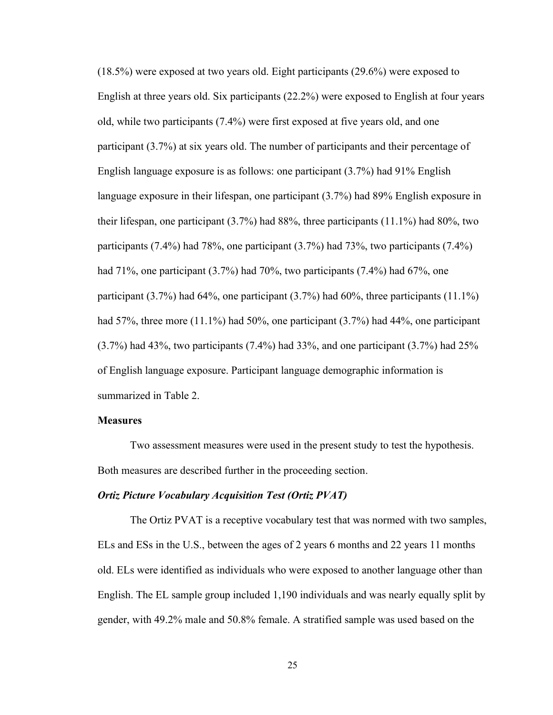(18.5%) were exposed at two years old. Eight participants (29.6%) were exposed to English at three years old. Six participants (22.2%) were exposed to English at four years old, while two participants (7.4%) were first exposed at five years old, and one participant (3.7%) at six years old. The number of participants and their percentage of English language exposure is as follows: one participant (3.7%) had 91% English language exposure in their lifespan, one participant (3.7%) had 89% English exposure in their lifespan, one participant (3.7%) had 88%, three participants (11.1%) had 80%, two participants (7.4%) had 78%, one participant (3.7%) had 73%, two participants (7.4%) had 71%, one participant (3.7%) had 70%, two participants (7.4%) had 67%, one participant (3.7%) had 64%, one participant (3.7%) had 60%, three participants (11.1%) had 57%, three more (11.1%) had 50%, one participant (3.7%) had 44%, one participant  $(3.7\%)$  had 43%, two participants  $(7.4\%)$  had 33%, and one participant  $(3.7\%)$  had 25% of English language exposure. Participant language demographic information is summarized in Table 2.

### **Measures**

Two assessment measures were used in the present study to test the hypothesis. Both measures are described further in the proceeding section.

#### *Ortiz Picture Vocabulary Acquisition Test (Ortiz PVAT)*

The Ortiz PVAT is a receptive vocabulary test that was normed with two samples, ELs and ESs in the U.S., between the ages of 2 years 6 months and 22 years 11 months old. ELs were identified as individuals who were exposed to another language other than English. The EL sample group included 1,190 individuals and was nearly equally split by gender, with 49.2% male and 50.8% female. A stratified sample was used based on the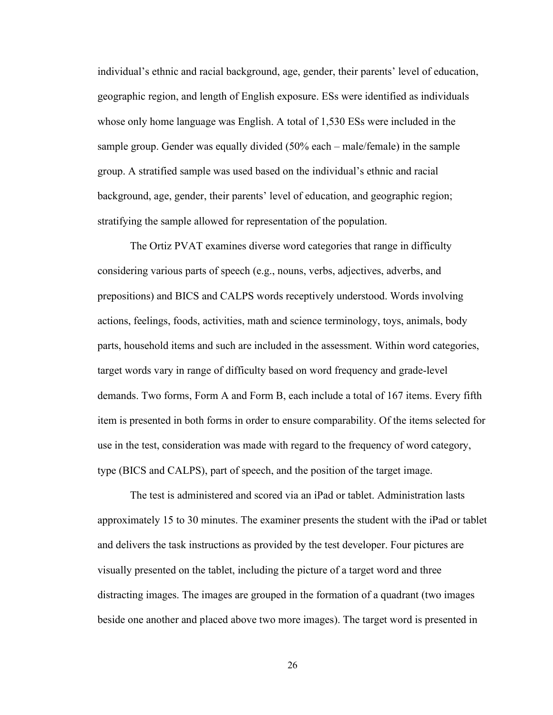individual's ethnic and racial background, age, gender, their parents' level of education, geographic region, and length of English exposure. ESs were identified as individuals whose only home language was English. A total of 1,530 ESs were included in the sample group. Gender was equally divided (50% each – male/female) in the sample group. A stratified sample was used based on the individual's ethnic and racial background, age, gender, their parents' level of education, and geographic region; stratifying the sample allowed for representation of the population.

The Ortiz PVAT examines diverse word categories that range in difficulty considering various parts of speech (e.g., nouns, verbs, adjectives, adverbs, and prepositions) and BICS and CALPS words receptively understood. Words involving actions, feelings, foods, activities, math and science terminology, toys, animals, body parts, household items and such are included in the assessment. Within word categories, target words vary in range of difficulty based on word frequency and grade-level demands. Two forms, Form A and Form B, each include a total of 167 items. Every fifth item is presented in both forms in order to ensure comparability. Of the items selected for use in the test, consideration was made with regard to the frequency of word category, type (BICS and CALPS), part of speech, and the position of the target image.

The test is administered and scored via an iPad or tablet. Administration lasts approximately 15 to 30 minutes. The examiner presents the student with the iPad or tablet and delivers the task instructions as provided by the test developer. Four pictures are visually presented on the tablet, including the picture of a target word and three distracting images. The images are grouped in the formation of a quadrant (two images beside one another and placed above two more images). The target word is presented in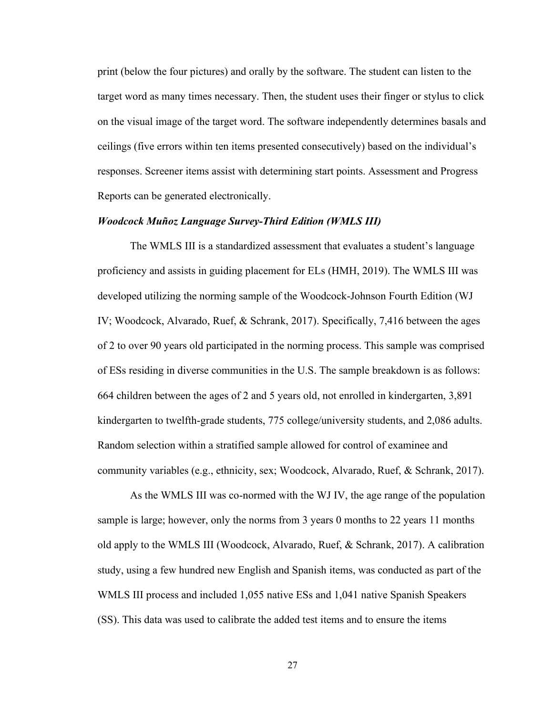print (below the four pictures) and orally by the software. The student can listen to the target word as many times necessary. Then, the student uses their finger or stylus to click on the visual image of the target word. The software independently determines basals and ceilings (five errors within ten items presented consecutively) based on the individual's responses. Screener items assist with determining start points. Assessment and Progress Reports can be generated electronically.

### *Woodcock Muñoz Language Survey-Third Edition (WMLS III)*

The WMLS III is a standardized assessment that evaluates a student's language proficiency and assists in guiding placement for ELs (HMH, 2019). The WMLS III was developed utilizing the norming sample of the Woodcock-Johnson Fourth Edition (WJ IV; Woodcock, Alvarado, Ruef, & Schrank, 2017). Specifically, 7,416 between the ages of 2 to over 90 years old participated in the norming process. This sample was comprised of ESs residing in diverse communities in the U.S. The sample breakdown is as follows: 664 children between the ages of 2 and 5 years old, not enrolled in kindergarten, 3,891 kindergarten to twelfth-grade students, 775 college/university students, and 2,086 adults. Random selection within a stratified sample allowed for control of examinee and community variables (e.g., ethnicity, sex; Woodcock, Alvarado, Ruef, & Schrank, 2017).

As the WMLS III was co-normed with the WJ IV, the age range of the population sample is large; however, only the norms from 3 years 0 months to 22 years 11 months old apply to the WMLS III (Woodcock, Alvarado, Ruef, & Schrank, 2017). A calibration study, using a few hundred new English and Spanish items, was conducted as part of the WMLS III process and included 1,055 native ESs and 1,041 native Spanish Speakers (SS). This data was used to calibrate the added test items and to ensure the items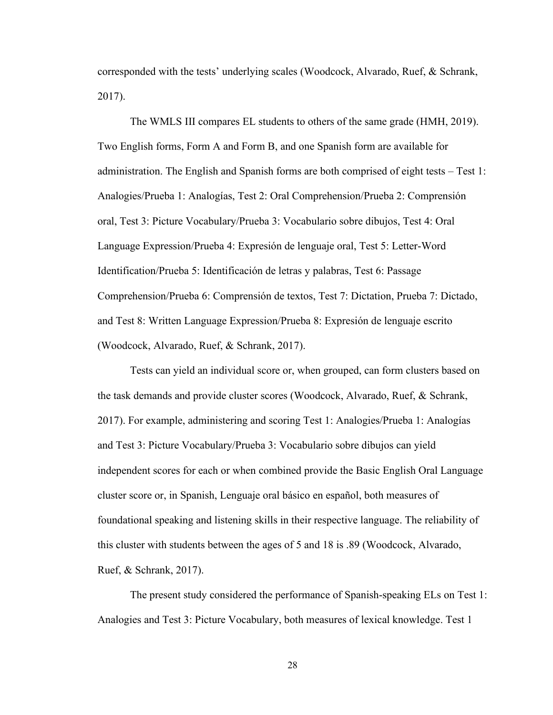corresponded with the tests' underlying scales (Woodcock, Alvarado, Ruef, & Schrank, 2017).

The WMLS III compares EL students to others of the same grade (HMH, 2019). Two English forms, Form A and Form B, and one Spanish form are available for administration. The English and Spanish forms are both comprised of eight tests – Test 1: Analogies/Prueba 1: Analogías, Test 2: Oral Comprehension/Prueba 2: Comprensión oral, Test 3: Picture Vocabulary/Prueba 3: Vocabulario sobre dibujos, Test 4: Oral Language Expression/Prueba 4: Expresión de lenguaje oral, Test 5: Letter-Word Identification/Prueba 5: Identificación de letras y palabras, Test 6: Passage Comprehension/Prueba 6: Comprensión de textos, Test 7: Dictation, Prueba 7: Dictado, and Test 8: Written Language Expression/Prueba 8: Expresión de lenguaje escrito (Woodcock, Alvarado, Ruef, & Schrank, 2017).

Tests can yield an individual score or, when grouped, can form clusters based on the task demands and provide cluster scores (Woodcock, Alvarado, Ruef, & Schrank, 2017). For example, administering and scoring Test 1: Analogies/Prueba 1: Analogías and Test 3: Picture Vocabulary/Prueba 3: Vocabulario sobre dibujos can yield independent scores for each or when combined provide the Basic English Oral Language cluster score or, in Spanish, Lenguaje oral básico en español, both measures of foundational speaking and listening skills in their respective language. The reliability of this cluster with students between the ages of 5 and 18 is .89 (Woodcock, Alvarado, Ruef, & Schrank, 2017).

The present study considered the performance of Spanish-speaking ELs on Test 1: Analogies and Test 3: Picture Vocabulary, both measures of lexical knowledge. Test 1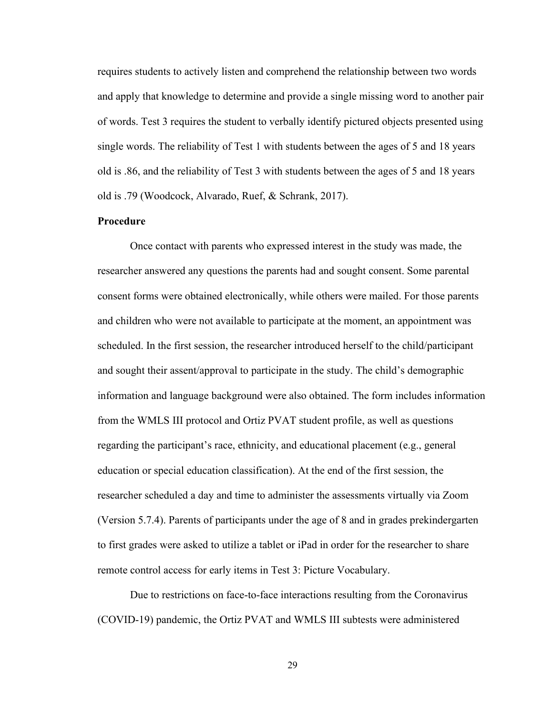requires students to actively listen and comprehend the relationship between two words and apply that knowledge to determine and provide a single missing word to another pair of words. Test 3 requires the student to verbally identify pictured objects presented using single words. The reliability of Test 1 with students between the ages of 5 and 18 years old is .86, and the reliability of Test 3 with students between the ages of 5 and 18 years old is .79 (Woodcock, Alvarado, Ruef, & Schrank, 2017).

#### **Procedure**

Once contact with parents who expressed interest in the study was made, the researcher answered any questions the parents had and sought consent. Some parental consent forms were obtained electronically, while others were mailed. For those parents and children who were not available to participate at the moment, an appointment was scheduled. In the first session, the researcher introduced herself to the child/participant and sought their assent/approval to participate in the study. The child's demographic information and language background were also obtained. The form includes information from the WMLS III protocol and Ortiz PVAT student profile, as well as questions regarding the participant's race, ethnicity, and educational placement (e.g., general education or special education classification). At the end of the first session, the researcher scheduled a day and time to administer the assessments virtually via Zoom (Version 5.7.4). Parents of participants under the age of 8 and in grades prekindergarten to first grades were asked to utilize a tablet or iPad in order for the researcher to share remote control access for early items in Test 3: Picture Vocabulary.

Due to restrictions on face-to-face interactions resulting from the Coronavirus (COVID-19) pandemic, the Ortiz PVAT and WMLS III subtests were administered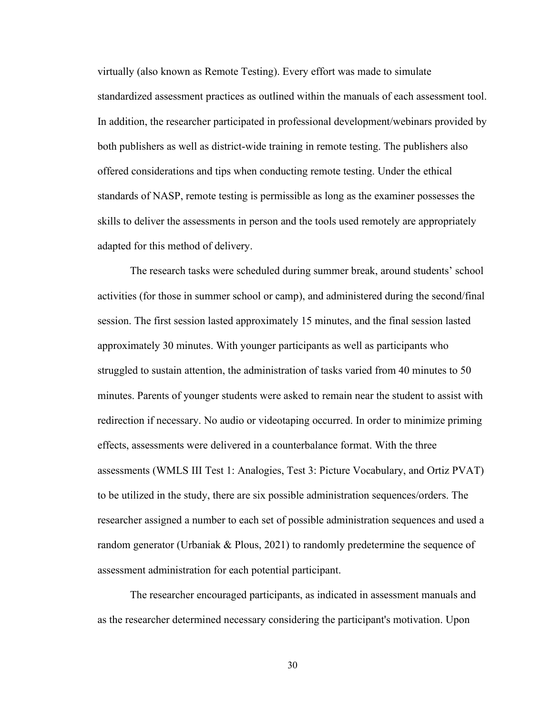virtually (also known as Remote Testing). Every effort was made to simulate standardized assessment practices as outlined within the manuals of each assessment tool. In addition, the researcher participated in professional development/webinars provided by both publishers as well as district-wide training in remote testing. The publishers also offered considerations and tips when conducting remote testing. Under the ethical standards of NASP, remote testing is permissible as long as the examiner possesses the skills to deliver the assessments in person and the tools used remotely are appropriately adapted for this method of delivery.

The research tasks were scheduled during summer break, around students' school activities (for those in summer school or camp), and administered during the second/final session. The first session lasted approximately 15 minutes, and the final session lasted approximately 30 minutes. With younger participants as well as participants who struggled to sustain attention, the administration of tasks varied from 40 minutes to 50 minutes. Parents of younger students were asked to remain near the student to assist with redirection if necessary. No audio or videotaping occurred. In order to minimize priming effects, assessments were delivered in a counterbalance format. With the three assessments (WMLS III Test 1: Analogies, Test 3: Picture Vocabulary, and Ortiz PVAT) to be utilized in the study, there are six possible administration sequences/orders. The researcher assigned a number to each set of possible administration sequences and used a random generator (Urbaniak & Plous, 2021) to randomly predetermine the sequence of assessment administration for each potential participant.

The researcher encouraged participants, as indicated in assessment manuals and as the researcher determined necessary considering the participant's motivation. Upon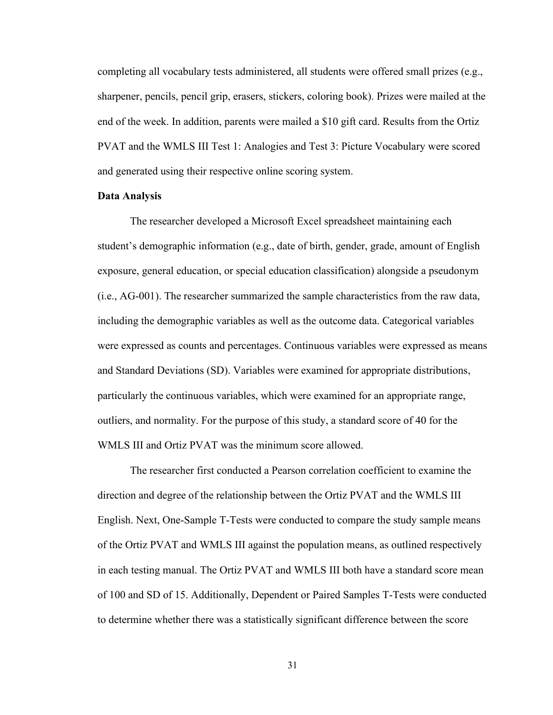completing all vocabulary tests administered, all students were offered small prizes (e.g., sharpener, pencils, pencil grip, erasers, stickers, coloring book). Prizes were mailed at the end of the week. In addition, parents were mailed a \$10 gift card. Results from the Ortiz PVAT and the WMLS III Test 1: Analogies and Test 3: Picture Vocabulary were scored and generated using their respective online scoring system.

#### **Data Analysis**

The researcher developed a Microsoft Excel spreadsheet maintaining each student's demographic information (e.g., date of birth, gender, grade, amount of English exposure, general education, or special education classification) alongside a pseudonym (i.e., AG-001). The researcher summarized the sample characteristics from the raw data, including the demographic variables as well as the outcome data. Categorical variables were expressed as counts and percentages. Continuous variables were expressed as means and Standard Deviations (SD). Variables were examined for appropriate distributions, particularly the continuous variables, which were examined for an appropriate range, outliers, and normality. For the purpose of this study, a standard score of 40 for the WMLS III and Ortiz PVAT was the minimum score allowed.

The researcher first conducted a Pearson correlation coefficient to examine the direction and degree of the relationship between the Ortiz PVAT and the WMLS III English. Next, One-Sample T-Tests were conducted to compare the study sample means of the Ortiz PVAT and WMLS III against the population means, as outlined respectively in each testing manual. The Ortiz PVAT and WMLS III both have a standard score mean of 100 and SD of 15. Additionally, Dependent or Paired Samples T-Tests were conducted to determine whether there was a statistically significant difference between the score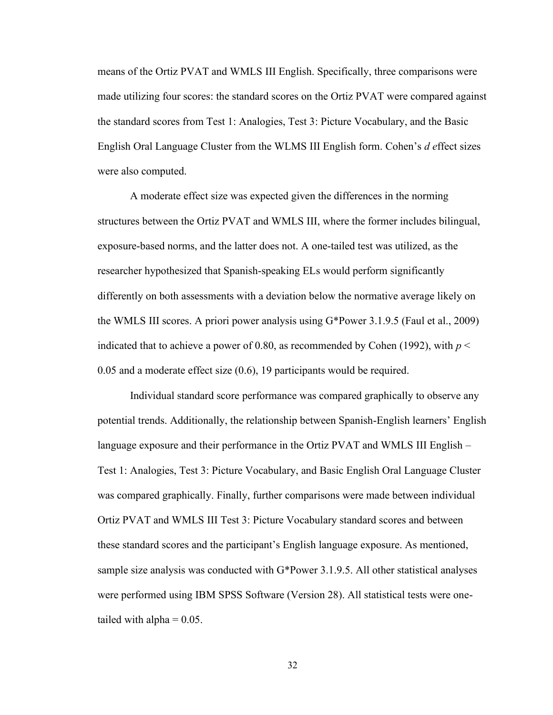means of the Ortiz PVAT and WMLS III English. Specifically, three comparisons were made utilizing four scores: the standard scores on the Ortiz PVAT were compared against the standard scores from Test 1: Analogies, Test 3: Picture Vocabulary, and the Basic English Oral Language Cluster from the WLMS III English form. Cohen's *d e*ffect sizes were also computed.

A moderate effect size was expected given the differences in the norming structures between the Ortiz PVAT and WMLS III, where the former includes bilingual, exposure-based norms, and the latter does not. A one-tailed test was utilized, as the researcher hypothesized that Spanish-speaking ELs would perform significantly differently on both assessments with a deviation below the normative average likely on the WMLS III scores. A priori power analysis using G\*Power 3.1.9.5 (Faul et al., 2009) indicated that to achieve a power of 0.80, as recommended by Cohen (1992), with  $p <$ 0.05 and a moderate effect size (0.6), 19 participants would be required.

Individual standard score performance was compared graphically to observe any potential trends. Additionally, the relationship between Spanish-English learners' English language exposure and their performance in the Ortiz PVAT and WMLS III English – Test 1: Analogies, Test 3: Picture Vocabulary, and Basic English Oral Language Cluster was compared graphically. Finally, further comparisons were made between individual Ortiz PVAT and WMLS III Test 3: Picture Vocabulary standard scores and between these standard scores and the participant's English language exposure. As mentioned, sample size analysis was conducted with G\*Power 3.1.9.5. All other statistical analyses were performed using IBM SPSS Software (Version 28). All statistical tests were onetailed with alpha  $= 0.05$ .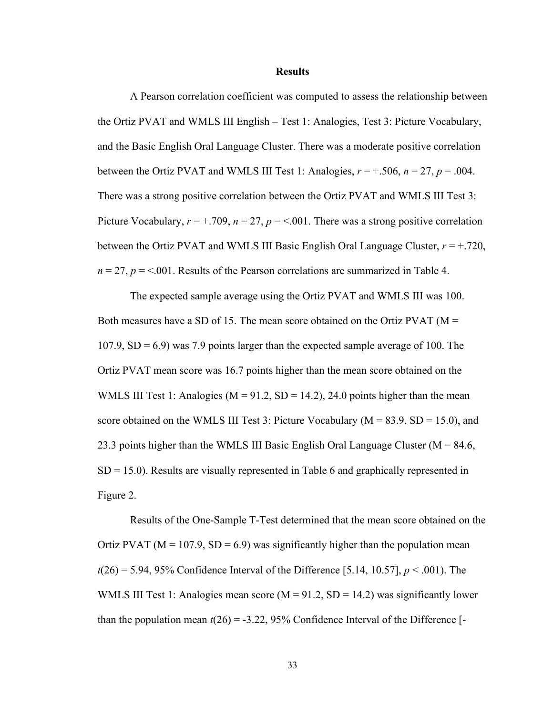#### **Results**

A Pearson correlation coefficient was computed to assess the relationship between the Ortiz PVAT and WMLS III English – Test 1: Analogies, Test 3: Picture Vocabulary, and the Basic English Oral Language Cluster. There was a moderate positive correlation between the Ortiz PVAT and WMLS III Test 1: Analogies,  $r = +0.506$ ,  $n = 27$ ,  $p = 0.004$ . There was a strong positive correlation between the Ortiz PVAT and WMLS III Test 3: Picture Vocabulary,  $r = +.709$ ,  $n = 27$ ,  $p = <.001$ . There was a strong positive correlation between the Ortiz PVAT and WMLS III Basic English Oral Language Cluster,  $r = +0.720$ ,  $n = 27$ ,  $p = 0.001$ . Results of the Pearson correlations are summarized in Table 4.

The expected sample average using the Ortiz PVAT and WMLS III was 100. Both measures have a SD of 15. The mean score obtained on the Ortiz PVAT ( $M =$  $107.9$ ,  $SD = 6.9$ ) was 7.9 points larger than the expected sample average of 100. The Ortiz PVAT mean score was 16.7 points higher than the mean score obtained on the WMLS III Test 1: Analogies ( $M = 91.2$ ,  $SD = 14.2$ ), 24.0 points higher than the mean score obtained on the WMLS III Test 3: Picture Vocabulary ( $M = 83.9$ , SD = 15.0), and 23.3 points higher than the WMLS III Basic English Oral Language Cluster ( $M = 84.6$ ,  $SD = 15.0$ ). Results are visually represented in Table 6 and graphically represented in Figure 2.

Results of the One-Sample T-Test determined that the mean score obtained on the Ortiz PVAT ( $M = 107.9$ , SD = 6.9) was significantly higher than the population mean  $t(26) = 5.94, 95\%$  Confidence Interval of the Difference [5.14, 10.57],  $p < .001$ ). The WMLS III Test 1: Analogies mean score ( $M = 91.2$ , SD = 14.2) was significantly lower than the population mean  $t(26) = -3.22$ , 95% Confidence Interval of the Difference [-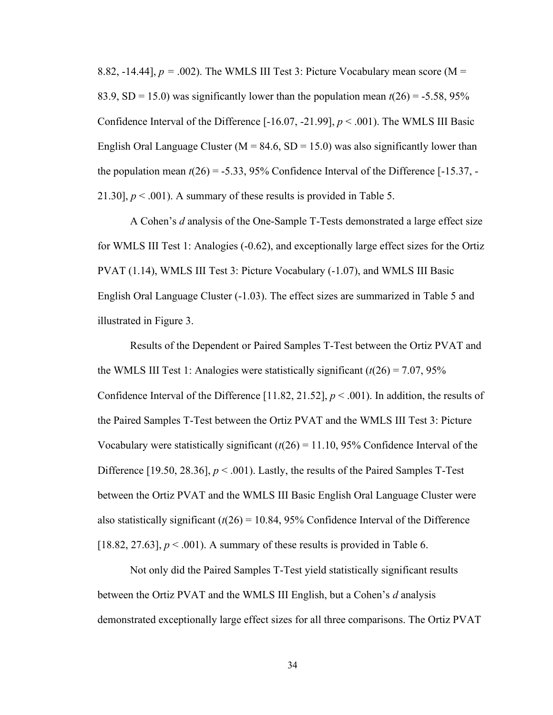8.82, -14.44],  $p = .002$ ). The WMLS III Test 3: Picture Vocabulary mean score (M = 83.9, SD = 15.0) was significantly lower than the population mean  $t(26) = -5.58, 95\%$ Confidence Interval of the Difference  $[-16.07, -21.99]$ ,  $p < .001$ ). The WMLS III Basic English Oral Language Cluster ( $M = 84.6$ , SD = 15.0) was also significantly lower than the population mean  $t(26) = -5.33$ , 95% Confidence Interval of the Difference [-15.37, -21.30],  $p < .001$ ). A summary of these results is provided in Table 5.

A Cohen's *d* analysis of the One-Sample T-Tests demonstrated a large effect size for WMLS III Test 1: Analogies (-0.62), and exceptionally large effect sizes for the Ortiz PVAT (1.14), WMLS III Test 3: Picture Vocabulary (-1.07), and WMLS III Basic English Oral Language Cluster (-1.03). The effect sizes are summarized in Table 5 and illustrated in Figure 3.

Results of the Dependent or Paired Samples T-Test between the Ortiz PVAT and the WMLS III Test 1: Analogies were statistically significant  $(t(26) = 7.07, 95\%$ Confidence Interval of the Difference [11.82, 21.52],  $p < .001$ ). In addition, the results of the Paired Samples T-Test between the Ortiz PVAT and the WMLS III Test 3: Picture Vocabulary were statistically significant  $(t(26) = 11.10, 95\%$  Confidence Interval of the Difference [19.50, 28.36],  $p < .001$ ). Lastly, the results of the Paired Samples T-Test between the Ortiz PVAT and the WMLS III Basic English Oral Language Cluster were also statistically significant  $(t(26) = 10.84, 95\%$  Confidence Interval of the Difference [18.82, 27.63],  $p < .001$ ). A summary of these results is provided in Table 6.

Not only did the Paired Samples T-Test yield statistically significant results between the Ortiz PVAT and the WMLS III English, but a Cohen's *d* analysis demonstrated exceptionally large effect sizes for all three comparisons. The Ortiz PVAT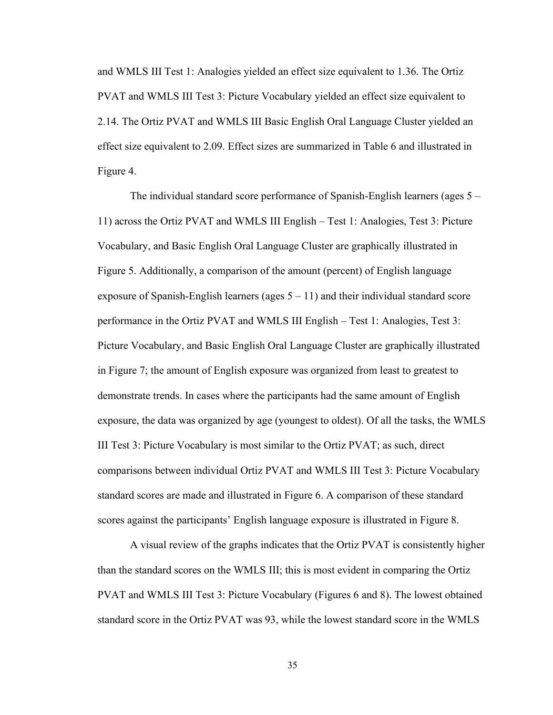and WMLS III Test 1: Analogies yielded an effect size equivalent to 1.36. The Ortiz PVAT and WMLS III Test 3: Picture Vocabulary yielded an effect size equivalent to 2.14. The Ortiz PVAT and WMLS III Basic English Oral Language Cluster yielded an effect size equivalent to 2.09. Effect sizes are summarized in Table 6 and illustrated in Figure 4.

The individual standard score performance of Spanish-English learners (ages 5 – 11) across the Ortiz PVAT and WMLS III English – Test 1: Analogies, Test 3: Picture Vocabulary, and Basic English Oral Language Cluster are graphically illustrated in Figure 5. Additionally, a comparison of the amount (percent) of English language exposure of Spanish-English learners (ages  $5 - 11$ ) and their individual standard score performance in the Ortiz PVAT and WMLS III English – Test 1: Analogies, Test 3: Picture Vocabulary, and Basic English Oral Language Cluster are graphically illustrated in Figure 7; the amount of English exposure was organized from least to greatest to demonstrate trends. In cases where the participants had the same amount of English exposure, the data was organized by age (youngest to oldest). Of all the tasks, the WMLS III Test 3: Picture Vocabulary is most similar to the Ortiz PVAT; as such, direct comparisons between individual Ortiz PVAT and WMLS III Test 3: Picture Vocabulary standard scores are made and illustrated in Figure 6. A comparison of these standard scores against the participants' English language exposure is illustrated in Figure 8.

A visual review of the graphs indicates that the Ortiz PVAT is consistently higher than the standard scores on the WMLS III; this is most evident in comparing the Ortiz PVAT and WMLS III Test 3: Picture Vocabulary (Figures 6 and 8). The lowest obtained standard score in the Ortiz PVAT was 93, while the lowest standard score in the WMLS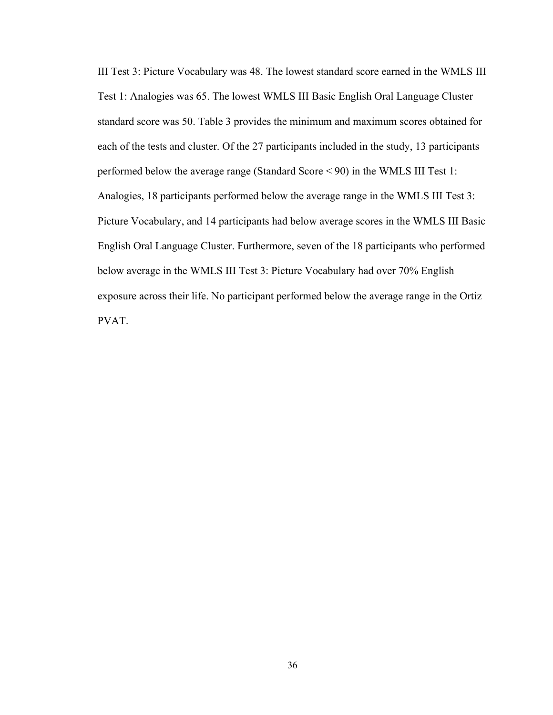III Test 3: Picture Vocabulary was 48. The lowest standard score earned in the WMLS III Test 1: Analogies was 65. The lowest WMLS III Basic English Oral Language Cluster standard score was 50. Table 3 provides the minimum and maximum scores obtained for each of the tests and cluster. Of the 27 participants included in the study, 13 participants performed below the average range (Standard Score < 90) in the WMLS III Test 1: Analogies, 18 participants performed below the average range in the WMLS III Test 3: Picture Vocabulary, and 14 participants had below average scores in the WMLS III Basic English Oral Language Cluster. Furthermore, seven of the 18 participants who performed below average in the WMLS III Test 3: Picture Vocabulary had over 70% English exposure across their life. No participant performed below the average range in the Ortiz PVAT.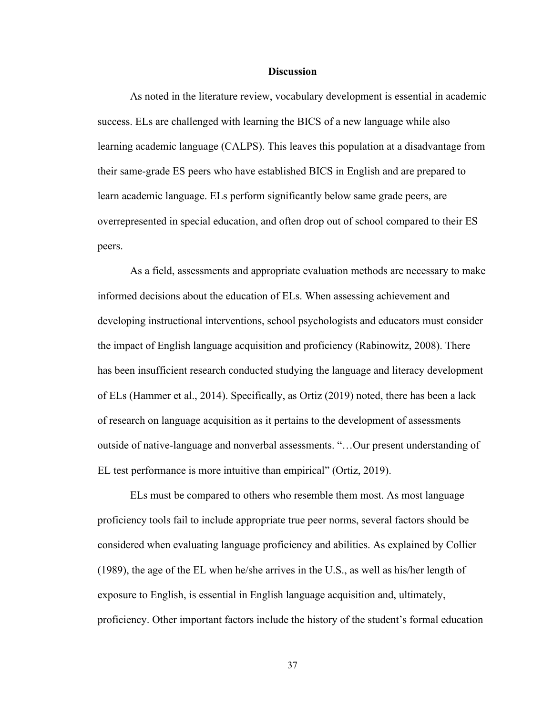#### **Discussion**

As noted in the literature review, vocabulary development is essential in academic success. ELs are challenged with learning the BICS of a new language while also learning academic language (CALPS). This leaves this population at a disadvantage from their same-grade ES peers who have established BICS in English and are prepared to learn academic language. ELs perform significantly below same grade peers, are overrepresented in special education, and often drop out of school compared to their ES peers.

As a field, assessments and appropriate evaluation methods are necessary to make informed decisions about the education of ELs. When assessing achievement and developing instructional interventions, school psychologists and educators must consider the impact of English language acquisition and proficiency (Rabinowitz, 2008). There has been insufficient research conducted studying the language and literacy development of ELs (Hammer et al., 2014). Specifically, as Ortiz (2019) noted, there has been a lack of research on language acquisition as it pertains to the development of assessments outside of native-language and nonverbal assessments. "…Our present understanding of EL test performance is more intuitive than empirical" (Ortiz, 2019).

ELs must be compared to others who resemble them most. As most language proficiency tools fail to include appropriate true peer norms, several factors should be considered when evaluating language proficiency and abilities. As explained by Collier (1989), the age of the EL when he/she arrives in the U.S., as well as his/her length of exposure to English, is essential in English language acquisition and, ultimately, proficiency. Other important factors include the history of the student's formal education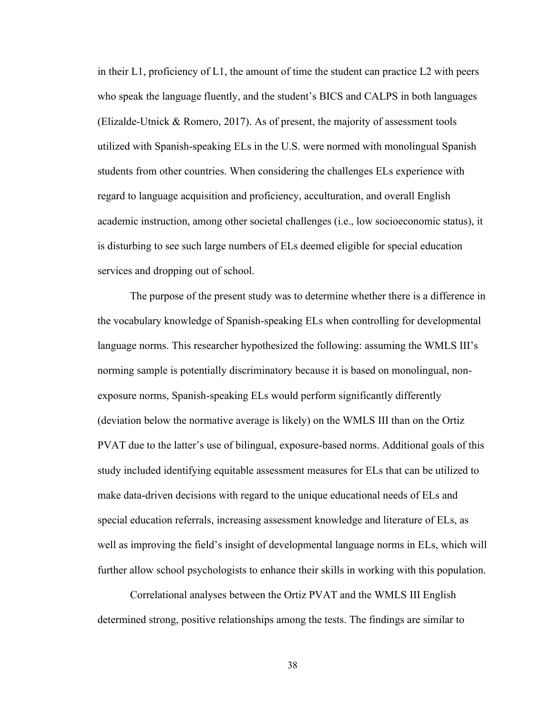in their  $L_1$ , proficiency of  $L_1$ , the amount of time the student can practice  $L_2$  with peers who speak the language fluently, and the student's BICS and CALPS in both languages (Elizalde-Utnick & Romero, 2017). As of present, the majority of assessment tools utilized with Spanish-speaking ELs in the U.S. were normed with monolingual Spanish students from other countries. When considering the challenges ELs experience with regard to language acquisition and proficiency, acculturation, and overall English academic instruction, among other societal challenges (i.e., low socioeconomic status), it is disturbing to see such large numbers of ELs deemed eligible for special education services and dropping out of school.

The purpose of the present study was to determine whether there is a difference in the vocabulary knowledge of Spanish-speaking ELs when controlling for developmental language norms. This researcher hypothesized the following: assuming the WMLS III's norming sample is potentially discriminatory because it is based on monolingual, nonexposure norms, Spanish-speaking ELs would perform significantly differently (deviation below the normative average is likely) on the WMLS III than on the Ortiz PVAT due to the latter's use of bilingual, exposure-based norms. Additional goals of this study included identifying equitable assessment measures for ELs that can be utilized to make data-driven decisions with regard to the unique educational needs of ELs and special education referrals, increasing assessment knowledge and literature of ELs, as well as improving the field's insight of developmental language norms in ELs, which will further allow school psychologists to enhance their skills in working with this population.

Correlational analyses between the Ortiz PVAT and the WMLS III English determined strong, positive relationships among the tests. The findings are similar to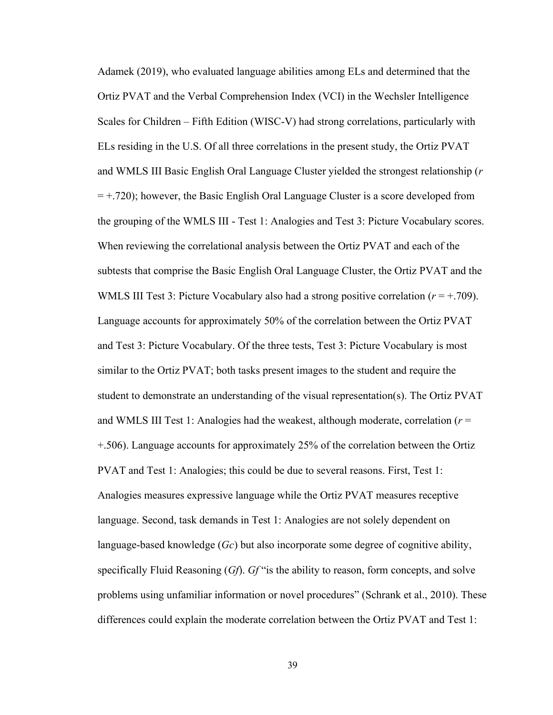Adamek (2019), who evaluated language abilities among ELs and determined that the Ortiz PVAT and the Verbal Comprehension Index (VCI) in the Wechsler Intelligence Scales for Children – Fifth Edition (WISC-V) had strong correlations, particularly with ELs residing in the U.S. Of all three correlations in the present study, the Ortiz PVAT and WMLS III Basic English Oral Language Cluster yielded the strongest relationship (*r*   $= +.720$ ); however, the Basic English Oral Language Cluster is a score developed from the grouping of the WMLS III - Test 1: Analogies and Test 3: Picture Vocabulary scores. When reviewing the correlational analysis between the Ortiz PVAT and each of the subtests that comprise the Basic English Oral Language Cluster, the Ortiz PVAT and the WMLS III Test 3: Picture Vocabulary also had a strong positive correlation  $(r = +.709)$ . Language accounts for approximately 50% of the correlation between the Ortiz PVAT and Test 3: Picture Vocabulary. Of the three tests, Test 3: Picture Vocabulary is most similar to the Ortiz PVAT; both tasks present images to the student and require the student to demonstrate an understanding of the visual representation(s). The Ortiz PVAT and WMLS III Test 1: Analogies had the weakest, although moderate, correlation (*r* = +.506). Language accounts for approximately 25% of the correlation between the Ortiz PVAT and Test 1: Analogies; this could be due to several reasons. First, Test 1: Analogies measures expressive language while the Ortiz PVAT measures receptive language. Second, task demands in Test 1: Analogies are not solely dependent on language-based knowledge (*Gc*) but also incorporate some degree of cognitive ability, specifically Fluid Reasoning (*Gf*). *Gf* "is the ability to reason, form concepts, and solve problems using unfamiliar information or novel procedures" (Schrank et al., 2010). These differences could explain the moderate correlation between the Ortiz PVAT and Test 1: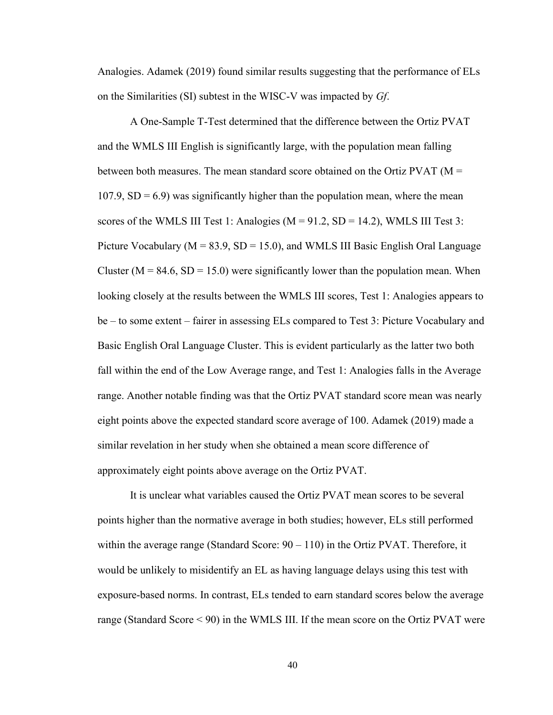Analogies. Adamek (2019) found similar results suggesting that the performance of ELs on the Similarities (SI) subtest in the WISC-V was impacted by *Gf*.

A One-Sample T-Test determined that the difference between the Ortiz PVAT and the WMLS III English is significantly large, with the population mean falling between both measures. The mean standard score obtained on the Ortiz PVAT ( $M =$  $107.9$ ,  $SD = 6.9$ ) was significantly higher than the population mean, where the mean scores of the WMLS III Test 1: Analogies  $(M = 91.2, SD = 14.2)$ , WMLS III Test 3: Picture Vocabulary ( $M = 83.9$ ,  $SD = 15.0$ ), and WMLS III Basic English Oral Language Cluster ( $M = 84.6$ ,  $SD = 15.0$ ) were significantly lower than the population mean. When looking closely at the results between the WMLS III scores, Test 1: Analogies appears to be – to some extent – fairer in assessing ELs compared to Test 3: Picture Vocabulary and Basic English Oral Language Cluster. This is evident particularly as the latter two both fall within the end of the Low Average range, and Test 1: Analogies falls in the Average range. Another notable finding was that the Ortiz PVAT standard score mean was nearly eight points above the expected standard score average of 100. Adamek (2019) made a similar revelation in her study when she obtained a mean score difference of approximately eight points above average on the Ortiz PVAT.

It is unclear what variables caused the Ortiz PVAT mean scores to be several points higher than the normative average in both studies; however, ELs still performed within the average range (Standard Score:  $90 - 110$ ) in the Ortiz PVAT. Therefore, it would be unlikely to misidentify an EL as having language delays using this test with exposure-based norms. In contrast, ELs tended to earn standard scores below the average range (Standard Score < 90) in the WMLS III. If the mean score on the Ortiz PVAT were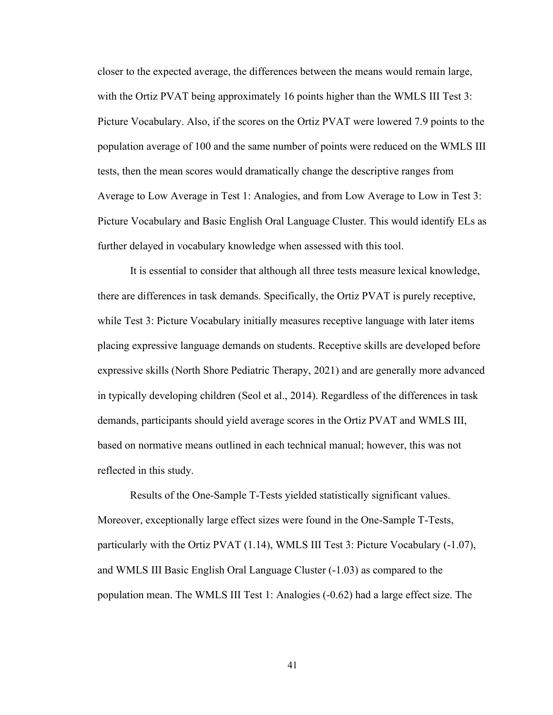closer to the expected average, the differences between the means would remain large, with the Ortiz PVAT being approximately 16 points higher than the WMLS III Test 3: Picture Vocabulary. Also, if the scores on the Ortiz PVAT were lowered 7.9 points to the population average of 100 and the same number of points were reduced on the WMLS III tests, then the mean scores would dramatically change the descriptive ranges from Average to Low Average in Test 1: Analogies, and from Low Average to Low in Test 3: Picture Vocabulary and Basic English Oral Language Cluster. This would identify ELs as further delayed in vocabulary knowledge when assessed with this tool.

It is essential to consider that although all three tests measure lexical knowledge, there are differences in task demands. Specifically, the Ortiz PVAT is purely receptive, while Test 3: Picture Vocabulary initially measures receptive language with later items placing expressive language demands on students. Receptive skills are developed before expressive skills (North Shore Pediatric Therapy, 2021) and are generally more advanced in typically developing children (Seol et al., 2014). Regardless of the differences in task demands, participants should yield average scores in the Ortiz PVAT and WMLS III, based on normative means outlined in each technical manual; however, this was not reflected in this study.

Results of the One-Sample T-Tests yielded statistically significant values. Moreover, exceptionally large effect sizes were found in the One-Sample T-Tests, particularly with the Ortiz PVAT (1.14), WMLS III Test 3: Picture Vocabulary (-1.07), and WMLS III Basic English Oral Language Cluster (-1.03) as compared to the population mean. The WMLS III Test 1: Analogies (-0.62) had a large effect size. The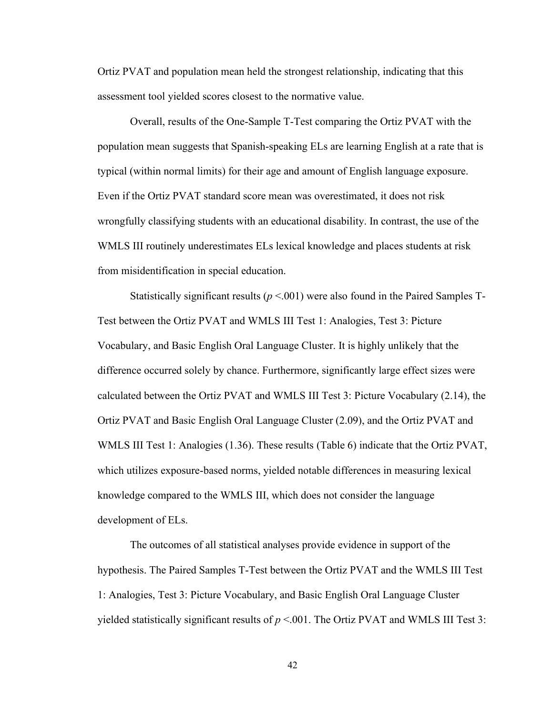Ortiz PVAT and population mean held the strongest relationship, indicating that this assessment tool yielded scores closest to the normative value.

Overall, results of the One-Sample T-Test comparing the Ortiz PVAT with the population mean suggests that Spanish-speaking ELs are learning English at a rate that is typical (within normal limits) for their age and amount of English language exposure. Even if the Ortiz PVAT standard score mean was overestimated, it does not risk wrongfully classifying students with an educational disability. In contrast, the use of the WMLS III routinely underestimates ELs lexical knowledge and places students at risk from misidentification in special education.

Statistically significant results ( $p < 0.001$ ) were also found in the Paired Samples T-Test between the Ortiz PVAT and WMLS III Test 1: Analogies, Test 3: Picture Vocabulary, and Basic English Oral Language Cluster. It is highly unlikely that the difference occurred solely by chance. Furthermore, significantly large effect sizes were calculated between the Ortiz PVAT and WMLS III Test 3: Picture Vocabulary (2.14), the Ortiz PVAT and Basic English Oral Language Cluster (2.09), and the Ortiz PVAT and WMLS III Test 1: Analogies (1.36). These results (Table 6) indicate that the Ortiz PVAT, which utilizes exposure-based norms, yielded notable differences in measuring lexical knowledge compared to the WMLS III, which does not consider the language development of ELs.

The outcomes of all statistical analyses provide evidence in support of the hypothesis. The Paired Samples T-Test between the Ortiz PVAT and the WMLS III Test 1: Analogies, Test 3: Picture Vocabulary, and Basic English Oral Language Cluster yielded statistically significant results of  $p < 001$ . The Ortiz PVAT and WMLS III Test 3: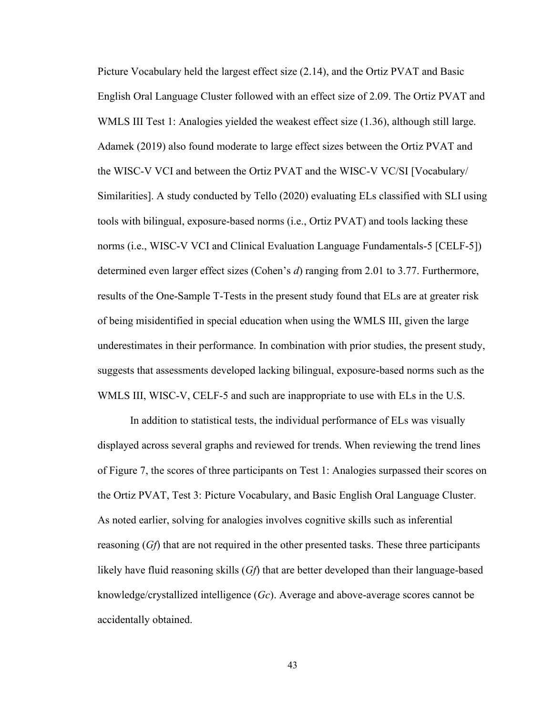Picture Vocabulary held the largest effect size (2.14), and the Ortiz PVAT and Basic English Oral Language Cluster followed with an effect size of 2.09. The Ortiz PVAT and WMLS III Test 1: Analogies yielded the weakest effect size (1.36), although still large. Adamek (2019) also found moderate to large effect sizes between the Ortiz PVAT and the WISC-V VCI and between the Ortiz PVAT and the WISC-V VC/SI [Vocabulary/ Similarities]. A study conducted by Tello (2020) evaluating ELs classified with SLI using tools with bilingual, exposure-based norms (i.e., Ortiz PVAT) and tools lacking these norms (i.e., WISC-V VCI and Clinical Evaluation Language Fundamentals-5 [CELF-5]) determined even larger effect sizes (Cohen's *d*) ranging from 2.01 to 3.77. Furthermore, results of the One-Sample T-Tests in the present study found that ELs are at greater risk of being misidentified in special education when using the WMLS III, given the large underestimates in their performance. In combination with prior studies, the present study, suggests that assessments developed lacking bilingual, exposure-based norms such as the WMLS III, WISC-V, CELF-5 and such are inappropriate to use with ELs in the U.S.

In addition to statistical tests, the individual performance of ELs was visually displayed across several graphs and reviewed for trends. When reviewing the trend lines of Figure 7, the scores of three participants on Test 1: Analogies surpassed their scores on the Ortiz PVAT, Test 3: Picture Vocabulary, and Basic English Oral Language Cluster. As noted earlier, solving for analogies involves cognitive skills such as inferential reasoning (*Gf*) that are not required in the other presented tasks. These three participants likely have fluid reasoning skills (*Gf*) that are better developed than their language-based knowledge/crystallized intelligence (*Gc*). Average and above-average scores cannot be accidentally obtained.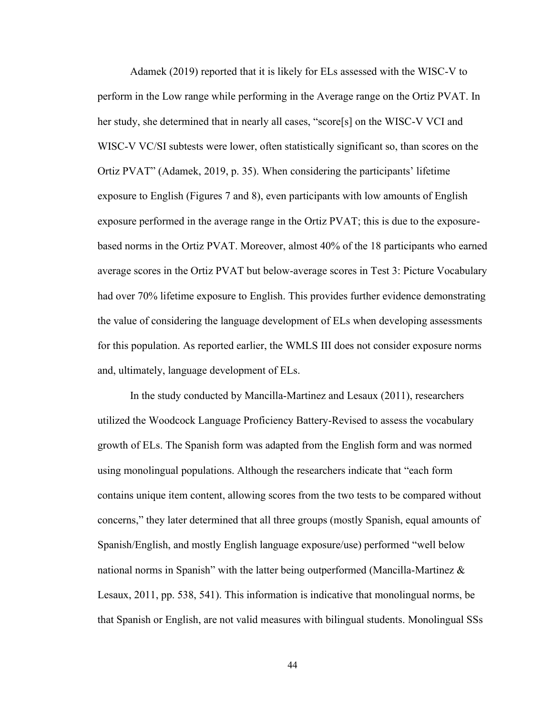Adamek (2019) reported that it is likely for ELs assessed with the WISC-V to perform in the Low range while performing in the Average range on the Ortiz PVAT. In her study, she determined that in nearly all cases, "score[s] on the WISC-V VCI and WISC-V VC/SI subtests were lower, often statistically significant so, than scores on the Ortiz PVAT" (Adamek, 2019, p. 35). When considering the participants' lifetime exposure to English (Figures 7 and 8), even participants with low amounts of English exposure performed in the average range in the Ortiz PVAT; this is due to the exposurebased norms in the Ortiz PVAT. Moreover, almost 40% of the 18 participants who earned average scores in the Ortiz PVAT but below-average scores in Test 3: Picture Vocabulary had over 70% lifetime exposure to English. This provides further evidence demonstrating the value of considering the language development of ELs when developing assessments for this population. As reported earlier, the WMLS III does not consider exposure norms and, ultimately, language development of ELs.

In the study conducted by Mancilla-Martinez and Lesaux (2011), researchers utilized the Woodcock Language Proficiency Battery-Revised to assess the vocabulary growth of ELs. The Spanish form was adapted from the English form and was normed using monolingual populations. Although the researchers indicate that "each form contains unique item content, allowing scores from the two tests to be compared without concerns," they later determined that all three groups (mostly Spanish, equal amounts of Spanish/English, and mostly English language exposure/use) performed "well below national norms in Spanish" with the latter being outperformed (Mancilla-Martinez & Lesaux, 2011, pp. 538, 541). This information is indicative that monolingual norms, be that Spanish or English, are not valid measures with bilingual students. Monolingual SSs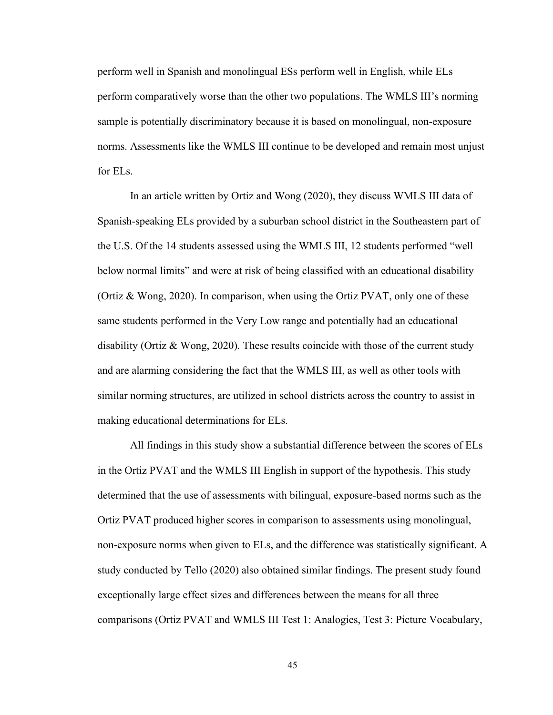perform well in Spanish and monolingual ESs perform well in English, while ELs perform comparatively worse than the other two populations. The WMLS III's norming sample is potentially discriminatory because it is based on monolingual, non-exposure norms. Assessments like the WMLS III continue to be developed and remain most unjust for ELs.

In an article written by Ortiz and Wong (2020), they discuss WMLS III data of Spanish-speaking ELs provided by a suburban school district in the Southeastern part of the U.S. Of the 14 students assessed using the WMLS III, 12 students performed "well below normal limits" and were at risk of being classified with an educational disability (Ortiz & Wong, 2020). In comparison, when using the Ortiz PVAT, only one of these same students performed in the Very Low range and potentially had an educational disability (Ortiz  $\&$  Wong, 2020). These results coincide with those of the current study and are alarming considering the fact that the WMLS III, as well as other tools with similar norming structures, are utilized in school districts across the country to assist in making educational determinations for ELs.

All findings in this study show a substantial difference between the scores of ELs in the Ortiz PVAT and the WMLS III English in support of the hypothesis. This study determined that the use of assessments with bilingual, exposure-based norms such as the Ortiz PVAT produced higher scores in comparison to assessments using monolingual, non-exposure norms when given to ELs, and the difference was statistically significant. A study conducted by Tello (2020) also obtained similar findings. The present study found exceptionally large effect sizes and differences between the means for all three comparisons (Ortiz PVAT and WMLS III Test 1: Analogies, Test 3: Picture Vocabulary,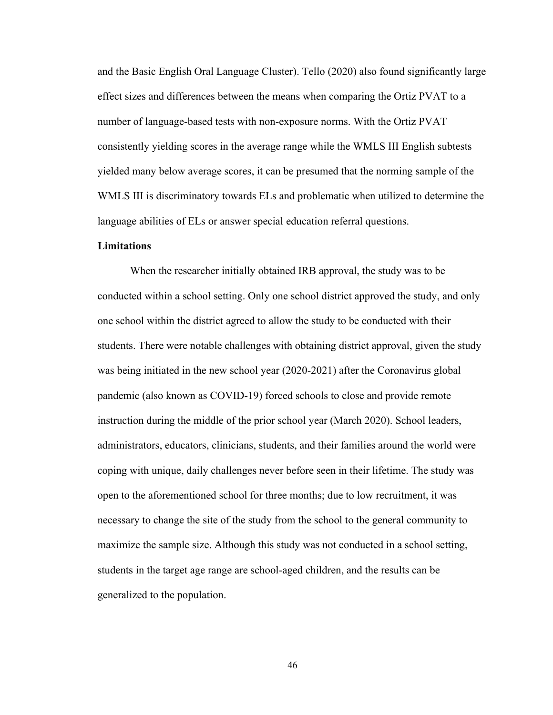and the Basic English Oral Language Cluster). Tello (2020) also found significantly large effect sizes and differences between the means when comparing the Ortiz PVAT to a number of language-based tests with non-exposure norms. With the Ortiz PVAT consistently yielding scores in the average range while the WMLS III English subtests yielded many below average scores, it can be presumed that the norming sample of the WMLS III is discriminatory towards ELs and problematic when utilized to determine the language abilities of ELs or answer special education referral questions.

### **Limitations**

When the researcher initially obtained IRB approval, the study was to be conducted within a school setting. Only one school district approved the study, and only one school within the district agreed to allow the study to be conducted with their students. There were notable challenges with obtaining district approval, given the study was being initiated in the new school year (2020-2021) after the Coronavirus global pandemic (also known as COVID-19) forced schools to close and provide remote instruction during the middle of the prior school year (March 2020). School leaders, administrators, educators, clinicians, students, and their families around the world were coping with unique, daily challenges never before seen in their lifetime. The study was open to the aforementioned school for three months; due to low recruitment, it was necessary to change the site of the study from the school to the general community to maximize the sample size. Although this study was not conducted in a school setting, students in the target age range are school-aged children, and the results can be generalized to the population.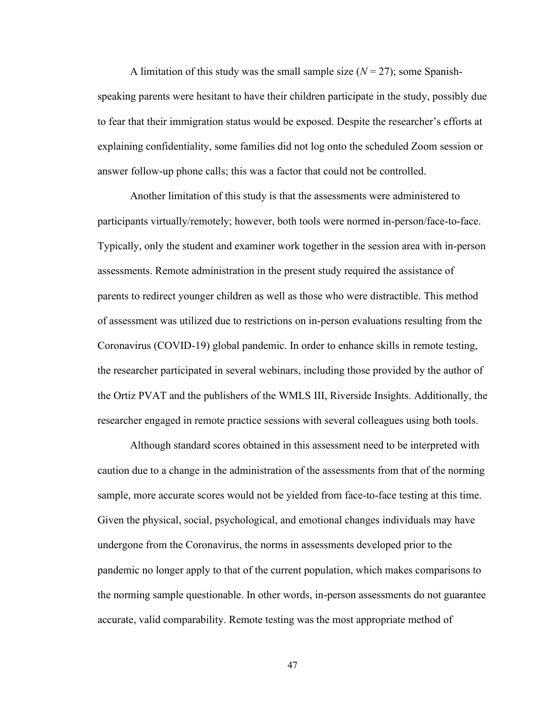A limitation of this study was the small sample size  $(N = 27)$ ; some Spanishspeaking parents were hesitant to have their children participate in the study, possibly due to fear that their immigration status would be exposed. Despite the researcher's efforts at explaining confidentiality, some families did not log onto the scheduled Zoom session or answer follow-up phone calls; this was a factor that could not be controlled.

Another limitation of this study is that the assessments were administered to participants virtually/remotely; however, both tools were normed in-person/face-to-face. Typically, only the student and examiner work together in the session area with in-person assessments. Remote administration in the present study required the assistance of parents to redirect younger children as well as those who were distractible. This method of assessment was utilized due to restrictions on in-person evaluations resulting from the Coronavirus (COVID-19) global pandemic. In order to enhance skills in remote testing, the researcher participated in several webinars, including those provided by the author of the Ortiz PVAT and the publishers of the WMLS III, Riverside Insights. Additionally, the researcher engaged in remote practice sessions with several colleagues using both tools.

Although standard scores obtained in this assessment need to be interpreted with caution due to a change in the administration of the assessments from that of the norming sample, more accurate scores would not be yielded from face-to-face testing at this time. Given the physical, social, psychological, and emotional changes individuals may have undergone from the Coronavirus, the norms in assessments developed prior to the pandemic no longer apply to that of the current population, which makes comparisons to the norming sample questionable. In other words, in-person assessments do not guarantee accurate, valid comparability. Remote testing was the most appropriate method of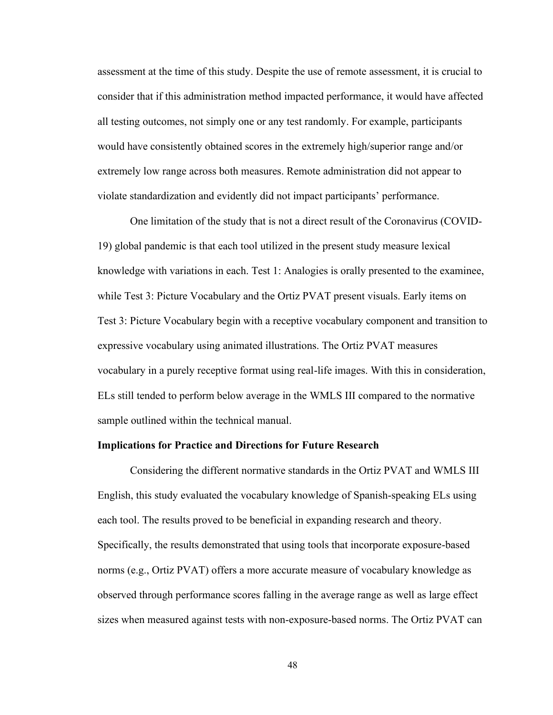assessment at the time of this study. Despite the use of remote assessment, it is crucial to consider that if this administration method impacted performance, it would have affected all testing outcomes, not simply one or any test randomly. For example, participants would have consistently obtained scores in the extremely high/superior range and/or extremely low range across both measures. Remote administration did not appear to violate standardization and evidently did not impact participants' performance.

One limitation of the study that is not a direct result of the Coronavirus (COVID-19) global pandemic is that each tool utilized in the present study measure lexical knowledge with variations in each. Test 1: Analogies is orally presented to the examinee, while Test 3: Picture Vocabulary and the Ortiz PVAT present visuals. Early items on Test 3: Picture Vocabulary begin with a receptive vocabulary component and transition to expressive vocabulary using animated illustrations. The Ortiz PVAT measures vocabulary in a purely receptive format using real-life images. With this in consideration, ELs still tended to perform below average in the WMLS III compared to the normative sample outlined within the technical manual.

#### **Implications for Practice and Directions for Future Research**

Considering the different normative standards in the Ortiz PVAT and WMLS III English, this study evaluated the vocabulary knowledge of Spanish-speaking ELs using each tool. The results proved to be beneficial in expanding research and theory. Specifically, the results demonstrated that using tools that incorporate exposure-based norms (e.g., Ortiz PVAT) offers a more accurate measure of vocabulary knowledge as observed through performance scores falling in the average range as well as large effect sizes when measured against tests with non-exposure-based norms. The Ortiz PVAT can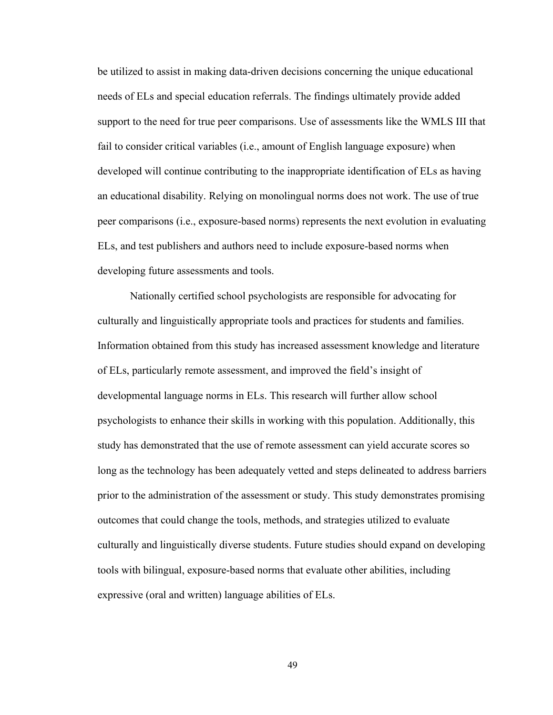be utilized to assist in making data-driven decisions concerning the unique educational needs of ELs and special education referrals. The findings ultimately provide added support to the need for true peer comparisons. Use of assessments like the WMLS III that fail to consider critical variables (i.e., amount of English language exposure) when developed will continue contributing to the inappropriate identification of ELs as having an educational disability. Relying on monolingual norms does not work. The use of true peer comparisons (i.e., exposure-based norms) represents the next evolution in evaluating ELs, and test publishers and authors need to include exposure-based norms when developing future assessments and tools.

Nationally certified school psychologists are responsible for advocating for culturally and linguistically appropriate tools and practices for students and families. Information obtained from this study has increased assessment knowledge and literature of ELs, particularly remote assessment, and improved the field's insight of developmental language norms in ELs. This research will further allow school psychologists to enhance their skills in working with this population. Additionally, this study has demonstrated that the use of remote assessment can yield accurate scores so long as the technology has been adequately vetted and steps delineated to address barriers prior to the administration of the assessment or study. This study demonstrates promising outcomes that could change the tools, methods, and strategies utilized to evaluate culturally and linguistically diverse students. Future studies should expand on developing tools with bilingual, exposure-based norms that evaluate other abilities, including expressive (oral and written) language abilities of ELs.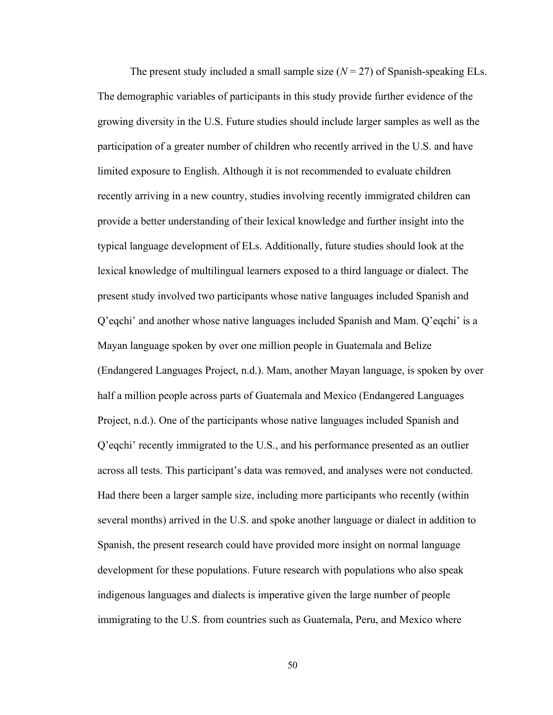The present study included a small sample size  $(N = 27)$  of Spanish-speaking ELs. The demographic variables of participants in this study provide further evidence of the growing diversity in the U.S. Future studies should include larger samples as well as the participation of a greater number of children who recently arrived in the U.S. and have limited exposure to English. Although it is not recommended to evaluate children recently arriving in a new country, studies involving recently immigrated children can provide a better understanding of their lexical knowledge and further insight into the typical language development of ELs. Additionally, future studies should look at the lexical knowledge of multilingual learners exposed to a third language or dialect. The present study involved two participants whose native languages included Spanish and Q'eqchi' and another whose native languages included Spanish and Mam. Q'eqchi' is a Mayan language spoken by over one million people in Guatemala and Belize (Endangered Languages Project, n.d.). Mam, another Mayan language, is spoken by over half a million people across parts of Guatemala and Mexico (Endangered Languages Project, n.d.). One of the participants whose native languages included Spanish and Q'eqchi' recently immigrated to the U.S., and his performance presented as an outlier across all tests. This participant's data was removed, and analyses were not conducted. Had there been a larger sample size, including more participants who recently (within several months) arrived in the U.S. and spoke another language or dialect in addition to Spanish, the present research could have provided more insight on normal language development for these populations. Future research with populations who also speak indigenous languages and dialects is imperative given the large number of people immigrating to the U.S. from countries such as Guatemala, Peru, and Mexico where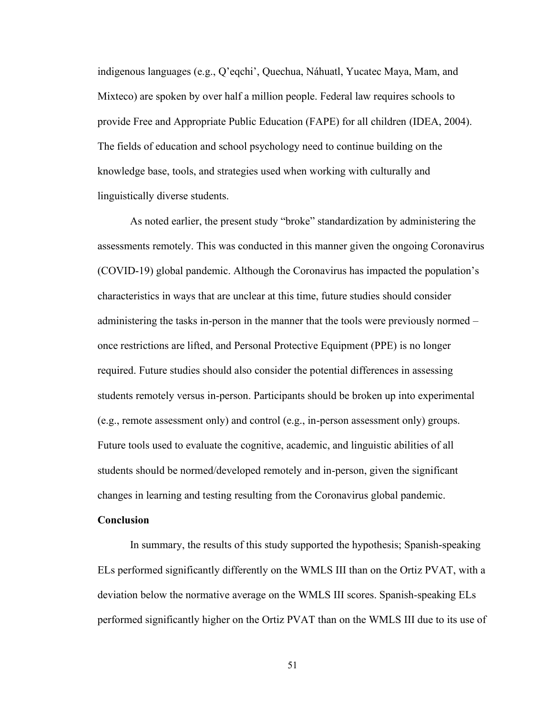indigenous languages (e.g., Q'eqchi', Quechua, Náhuatl, Yucatec Maya, Mam, and Mixteco) are spoken by over half a million people. Federal law requires schools to provide Free and Appropriate Public Education (FAPE) for all children (IDEA, 2004). The fields of education and school psychology need to continue building on the knowledge base, tools, and strategies used when working with culturally and linguistically diverse students.

As noted earlier, the present study "broke" standardization by administering the assessments remotely. This was conducted in this manner given the ongoing Coronavirus (COVID-19) global pandemic. Although the Coronavirus has impacted the population's characteristics in ways that are unclear at this time, future studies should consider administering the tasks in-person in the manner that the tools were previously normed – once restrictions are lifted, and Personal Protective Equipment (PPE) is no longer required. Future studies should also consider the potential differences in assessing students remotely versus in-person. Participants should be broken up into experimental (e.g., remote assessment only) and control (e.g., in-person assessment only) groups. Future tools used to evaluate the cognitive, academic, and linguistic abilities of all students should be normed/developed remotely and in-person, given the significant changes in learning and testing resulting from the Coronavirus global pandemic.

#### **Conclusion**

In summary, the results of this study supported the hypothesis; Spanish-speaking ELs performed significantly differently on the WMLS III than on the Ortiz PVAT, with a deviation below the normative average on the WMLS III scores. Spanish-speaking ELs performed significantly higher on the Ortiz PVAT than on the WMLS III due to its use of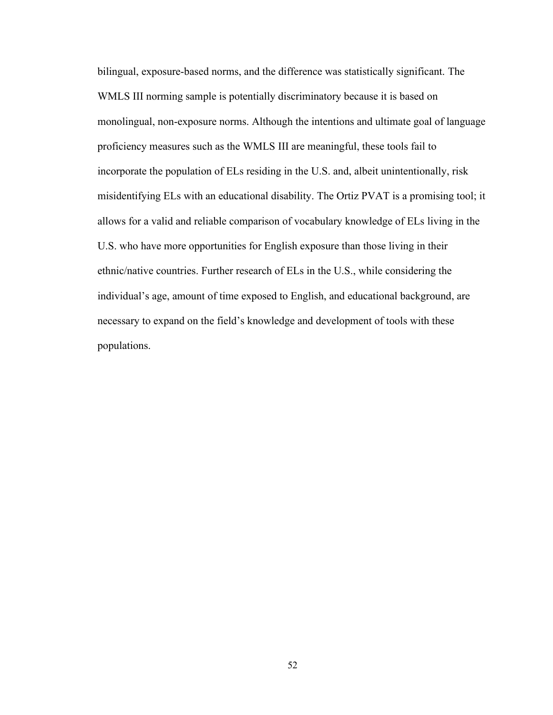bilingual, exposure-based norms, and the difference was statistically significant. The WMLS III norming sample is potentially discriminatory because it is based on monolingual, non-exposure norms. Although the intentions and ultimate goal of language proficiency measures such as the WMLS III are meaningful, these tools fail to incorporate the population of ELs residing in the U.S. and, albeit unintentionally, risk misidentifying ELs with an educational disability. The Ortiz PVAT is a promising tool; it allows for a valid and reliable comparison of vocabulary knowledge of ELs living in the U.S. who have more opportunities for English exposure than those living in their ethnic/native countries. Further research of ELs in the U.S., while considering the individual's age, amount of time exposed to English, and educational background, are necessary to expand on the field's knowledge and development of tools with these populations.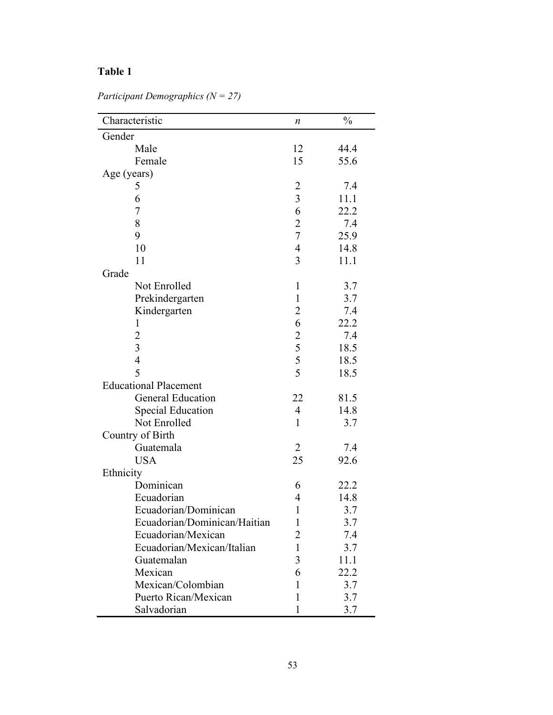| Characteristic               | n                                          | $\frac{0}{0}$ |
|------------------------------|--------------------------------------------|---------------|
| Gender                       |                                            |               |
| Male                         | 12                                         | 44.4          |
| Female                       | 15                                         | 55.6          |
| Age (years)                  |                                            |               |
| 5                            | $\overline{c}$                             | 7.4           |
| 6                            | $\overline{3}$                             | 11.1          |
| $\overline{7}$               | 6                                          | 22.2          |
| 8                            | $\overline{c}$                             | 7.4           |
| 9                            | $\overline{7}$                             | 25.9          |
| 10                           | $\overline{4}$                             | 14.8          |
| 11                           | $\overline{3}$                             | 11.1          |
| Grade                        |                                            |               |
| Not Enrolled                 | $\mathbf{1}$                               | 3.7           |
| Prekindergarten              | $\mathbf{1}$                               | 3.7           |
| Kindergarten                 | $\overline{2}$                             | 7.4           |
| 1                            | 6                                          | 22.2          |
| $\overline{c}$               |                                            | 7.4           |
| $\overline{3}$               | $\begin{array}{c} 2 \\ 5 \\ 5 \end{array}$ | 18.5          |
| $\overline{4}$               |                                            | 18.5          |
| 5                            | 5                                          | 18.5          |
| <b>Educational Placement</b> |                                            |               |
| <b>General Education</b>     | 22                                         | 81.5          |
| <b>Special Education</b>     | $\overline{4}$                             | 14.8          |
| Not Enrolled                 | $\mathbf{1}$                               | 3.7           |
| Country of Birth             |                                            |               |
| Guatemala                    | 2                                          | 7.4           |
| <b>USA</b>                   | 25                                         | 92.6          |
| Ethnicity                    |                                            |               |
| Dominican                    | 6                                          | 22.2          |
| Ecuadorian                   | 4                                          | 14.8          |
| Ecuadorian/Dominican         | $\mathbf{1}$                               | 3.7           |
| Ecuadorian/Dominican/Haitian | 1                                          | 3.7           |
| Ecuadorian/Mexican           | 2                                          | 7.4           |
| Ecuadorian/Mexican/Italian   | 1                                          | 3.7           |
| Guatemalan                   | 3                                          | 11.1          |
| Mexican                      | 6                                          | 22.2          |
| Mexican/Colombian            | 1                                          | 3.7           |
| Puerto Rican/Mexican         | 1                                          | 3.7           |
| Salvadorian                  | 1                                          | 3.7           |

*Participant Demographics (N = 27)*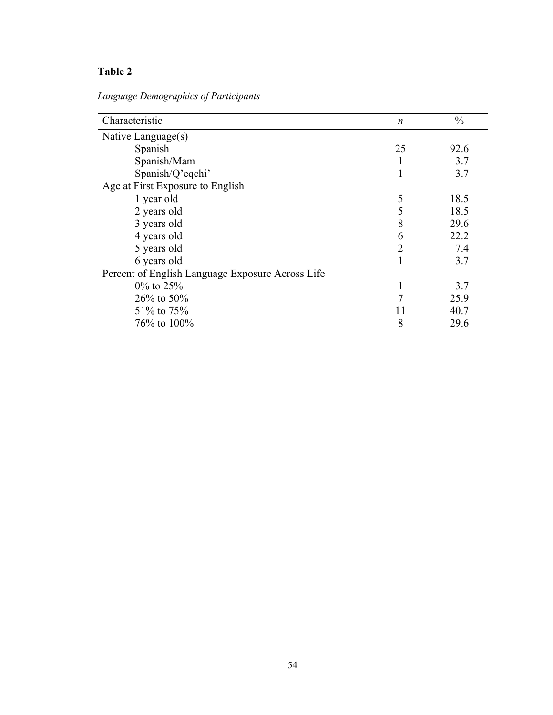*Language Demographics of Participants*

| Characteristic                                   | $\boldsymbol{n}$ | $\frac{0}{0}$ |
|--------------------------------------------------|------------------|---------------|
| Native Language(s)                               |                  |               |
| Spanish                                          | 25               | 92.6          |
| Spanish/Mam                                      |                  | 3.7           |
| Spanish/Q'eqchi'                                 |                  | 3.7           |
| Age at First Exposure to English                 |                  |               |
| 1 year old                                       | 5                | 18.5          |
| 2 years old                                      | 5                | 18.5          |
| 3 years old                                      | 8                | 29.6          |
| 4 years old                                      | 6                | 22.2          |
| 5 years old                                      | 2                | 7.4           |
| 6 years old                                      |                  | 3.7           |
| Percent of English Language Exposure Across Life |                  |               |
| $0\%$ to 25%                                     |                  | 3.7           |
| $26\%$ to 50%                                    | 7                | 25.9          |
| 51% to 75%                                       | 11               | 40.7          |
| 76% to 100%                                      | 8                | 29.6          |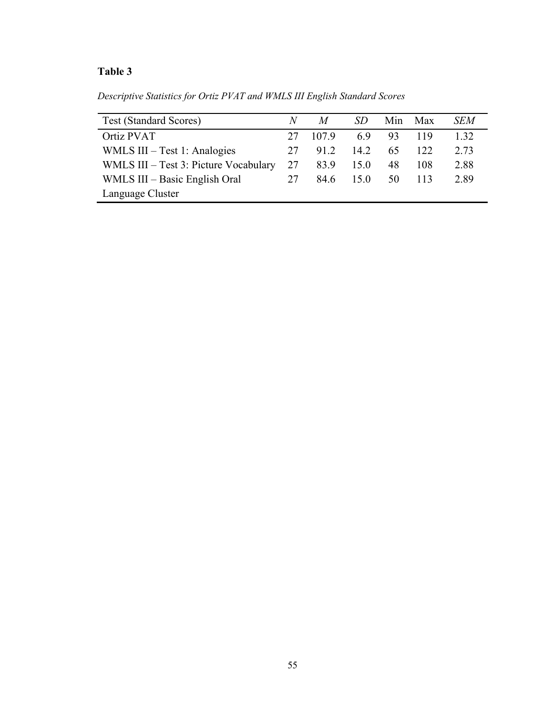*Descriptive Statistics for Ortiz PVAT and WMLS III English Standard Scores*

| <b>Test (Standard Scores)</b>         | N  | M     |      | Min | Max | SEM  |
|---------------------------------------|----|-------|------|-----|-----|------|
| Ortiz PVAT                            | 27 | 107.9 | 6.9  | 93  | 119 | 1.32 |
| WMLS $III - Test 1$ : Analogies       | 27 | 91.2  | 14.2 | 65. | 122 | 2.73 |
| WMLS III – Test 3: Picture Vocabulary | 27 | 83.9  | 15.0 | 48  | 108 | 2.88 |
| WMLS III – Basic English Oral         | 27 | 84.6  | 15.0 | 50  | 113 | 2.89 |
| Language Cluster                      |    |       |      |     |     |      |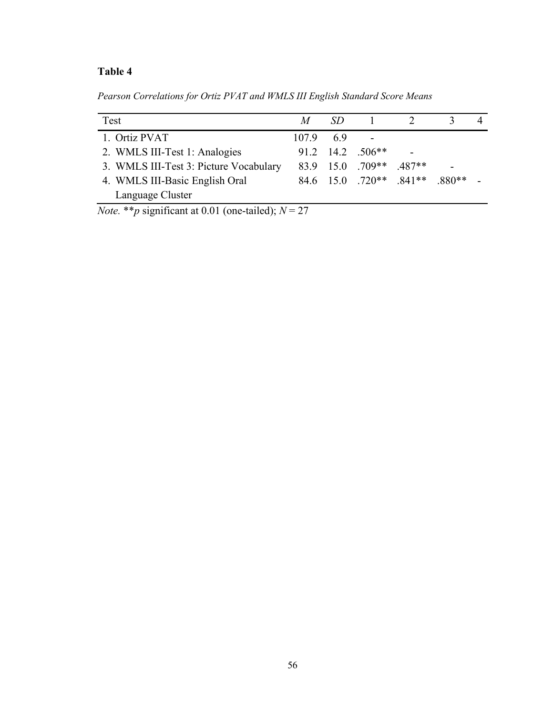*Pearson Correlations for Ortiz PVAT and WMLS III English Standard Score Means*

| Test                                   | M                | -SD |                         |          |       |  |
|----------------------------------------|------------------|-----|-------------------------|----------|-------|--|
| 1. Ortiz PVAT                          | $107.9\qquad6.9$ |     |                         |          |       |  |
| 2. WMLS III-Test 1: Analogies          |                  |     | $91.2$ 14.2 .506**      |          |       |  |
| 3. WMLS III-Test 3: Picture Vocabulary |                  |     | 83.9 15.0 .709**        | $.487**$ |       |  |
| 4. WMLS III-Basic English Oral         |                  |     | 84.6 15.0 .720** .841** |          | 880** |  |
| Language Cluster                       |                  |     |                         |          |       |  |

*Note.* \*\**p* significant at 0.01 (one-tailed);  $N = 27$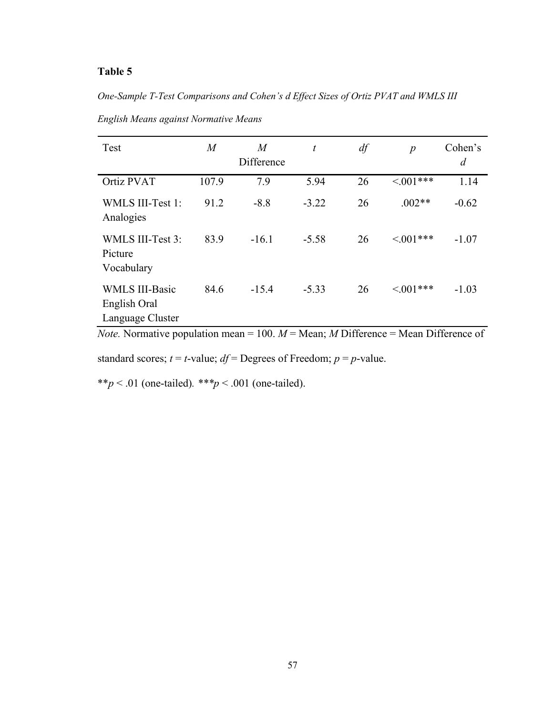*One-Sample T-Test Comparisons and Cohen's d Effect Sizes of Ortiz PVAT and WMLS III* 

| Test                                                      | $\overline{M}$ | $\overline{M}$<br>Difference | $\boldsymbol{t}$ | df | $\boldsymbol{p}$ | Cohen's<br>$\overline{d}$ |
|-----------------------------------------------------------|----------------|------------------------------|------------------|----|------------------|---------------------------|
| Ortiz PVAT                                                | 107.9          | 7.9                          | 5.94             | 26 | $\leq 0.01***$   | 1.14                      |
| <b>WMLS III-Test 1:</b><br>Analogies                      | 91.2           | $-8.8$                       | $-3.22$          | 26 | $.002**$         | $-0.62$                   |
| WMLS III-Test 3:<br>Picture<br>Vocabulary                 | 83.9           | $-16.1$                      | $-5.58$          | 26 | $< 0.01***$      | $-1.07$                   |
| <b>WMLS III-Basic</b><br>English Oral<br>Language Cluster | 84.6           | $-15.4$                      | $-5.33$          | 26 | $< 0.01***$      | $-1.03$                   |

*English Means against Normative Means*

*Note.* Normative population mean = 100.  $M$  = Mean;  $M$  Difference = Mean Difference of

standard scores;  $t = t$ -value;  $df =$ Degrees of Freedom;  $p = p$ -value.

\*\**p* < .01 (one-tailed)*. \*\*\*p* < .001 (one-tailed).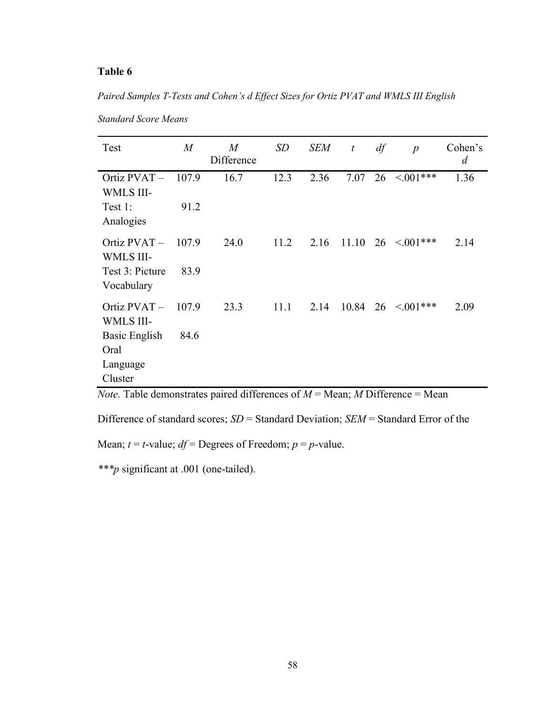*Paired Samples T-Tests and Cohen's d Effect Sizes for Ortiz PVAT and WMLS III English* 

| Test                               | $\boldsymbol{M}$ | $\boldsymbol{M}$<br>Difference | SD   | <b>SEM</b> | t     | df | $\boldsymbol{p}$                         | Cohen's<br>$\overline{d}$ |
|------------------------------------|------------------|--------------------------------|------|------------|-------|----|------------------------------------------|---------------------------|
| Ortiz PVAT-<br><b>WMLS III-</b>    | 107.9            | 16.7                           | 12.3 | 2.36       | 7.07  |    | $26 \leq 0.01***$                        | 1.36                      |
| Test 1:<br>Analogies               | 91.2             |                                |      |            |       |    |                                          |                           |
| Ortiz $PVAT -$<br><b>WMLS III-</b> | 107.9            | 24.0                           | 11.2 | 2.16       |       |    | $11.10 \quad 26 \quad \textless 0.01***$ | 2.14                      |
| Test 3: Picture<br>Vocabulary      | 83.9             |                                |      |            |       |    |                                          |                           |
| Ortiz PVAT-<br>WMLS III-           | 107.9            | 23.3                           | 11.1 | 2.14       | 10.84 |    | $26 \le 0.01***$                         | 2.09                      |
| Basic English<br>Oral              | 84.6             |                                |      |            |       |    |                                          |                           |
| Language                           |                  |                                |      |            |       |    |                                          |                           |
| Cluster                            |                  |                                |      |            |       |    |                                          |                           |

*Standard Score Means*

*Note.* Table demonstrates paired differences of  $M =$  Mean;  $M$  Difference = Mean

Difference of standard scores; *SD* = Standard Deviation; *SEM* = Standard Error of the

Mean;  $t = t$ -value;  $df =$  Degrees of Freedom;  $p = p$ -value.

*\*\*\*p* significant at .001 (one-tailed).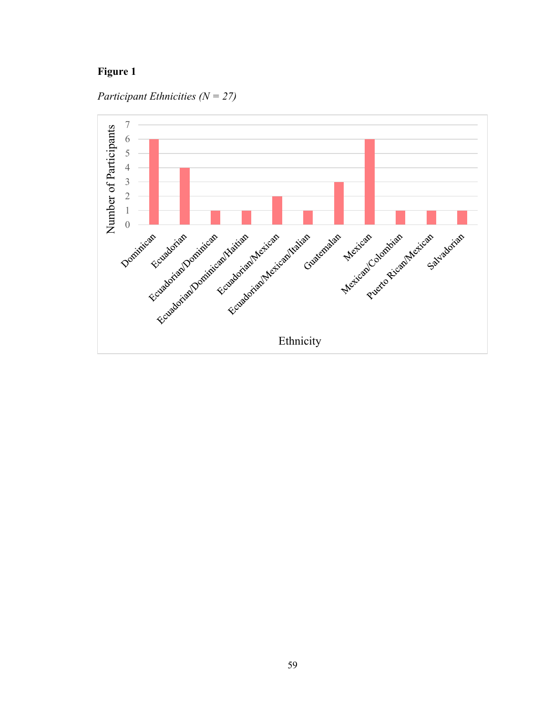# **Figure 1**

*Participant Ethnicities (N = 27)*

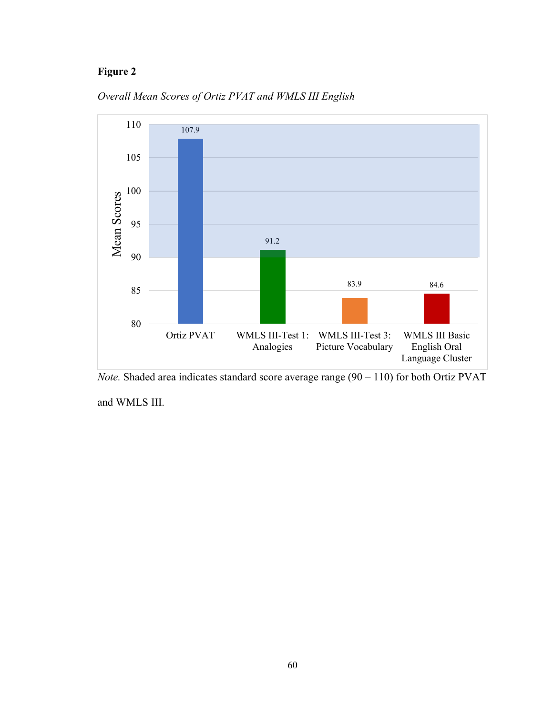# **Figure 2**



*Overall Mean Scores of Ortiz PVAT and WMLS III English*



and WMLS III.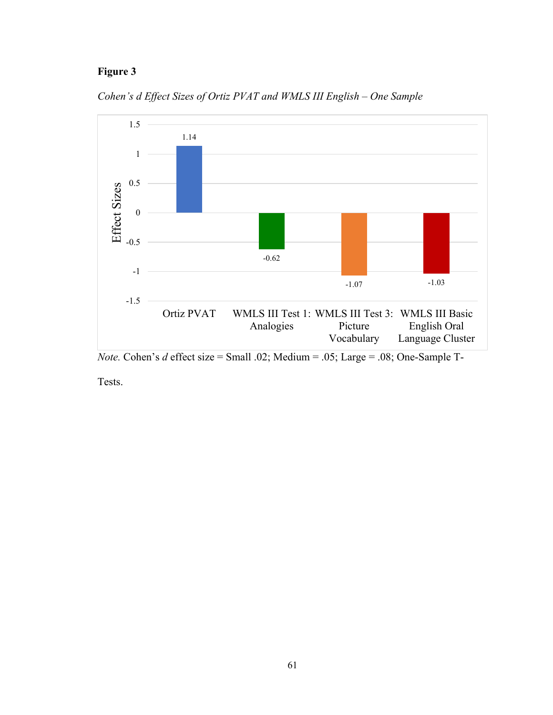# **Figure 3**



*Cohen's d Effect Sizes of Ortiz PVAT and WMLS III English – One Sample*

*Note.* Cohen's *d* effect size = Small .02; Medium = .05; Large = .08; One-Sample T-

Tests.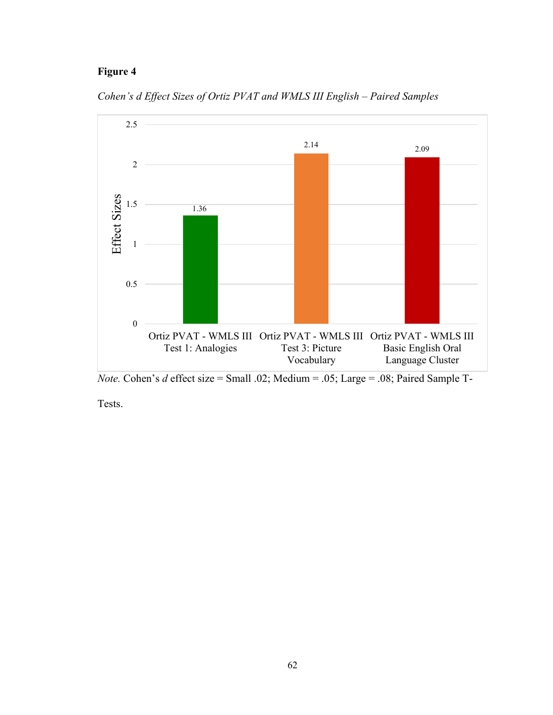1

1.5



*Cohen's d Effect Sizes of Ortiz PVAT and WMLS III English – Paired Samples*

1.36



*Note.* Cohen's *d* effect size = Small .02; Medium = .05; Large = .08; Paired Sample T-

Tests.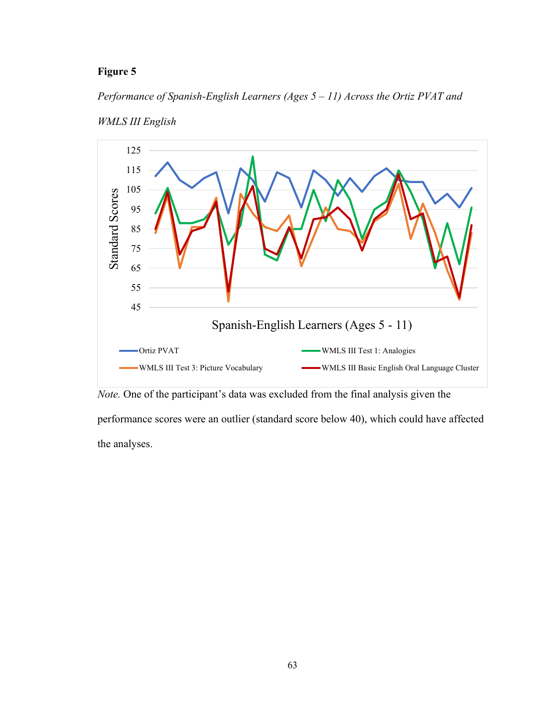# *Performance of Spanish-English Learners (Ages 5 – 11) Across the Ortiz PVAT and*





*Note.* One of the participant's data was excluded from the final analysis given the

performance scores were an outlier (standard score below 40), which could have affected the analyses.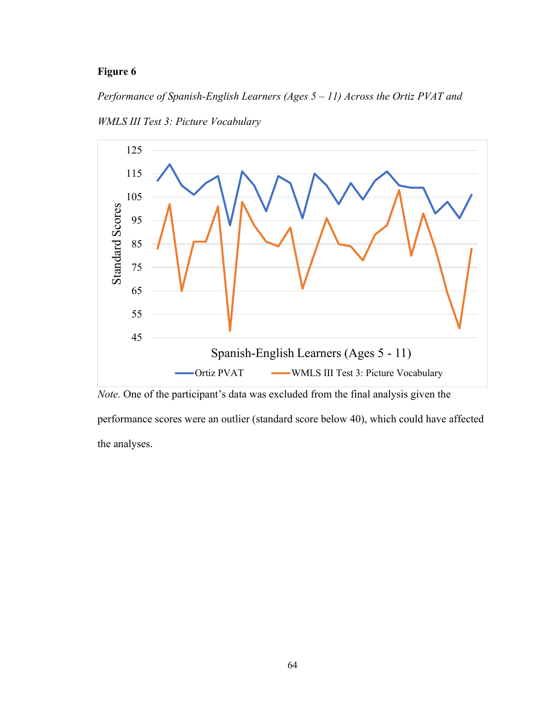*Performance of Spanish-English Learners (Ages 5 – 11) Across the Ortiz PVAT and* 



*WMLS III Test 3: Picture Vocabulary*

*Note.* One of the participant's data was excluded from the final analysis given the

performance scores were an outlier (standard score below 40), which could have affected the analyses.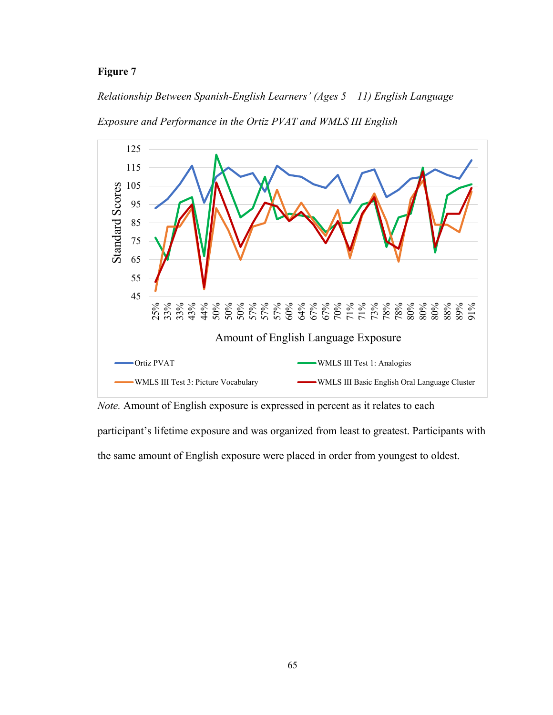#### *Relationship Between Spanish-English Learners' (Ages 5 – 11) English Language*





*Note.* Amount of English exposure is expressed in percent as it relates to each

participant's lifetime exposure and was organized from least to greatest. Participants with

the same amount of English exposure were placed in order from youngest to oldest.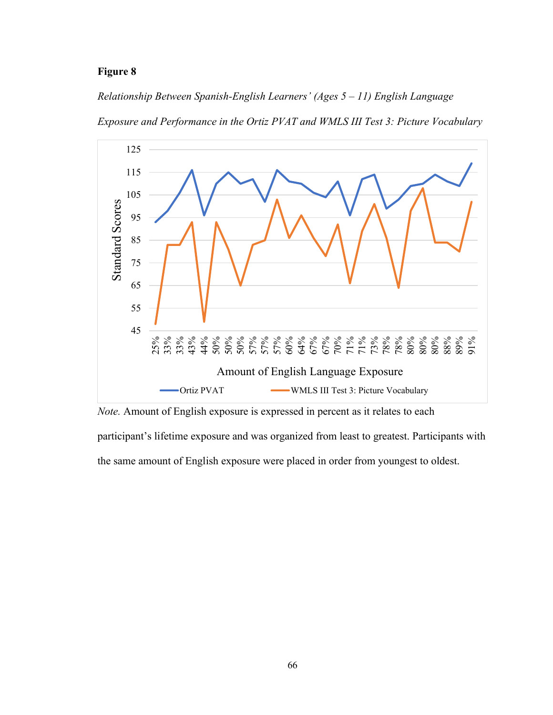*Relationship Between Spanish-English Learners' (Ages 5 – 11) English Language* 

*Exposure and Performance in the Ortiz PVAT and WMLS III Test 3: Picture Vocabulary*





participant's lifetime exposure and was organized from least to greatest. Participants with

the same amount of English exposure were placed in order from youngest to oldest.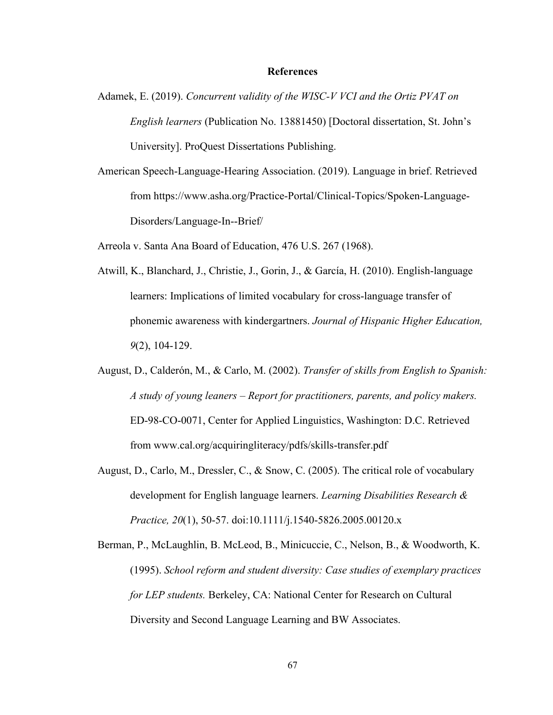#### **References**

- Adamek, E. (2019). *Concurrent validity of the WISC-V VCI and the Ortiz PVAT on English learners* (Publication No. 13881450) [Doctoral dissertation, St. John's University]. ProQuest Dissertations Publishing.
- American Speech-Language-Hearing Association. (2019). Language in brief. Retrieved from https://www.asha.org/Practice-Portal/Clinical-Topics/Spoken-Language-Disorders/Language-In--Brief/

Arreola v. Santa Ana Board of Education, 476 U.S. 267 (1968).

- Atwill, K., Blanchard, J., Christie, J., Gorin, J., & García, H. (2010). English-language learners: Implications of limited vocabulary for cross-language transfer of phonemic awareness with kindergartners. *Journal of Hispanic Higher Education, 9*(2), 104-129.
- August, D., Calderón, M., & Carlo, M. (2002). *Transfer of skills from English to Spanish: A study of young leaners – Report for practitioners, parents, and policy makers.* ED-98-CO-0071, Center for Applied Linguistics, Washington: D.C. Retrieved from www.cal.org/acquiringliteracy/pdfs/skills-transfer.pdf
- August, D., Carlo, M., Dressler, C., & Snow, C. (2005). The critical role of vocabulary development for English language learners. *Learning Disabilities Research & Practice, 20*(1), 50-57. doi:10.1111/j.1540-5826.2005.00120.x
- Berman, P., McLaughlin, B. McLeod, B., Minicuccie, C., Nelson, B., & Woodworth, K. (1995). *School reform and student diversity: Case studies of exemplary practices for LEP students.* Berkeley, CA: National Center for Research on Cultural Diversity and Second Language Learning and BW Associates.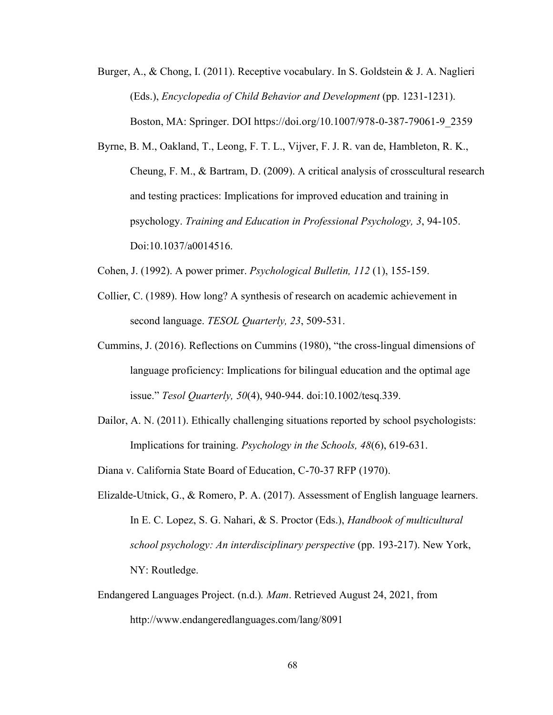- Burger, A., & Chong, I. (2011). Receptive vocabulary. In S. Goldstein & J. A. Naglieri (Eds.), *Encyclopedia of Child Behavior and Development* (pp. 1231-1231). Boston, MA: Springer. DOI https://doi.org/10.1007/978-0-387-79061-9\_2359
- Byrne, B. M., Oakland, T., Leong, F. T. L., Vijver, F. J. R. van de, Hambleton, R. K., Cheung, F. M., & Bartram, D. (2009). A critical analysis of crosscultural research and testing practices: Implications for improved education and training in psychology. *Training and Education in Professional Psychology, 3*, 94-105. Doi:10.1037/a0014516.
- Cohen, J. (1992). A power primer. *Psychological Bulletin, 112* (1), 155-159.
- Collier, C. (1989). How long? A synthesis of research on academic achievement in second language. *TESOL Quarterly, 23*, 509-531.
- Cummins, J. (2016). Reflections on Cummins (1980), "the cross-lingual dimensions of language proficiency: Implications for bilingual education and the optimal age issue." *Tesol Quarterly, 50*(4), 940-944. doi:10.1002/tesq.339.
- Dailor, A. N. (2011). Ethically challenging situations reported by school psychologists: Implications for training. *Psychology in the Schools, 48*(6), 619-631.

Diana v. California State Board of Education, C-70-37 RFP (1970).

- Elizalde-Utnick, G., & Romero, P. A. (2017). Assessment of English language learners. In E. C. Lopez, S. G. Nahari, & S. Proctor (Eds.), *Handbook of multicultural school psychology: An interdisciplinary perspective* (pp. 193-217). New York, NY: Routledge.
- Endangered Languages Project. (n.d.)*. Mam*. Retrieved August 24, 2021, from http://www.endangeredlanguages.com/lang/8091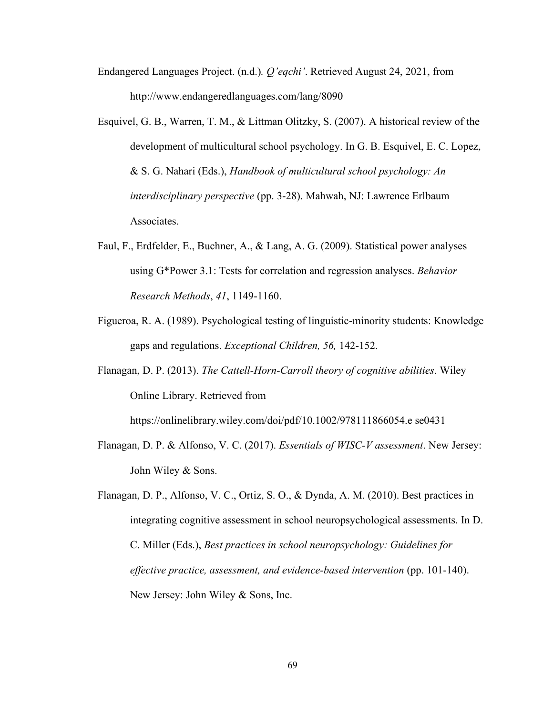- Endangered Languages Project. (n.d.)*. Q'eqchi'*. Retrieved August 24, 2021, from http://www.endangeredlanguages.com/lang/8090
- Esquivel, G. B., Warren, T. M., & Littman Olitzky, S. (2007). A historical review of the development of multicultural school psychology. In G. B. Esquivel, E. C. Lopez, & S. G. Nahari (Eds.), *Handbook of multicultural school psychology: An interdisciplinary perspective* (pp. 3-28). Mahwah, NJ: Lawrence Erlbaum Associates.
- Faul, F., Erdfelder, E., Buchner, A., & Lang, A. G. (2009). Statistical power analyses using G\*Power 3.1: Tests for correlation and regression analyses. *Behavior Research Methods*, *41*, 1149-1160.
- Figueroa, R. A. (1989). Psychological testing of linguistic-minority students: Knowledge gaps and regulations. *Exceptional Children, 56,* 142-152.
- Flanagan, D. P. (2013). *The Cattell-Horn-Carroll theory of cognitive abilities*. Wiley Online Library. Retrieved from

https://onlinelibrary.wiley.com/doi/pdf/10.1002/978111866054.e se0431

- Flanagan, D. P. & Alfonso, V. C. (2017). *Essentials of WISC-V assessment*. New Jersey: John Wiley & Sons.
- Flanagan, D. P., Alfonso, V. C., Ortiz, S. O., & Dynda, A. M. (2010). Best practices in integrating cognitive assessment in school neuropsychological assessments. In D. C. Miller (Eds.), *Best practices in school neuropsychology: Guidelines for effective practice, assessment, and evidence-based intervention* (pp. 101-140). New Jersey: John Wiley & Sons, Inc.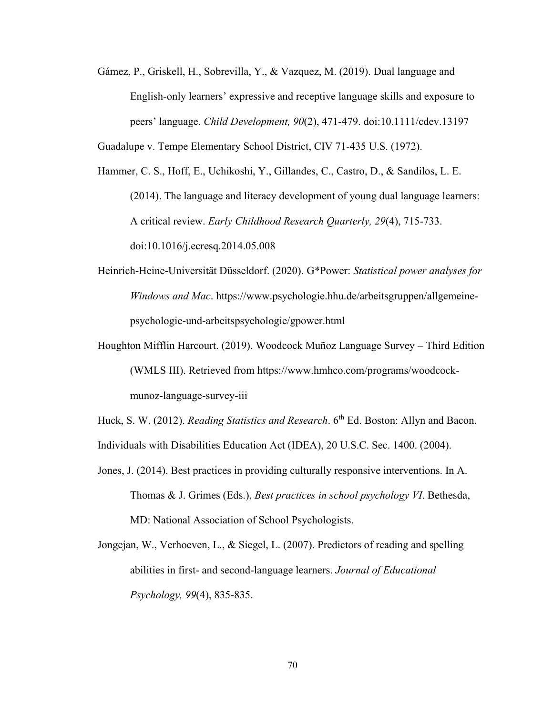Gámez, P., Griskell, H., Sobrevilla, Y., & Vazquez, M. (2019). Dual language and English-only learners' expressive and receptive language skills and exposure to peers' language. *Child Development, 90*(2), 471-479. doi:10.1111/cdev.13197

Guadalupe v. Tempe Elementary School District, CIV 71-435 U.S. (1972).

Hammer, C. S., Hoff, E., Uchikoshi, Y., Gillandes, C., Castro, D., & Sandilos, L. E. (2014). The language and literacy development of young dual language learners: A critical review. *Early Childhood Research Quarterly, 29*(4), 715-733. doi:10.1016/j.ecresq.2014.05.008

- Heinrich-Heine-Universität Düsseldorf. (2020). G\*Power: *Statistical power analyses for Windows and Mac*. [https://www.psychologie.hhu.de/arbeitsgruppen/allgemeine](https://www.psychologie.hhu.de/arbeitsgruppen/allgemeine-psychologie-und-arbeitspsychologie/gpower.html)[psychologie-und-arbeitspsychologie/gpower.html](https://www.psychologie.hhu.de/arbeitsgruppen/allgemeine-psychologie-und-arbeitspsychologie/gpower.html)
- Houghton Mifflin Harcourt. (2019). Woodcock Muñoz Language Survey Third Edition (WMLS III). Retrieved from https://www.hmhco.com/programs/woodcockmunoz-language-survey-iii

Huck, S. W. (2012). *Reading Statistics and Research*. 6<sup>th</sup> Ed. Boston: Allyn and Bacon. Individuals with Disabilities Education Act (IDEA), 20 U.S.C. Sec. 1400. (2004).

- Jones, J. (2014). Best practices in providing culturally responsive interventions. In A. Thomas & J. Grimes (Eds.), *Best practices in school psychology VI*. Bethesda, MD: National Association of School Psychologists.
- Jongejan, W., Verhoeven, L., & Siegel, L. (2007). Predictors of reading and spelling abilities in first- and second-language learners. *Journal of Educational Psychology, 99*(4), 835-835.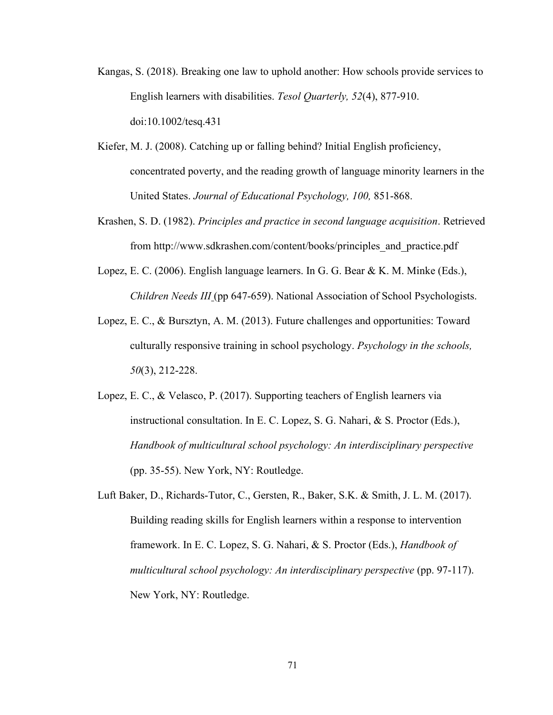- Kangas, S. (2018). Breaking one law to uphold another: How schools provide services to English learners with disabilities. *Tesol Quarterly, 52*(4), 877-910. doi:10.1002/tesq.431
- Kiefer, M. J. (2008). Catching up or falling behind? Initial English proficiency, concentrated poverty, and the reading growth of language minority learners in the United States. *Journal of Educational Psychology, 100,* 851-868.
- Krashen, S. D. (1982). *Principles and practice in second language acquisition*. Retrieved from http://www.sdkrashen.com/content/books/principles\_and\_practice.pdf
- Lopez, E. C. (2006). English language learners. In G. G. Bear & K. M. Minke (Eds.), *Children Needs III* (pp 647-659). National Association of School Psychologists.
- Lopez, E. C., & Bursztyn, A. M. (2013). Future challenges and opportunities: Toward culturally responsive training in school psychology. *Psychology in the schools, 50*(3), 212-228.
- Lopez, E. C., & Velasco, P. (2017). Supporting teachers of English learners via instructional consultation. In E. C. Lopez, S. G. Nahari, & S. Proctor (Eds.), *Handbook of multicultural school psychology: An interdisciplinary perspective* (pp. 35-55). New York, NY: Routledge.
- Luft Baker, D., Richards-Tutor, C., Gersten, R., Baker, S.K. & Smith, J. L. M. (2017). Building reading skills for English learners within a response to intervention framework. In E. C. Lopez, S. G. Nahari, & S. Proctor (Eds.), *Handbook of multicultural school psychology: An interdisciplinary perspective* (pp. 97-117). New York, NY: Routledge.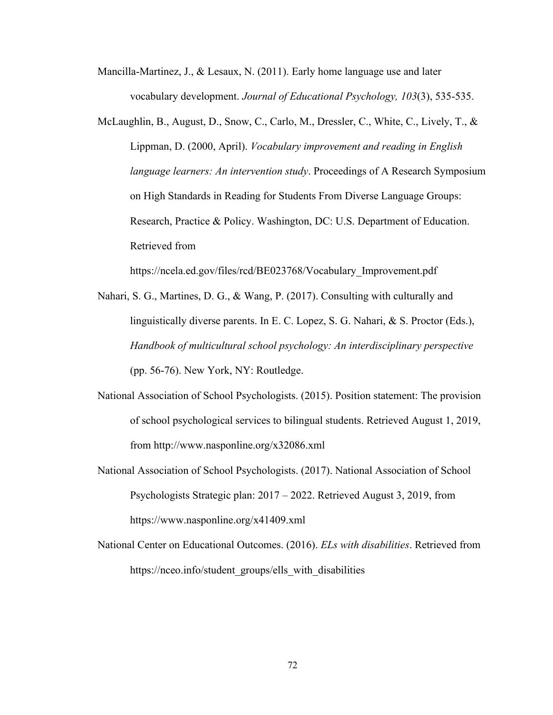- Mancilla-Martinez, J., & Lesaux, N. (2011). Early home language use and later vocabulary development. *Journal of Educational Psychology, 103*(3), 535-535.
- McLaughlin, B., August, D., Snow, C., Carlo, M., Dressler, C., White, C., Lively, T., & Lippman, D. (2000, April). *Vocabulary improvement and reading in English language learners: An intervention study*. Proceedings of A Research Symposium on High Standards in Reading for Students From Diverse Language Groups: Research, Practice & Policy. Washington, DC: U.S. Department of Education. Retrieved from
- Nahari, S. G., Martines, D. G., & Wang, P. (2017). Consulting with culturally and linguistically diverse parents. In E. C. Lopez, S. G. Nahari, & S. Proctor (Eds.), *Handbook of multicultural school psychology: An interdisciplinary perspective* (pp. 56-76). New York, NY: Routledge.

[https://ncela.ed.gov/files/rcd/BE023768/Vocabulary\\_Improvement.pdf](https://ncela.ed.gov/files/rcd/BE023768/Vocabulary_Improvement.pdf)

- National Association of School Psychologists. (2015). Position statement: The provision of school psychological services to bilingual students. Retrieved August 1, 2019, from<http://www.nasponline.org/x32086.xml>
- National Association of School Psychologists. (2017). National Association of School Psychologists Strategic plan: 2017 – 2022. Retrieved August 3, 2019, from <https://www.nasponline.org/x41409.xml>
- National Center on Educational Outcomes. (2016). *ELs with disabilities*. Retrieved from https://nceo.info/student\_groups/ells\_with\_disabilities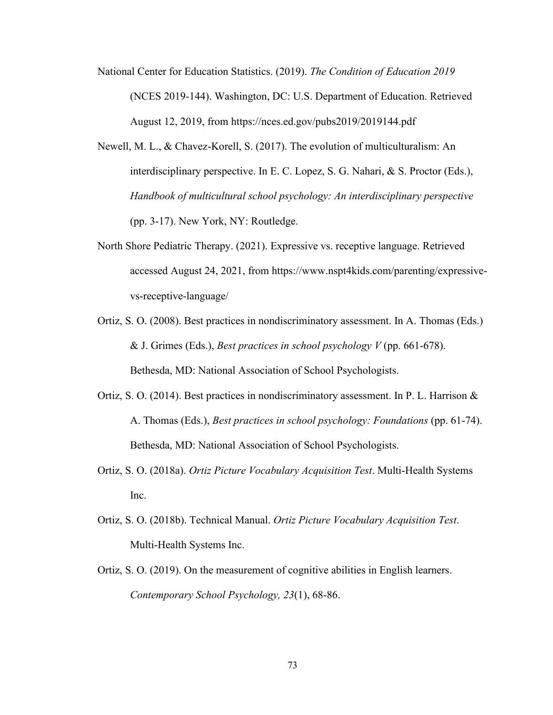- National Center for Education Statistics. (2019). *The Condition of Education 2019* (NCES 2019-144). Washington, DC: U.S. Department of Education. Retrieved August 12, 2019, from https://nces.ed.gov/pubs2019/2019144.pdf
- Newell, M. L., & Chavez-Korell, S. (2017). The evolution of multiculturalism: An interdisciplinary perspective. In E. C. Lopez, S. G. Nahari, & S. Proctor (Eds.), *Handbook of multicultural school psychology: An interdisciplinary perspective* (pp. 3-17). New York, NY: Routledge.
- North Shore Pediatric Therapy. (2021). Expressive vs. receptive language. Retrieved accessed August 24, 2021, from https://www.nspt4kids.com/parenting/expressivevs-receptive-language/
- Ortiz, S. O. (2008). Best practices in nondiscriminatory assessment. In A. Thomas (Eds.) & J. Grimes (Eds.), *Best practices in school psychology V* (pp. 661-678). Bethesda, MD: National Association of School Psychologists.
- Ortiz, S. O. (2014). Best practices in nondiscriminatory assessment. In P. L. Harrison  $\&$ A. Thomas (Eds.), *Best practices in school psychology: Foundations* (pp. 61-74). Bethesda, MD: National Association of School Psychologists.
- Ortiz, S. O. (2018a). *Ortiz Picture Vocabulary Acquisition Test*. Multi-Health Systems Inc.
- Ortiz, S. O. (2018b). Technical Manual. *Ortiz Picture Vocabulary Acquisition Test*. Multi-Health Systems Inc.
- Ortiz, S. O. (2019). On the measurement of cognitive abilities in English learners. *Contemporary School Psychology, 23*(1), 68-86.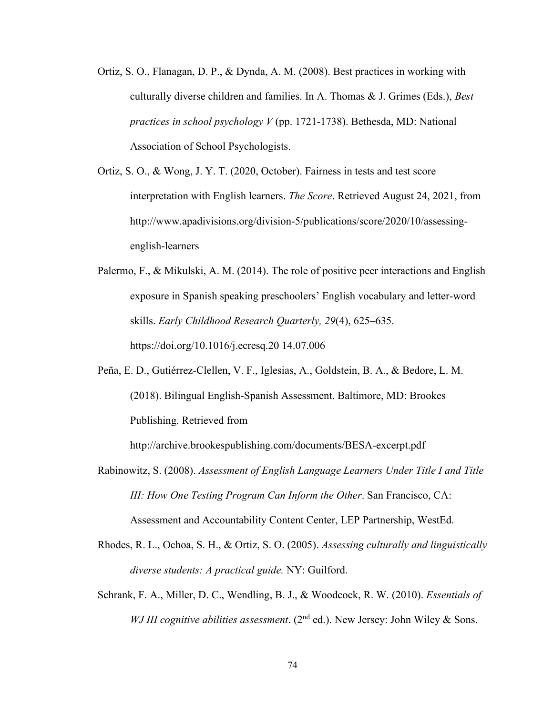- Ortiz, S. O., Flanagan, D. P., & Dynda, A. M. (2008). Best practices in working with culturally diverse children and families. In A. Thomas & J. Grimes (Eds.), *Best practices in school psychology V* (pp. 1721-1738). Bethesda, MD: National Association of School Psychologists.
- Ortiz, S. O., & Wong, J. Y. T. (2020, October). Fairness in tests and test score interpretation with English learners. *The Score*. Retrieved August 24, 2021, from http://www.apadivisions.org/division-5/publications/score/2020/10/assessingenglish-learners
- Palermo, F., & Mikulski, A. M. (2014). The role of positive peer interactions and English exposure in Spanish speaking preschoolers' English vocabulary and letter-word skills. *Early Childhood Research Quarterly, 29*(4), 625–635. https://doi.org/10.1016/j.ecresq.20 14.07.006
- Peña, E. D., Gutiérrez-Clellen, V. F., Iglesias, A., Goldstein, B. A., & Bedore, L. M. (2018). Bilingual English-Spanish Assessment. Baltimore, MD: Brookes Publishing. Retrieved from

http://archive.brookespublishing.com/documents/BESA-excerpt.pdf

- Rabinowitz, S. (2008). *Assessment of English Language Learners Under Title I and Title III: How One Testing Program Can Inform the Other*. San Francisco, CA: Assessment and Accountability Content Center, LEP Partnership, WestEd.
- Rhodes, R. L., Ochoa, S. H., & Ortiz, S. O. (2005). *Assessing culturally and linguistically diverse students: A practical guide.* NY: Guilford.
- Schrank, F. A., Miller, D. C., Wendling, B. J., & Woodcock, R. W. (2010). *Essentials of WJ III cognitive abilities assessment*. (2<sup>nd</sup> ed.). New Jersey: John Wiley & Sons.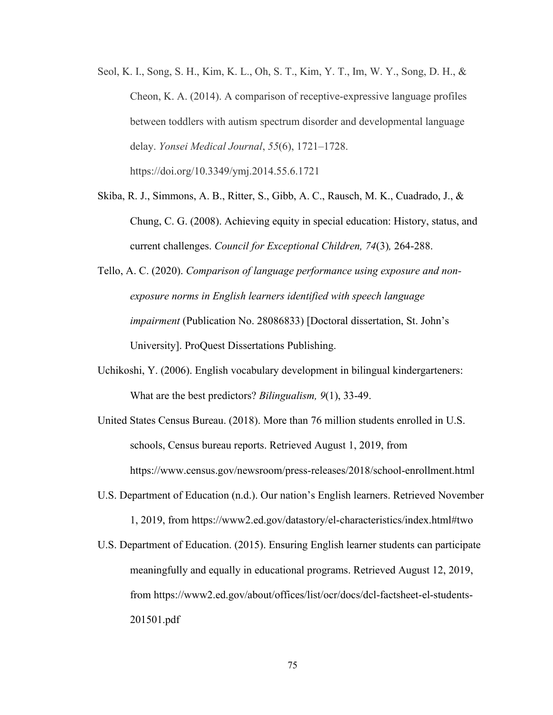- Seol, K. I., Song, S. H., Kim, K. L., Oh, S. T., Kim, Y. T., Im, W. Y., Song, D. H., & Cheon, K. A. (2014). A comparison of receptive-expressive language profiles between toddlers with autism spectrum disorder and developmental language delay. *Yonsei Medical Journal*, *55*(6), 1721–1728. https://doi.org/10.3349/ymj.2014.55.6.1721
- Skiba, R. J., Simmons, A. B., Ritter, S., Gibb, A. C., Rausch, M. K., Cuadrado, J., & Chung, C. G. (2008). Achieving equity in special education: History, status, and current challenges. *Council for Exceptional Children, 74*(3)*,* 264-288.
- Tello, A. C. (2020). *Comparison of language performance using exposure and nonexposure norms in English learners identified with speech language impairment* (Publication No. 28086833) [Doctoral dissertation, St. John's University]. ProQuest Dissertations Publishing.
- Uchikoshi, Y. (2006). English vocabulary development in bilingual kindergarteners: What are the best predictors? *Bilingualism, 9*(1), 33-49.
- United States Census Bureau. (2018). More than 76 million students enrolled in U.S. schools, Census bureau reports. Retrieved August 1, 2019, from <https://www.census.gov/newsroom/press-releases/2018/school-enrollment.html>
- U.S. Department of Education (n.d.). Our nation's English learners. Retrieved November 1, 2019, from https://www2.ed.gov/datastory/el-characteristics/index.html#two
- U.S. Department of Education. (2015). Ensuring English learner students can participate meaningfully and equally in educational programs. Retrieved August 12, 2019, from [https://www2.ed.gov/about/offices/list/ocr/docs/dcl-factsheet-el-students-](https://www2.ed.gov/about/offices/list/ocr/docs/dcl-factsheet-el-students-201501.pdf)[201501.pdf](https://www2.ed.gov/about/offices/list/ocr/docs/dcl-factsheet-el-students-201501.pdf)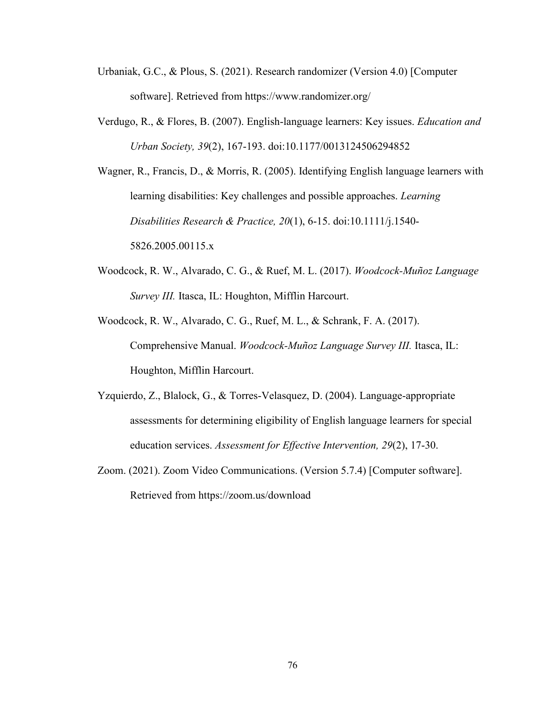- Urbaniak, G.C., & Plous, S. (2021). Research randomizer (Version 4.0) [Computer software]. Retrieved from https://www.randomizer.org/
- Verdugo, R., & Flores, B. (2007). English-language learners: Key issues. *Education and Urban Society, 39*(2), 167-193. doi:10.1177/0013124506294852
- Wagner, R., Francis, D., & Morris, R. (2005). Identifying English language learners with learning disabilities: Key challenges and possible approaches. *Learning Disabilities Research & Practice, 20*(1), 6-15. doi:10.1111/j.1540- 5826.2005.00115.x
- Woodcock, R. W., Alvarado, C. G., & Ruef, M. L. (2017). *Woodcock-Muñoz Language Survey III.* Itasca, IL: Houghton, Mifflin Harcourt.
- Woodcock, R. W., Alvarado, C. G., Ruef, M. L., & Schrank, F. A. (2017). Comprehensive Manual. *Woodcock-Muñoz Language Survey III.* Itasca, IL: Houghton, Mifflin Harcourt.
- Yzquierdo, Z., Blalock, G., & Torres-Velasquez, D. (2004). Language-appropriate assessments for determining eligibility of English language learners for special education services. *Assessment for Effective Intervention, 29*(2), 17-30.
- Zoom. (2021). Zoom Video Communications. (Version 5.7.4) [Computer software]. Retrieved from https://zoom.us/download